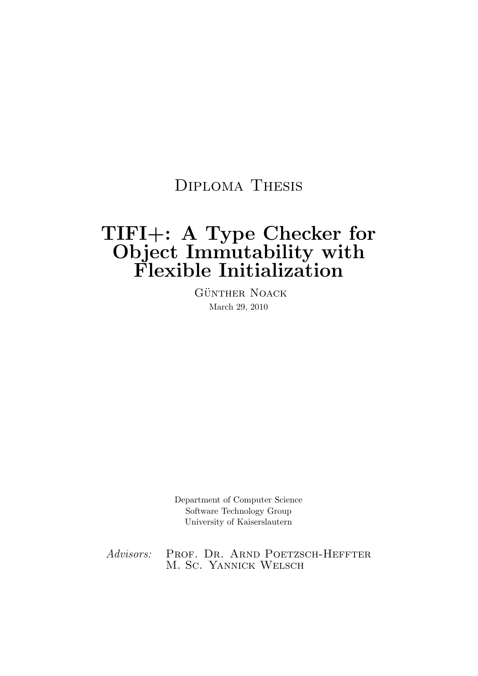## Diploma Thesis

# TIFI+: A Type Checker for Object Immutability with Flexible Initialization

GÜNTHER NOACK March 29, 2010

Department of Computer Science Software Technology Group University of Kaiserslautern

Advisors: PROF. DR. ARND POETZSCH-HEFFTER M. Sc. Yannick Welsch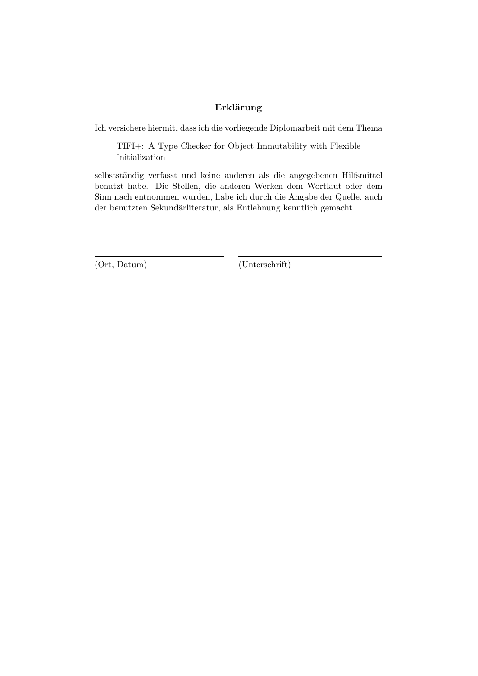### Erklärung

Ich versichere hiermit, dass ich die vorliegende Diplomarbeit mit dem Thema

TIFI+: A Type Checker for Object Immutability with Flexible Initialization

selbstständig verfasst und keine anderen als die angegebenen Hilfsmittel benutzt habe. Die Stellen, die anderen Werken dem Wortlaut oder dem Sinn nach entnommen wurden, habe ich durch die Angabe der Quelle, auch der benutzten Sekundärliteratur, als Entlehnung kenntlich gemacht.

(Ort, Datum) (Unterschrift)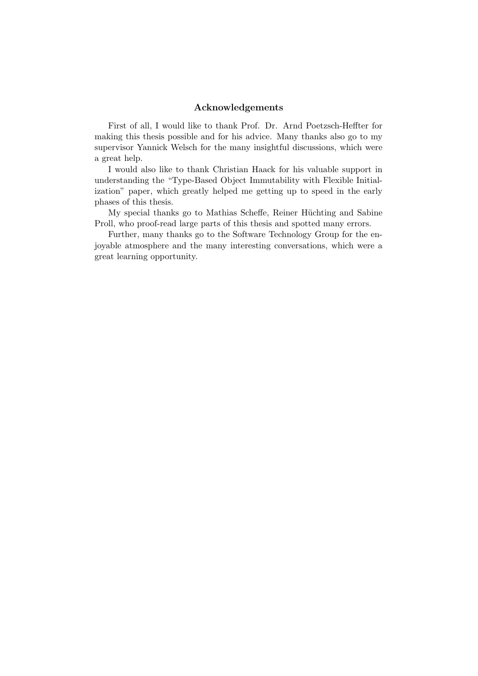#### Acknowledgements

First of all, I would like to thank Prof. Dr. Arnd Poetzsch-Heffter for making this thesis possible and for his advice. Many thanks also go to my supervisor Yannick Welsch for the many insightful discussions, which were a great help.

I would also like to thank Christian Haack for his valuable support in understanding the "Type-Based Object Immutability with Flexible Initialization" paper, which greatly helped me getting up to speed in the early phases of this thesis.

My special thanks go to Mathias Scheffe, Reiner Hüchting and Sabine Proll, who proof-read large parts of this thesis and spotted many errors.

Further, many thanks go to the Software Technology Group for the enjoyable atmosphere and the many interesting conversations, which were a great learning opportunity.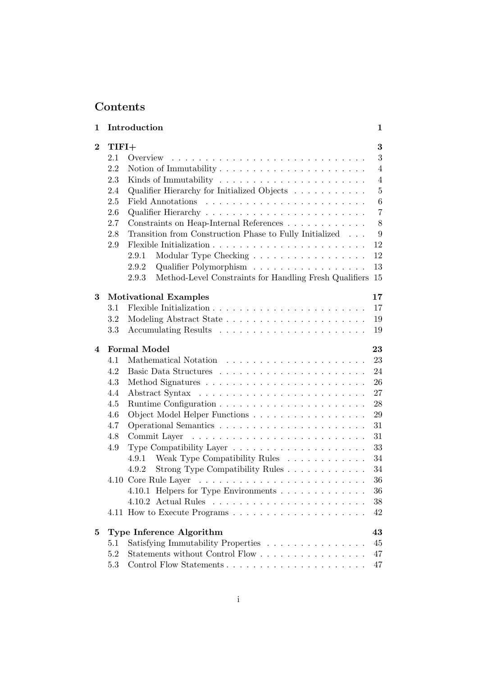## Contents

| 1        | Introduction                                                                    | 1              |
|----------|---------------------------------------------------------------------------------|----------------|
| $\bf{2}$ | $TIFI+$                                                                         | 3              |
|          | 2.1                                                                             | 3              |
|          | 2.2<br>Notion of Immutability $\dots \dots \dots \dots \dots \dots \dots \dots$ | $\overline{4}$ |
|          | 2.3                                                                             | $\overline{4}$ |
|          | Qualifier Hierarchy for Initialized Objects<br>2.4                              | $\overline{5}$ |
|          | 2.5                                                                             | 6              |
|          | 2.6                                                                             | $\overline{7}$ |
|          | Constraints on Heap-Internal References<br>2.7                                  | 8              |
|          | Transition from Construction Phase to Fully Initialized<br>2.8                  | 9              |
|          | 2.9                                                                             | 12             |
|          | Modular Type Checking<br>2.9.1                                                  | 12             |
|          | Qualifier Polymorphism<br>2.9.2                                                 | 13             |
|          | Method-Level Constraints for Handling Fresh Qualifiers<br>2.9.3                 | 15             |
| 3        | <b>Motivational Examples</b>                                                    | 17             |
|          | 3.1                                                                             | 17             |
|          | 3.2                                                                             | 19             |
|          | 3.3                                                                             | 19             |
| 4        | <b>Formal Model</b>                                                             | 23             |
|          | 4.1                                                                             | 23             |
|          | 4.2                                                                             | 24             |
|          | 4.3                                                                             | 26             |
|          | 4.4                                                                             | 27             |
|          | 4.5                                                                             | 28             |
|          | 4.6<br>Object Model Helper Functions                                            | 29             |
|          | 4.7                                                                             | 31             |
|          | 4.8                                                                             | 31             |
|          | Type Compatibility Layer $\dots \dots \dots \dots \dots \dots \dots$<br>4.9     | 33             |
|          | Weak Type Compatibility Rules<br>4.9.1                                          | 34             |
|          | Strong Type Compatibility Rules<br>4.9.2                                        | 34             |
|          |                                                                                 | 36             |
|          | 4.10.1 Helpers for Type Environments                                            | 36             |
|          |                                                                                 | 38             |
|          |                                                                                 | 42             |
| 5        | Type Inference Algorithm                                                        | 43             |
|          | Satisfying Immutability Properties<br>5.1                                       | 45             |
|          | 5.2<br>Statements without Control Flow                                          | 47             |
|          | 5.3                                                                             | 47             |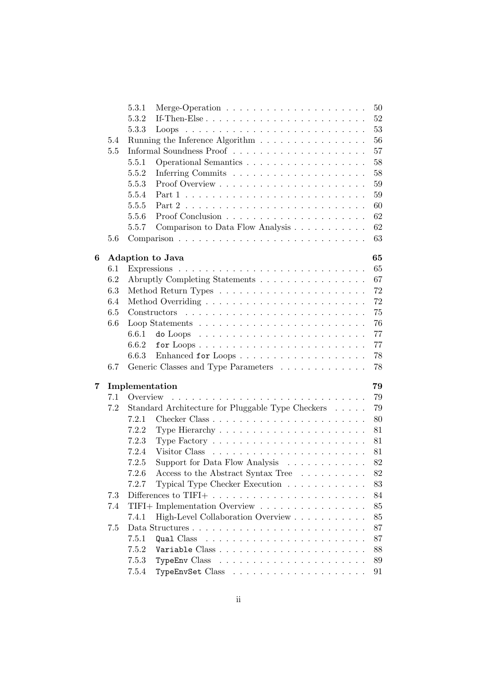|   |     | 5.3.1<br>Merge-Operation $\ldots \ldots \ldots \ldots \ldots \ldots \ldots$      | 50     |
|---|-----|----------------------------------------------------------------------------------|--------|
|   |     | 5.3.2                                                                            | 52     |
|   |     | 5.3.3                                                                            | 53     |
|   | 5.4 | Running the Inference Algorithm $\ldots \ldots \ldots \ldots \ldots$             | 56     |
|   | 5.5 | Informal Soundness Proof $\ldots \ldots \ldots \ldots \ldots \ldots \ldots$      | 57     |
|   |     | 5.5.1                                                                            | 58     |
|   |     | 5.5.2                                                                            | 58     |
|   |     | 5.5.3                                                                            | 59     |
|   |     | 5.5.4                                                                            | 59     |
|   |     | 5.5.5                                                                            | 60     |
|   |     | 5.5.6                                                                            | 62     |
|   |     | Comparison to Data Flow Analysis<br>5.5.7                                        | $62\,$ |
|   | 5.6 |                                                                                  | 63     |
|   |     |                                                                                  |        |
| 6 |     | <b>Adaption to Java</b>                                                          | 65     |
|   | 6.1 |                                                                                  | 65     |
|   | 6.2 | Abruptly Completing Statements                                                   | 67     |
|   | 6.3 |                                                                                  | 72     |
|   | 6.4 |                                                                                  | 72     |
|   | 6.5 |                                                                                  | 75     |
|   | 6.6 |                                                                                  | 76     |
|   |     | 6.6.1<br>do Loops $\ldots \ldots \ldots \ldots \ldots \ldots \ldots \ldots$      | 77     |
|   |     | 6.6.2<br>for $Loops \ldots \ldots \ldots \ldots \ldots \ldots \ldots \ldots$     | 77     |
|   |     | 6.6.3<br>Enhanced for Loops                                                      | 78     |
|   | 6.7 | Generic Classes and Type Parameters $\hfill\ldots\ldots\ldots\ldots\ldots\ldots$ | 78     |
|   |     |                                                                                  |        |
| 7 |     | Implementation                                                                   | 79     |
|   | 7.1 | Overview                                                                         | 79     |
|   | 7.2 | Standard Architecture for Pluggable Type Checkers                                | 79     |
|   |     | 7.2.1                                                                            | 80     |
|   |     | 7.2.2                                                                            | 81     |
|   |     | 7.2.3<br>Type Factory $\dots \dots \dots \dots \dots \dots \dots \dots \dots$    | 81     |
|   |     | 7.2.4                                                                            | 81     |
|   |     | Support for Data Flow Analysis<br>7.2.5                                          | 82     |
|   |     | Access to the Abstract Syntax Tree<br>7.2.6                                      | 82     |
|   |     | Typical Type Checker Execution<br>7.2.7                                          | 83     |
|   | 7.3 | Differences to TIFI+ $\dots \dots \dots \dots \dots \dots \dots \dots \dots$     | 84     |
|   | 7.4 | TIFI+ Implementation Overview $\ldots \ldots \ldots \ldots \ldots \ldots$        | 85     |
|   |     | 7.4.1<br>High-Level Collaboration Overview                                       | 85     |
|   | 7.5 |                                                                                  | 87     |
|   |     | 7.5.1<br>Qual Class                                                              | 87     |
|   |     | 7.5.2                                                                            | 88     |
|   |     | 7.5.3                                                                            |        |
|   |     |                                                                                  | 89     |
|   |     | 7.5.4                                                                            | 91     |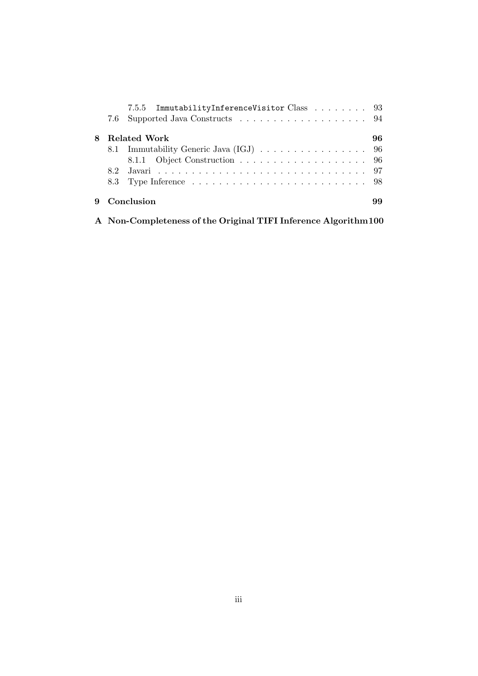|   | 7.5.5 ImmutabilityInferenceVisitor Class 93 |    |
|---|---------------------------------------------|----|
|   |                                             |    |
| 8 | Related Work                                | 96 |
|   |                                             |    |
|   |                                             |    |
|   |                                             |    |
|   |                                             |    |
|   | Conclusion                                  |    |

A Non-Completeness of the Original TIFI Inference Algorithm100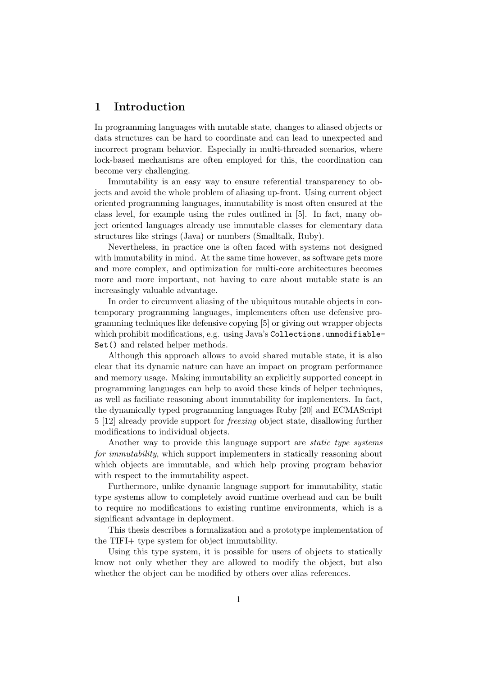## 1 Introduction

In programming languages with mutable state, changes to aliased objects or data structures can be hard to coordinate and can lead to unexpected and incorrect program behavior. Especially in multi-threaded scenarios, where lock-based mechanisms are often employed for this, the coordination can become very challenging.

Immutability is an easy way to ensure referential transparency to objects and avoid the whole problem of aliasing up-front. Using current object oriented programming languages, immutability is most often ensured at the class level, for example using the rules outlined in [5]. In fact, many object oriented languages already use immutable classes for elementary data structures like strings (Java) or numbers (Smalltalk, Ruby).

Nevertheless, in practice one is often faced with systems not designed with immutability in mind. At the same time however, as software gets more and more complex, and optimization for multi-core architectures becomes more and more important, not having to care about mutable state is an increasingly valuable advantage.

In order to circumvent aliasing of the ubiquitous mutable objects in contemporary programming languages, implementers often use defensive programming techniques like defensive copying [5] or giving out wrapper objects which prohibit modifications, e.g. using Java's Collections.unmodifiable-Set() and related helper methods.

Although this approach allows to avoid shared mutable state, it is also clear that its dynamic nature can have an impact on program performance and memory usage. Making immutability an explicitly supported concept in programming languages can help to avoid these kinds of helper techniques, as well as faciliate reasoning about immutability for implementers. In fact, the dynamically typed programming languages Ruby [20] and ECMAScript 5 [12] already provide support for freezing object state, disallowing further modifications to individual objects.

Another way to provide this language support are *static type systems* for immutability, which support implementers in statically reasoning about which objects are immutable, and which help proving program behavior with respect to the immutability aspect.

Furthermore, unlike dynamic language support for immutability, static type systems allow to completely avoid runtime overhead and can be built to require no modifications to existing runtime environments, which is a significant advantage in deployment.

This thesis describes a formalization and a prototype implementation of the TIFI+ type system for object immutability.

Using this type system, it is possible for users of objects to statically know not only whether they are allowed to modify the object, but also whether the object can be modified by others over alias references.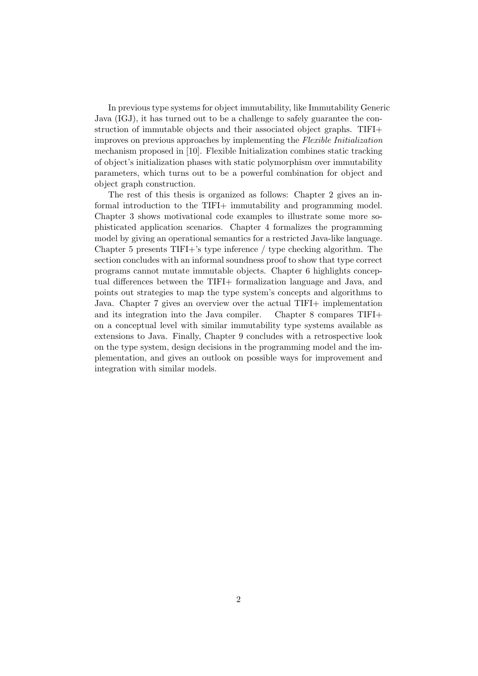In previous type systems for object immutability, like Immutability Generic Java (IGJ), it has turned out to be a challenge to safely guarantee the construction of immutable objects and their associated object graphs. TIFI+ improves on previous approaches by implementing the Flexible Initialization mechanism proposed in [10]. Flexible Initialization combines static tracking of object's initialization phases with static polymorphism over immutability parameters, which turns out to be a powerful combination for object and object graph construction.

The rest of this thesis is organized as follows: Chapter 2 gives an informal introduction to the TIFI+ immutability and programming model. Chapter 3 shows motivational code examples to illustrate some more sophisticated application scenarios. Chapter 4 formalizes the programming model by giving an operational semantics for a restricted Java-like language. Chapter 5 presents TIFI+'s type inference / type checking algorithm. The section concludes with an informal soundness proof to show that type correct programs cannot mutate immutable objects. Chapter 6 highlights conceptual differences between the TIFI+ formalization language and Java, and points out strategies to map the type system's concepts and algorithms to Java. Chapter 7 gives an overview over the actual TIFI+ implementation and its integration into the Java compiler. Chapter 8 compares TIFI+ on a conceptual level with similar immutability type systems available as extensions to Java. Finally, Chapter 9 concludes with a retrospective look on the type system, design decisions in the programming model and the implementation, and gives an outlook on possible ways for improvement and integration with similar models.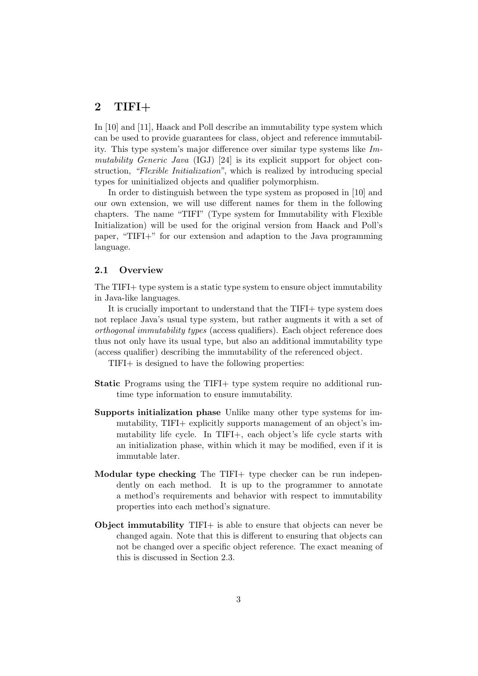## 2 TIFI $+$

In [10] and [11], Haack and Poll describe an immutability type system which can be used to provide guarantees for class, object and reference immutability. This type system's major difference over similar type systems like  $Im$ mutability Generic Java (IGJ) [24] is its explicit support for object construction, "Flexible Initialization", which is realized by introducing special types for uninitialized objects and qualifier polymorphism.

In order to distinguish between the type system as proposed in [10] and our own extension, we will use different names for them in the following chapters. The name "TIFI" (Type system for Immutability with Flexible Initialization) will be used for the original version from Haack and Poll's paper, "TIFI+" for our extension and adaption to the Java programming language.

#### 2.1 Overview

The TIFI+ type system is a static type system to ensure object immutability in Java-like languages.

It is crucially important to understand that the TIFI+ type system does not replace Java's usual type system, but rather augments it with a set of orthogonal immutability types (access qualifiers). Each object reference does thus not only have its usual type, but also an additional immutability type (access qualifier) describing the immutability of the referenced object.

TIFI+ is designed to have the following properties:

- Static Programs using the TIFI+ type system require no additional runtime type information to ensure immutability.
- Supports initialization phase Unlike many other type systems for immutability, TIFI+ explicitly supports management of an object's immutability life cycle. In TIFI+, each object's life cycle starts with an initialization phase, within which it may be modified, even if it is immutable later.
- Modular type checking The TIFI+ type checker can be run independently on each method. It is up to the programmer to annotate a method's requirements and behavior with respect to immutability properties into each method's signature.
- Object immutability TIFI+ is able to ensure that objects can never be changed again. Note that this is different to ensuring that objects can not be changed over a specific object reference. The exact meaning of this is discussed in Section 2.3.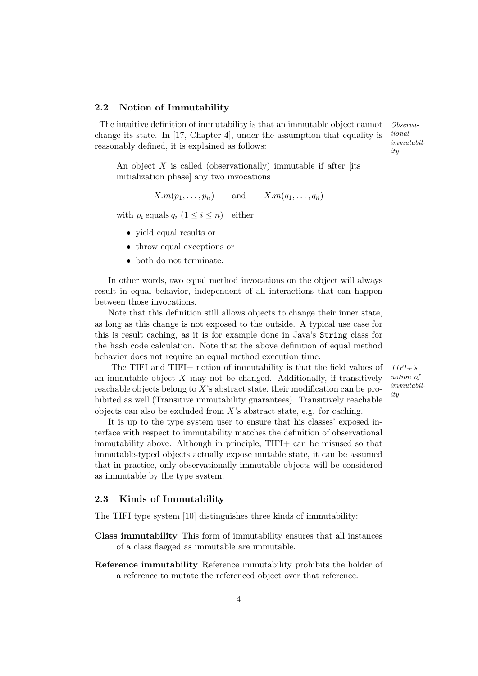#### 2.2 Notion of Immutability

The intuitive definition of immutability is that an immutable object cannot Observachange its state. In [17, Chapter 4], under the assumption that equality is reasonably defined, it is explained as follows:

tional immutability

An object  $X$  is called (observationally) immutable if after [its initialization phase] any two invocations

 $X.m(p_1, \ldots, p_n)$  and  $X.m(q_1, \ldots, q_n)$ 

with  $p_i$  equals  $q_i$   $(1 \leq i \leq n)$  either

- yield equal results or
- throw equal exceptions or
- both do not terminate.

In other words, two equal method invocations on the object will always result in equal behavior, independent of all interactions that can happen between those invocations.

Note that this definition still allows objects to change their inner state, as long as this change is not exposed to the outside. A typical use case for this is result caching, as it is for example done in Java's String class for the hash code calculation. Note that the above definition of equal method behavior does not require an equal method execution time.

The TIFI and TIFI+ notion of immutability is that the field values of  $TIF1+$ 's an immutable object  $X$  may not be changed. Additionally, if transitively reachable objects belong to X's abstract state, their modification can be prohibited as well (Transitive immutability guarantees). Transitively reachable objects can also be excluded from  $X$ 's abstract state, e.g. for caching.

It is up to the type system user to ensure that his classes' exposed interface with respect to immutability matches the definition of observational immutability above. Although in principle, TIFI+ can be misused so that immutable-typed objects actually expose mutable state, it can be assumed that in practice, only observationally immutable objects will be considered as immutable by the type system.

#### 2.3 Kinds of Immutability

The TIFI type system [10] distinguishes three kinds of immutability:

- Class immutability This form of immutability ensures that all instances of a class flagged as immutable are immutable.
- Reference immutability Reference immutability prohibits the holder of a reference to mutate the referenced object over that reference.

notion of immutability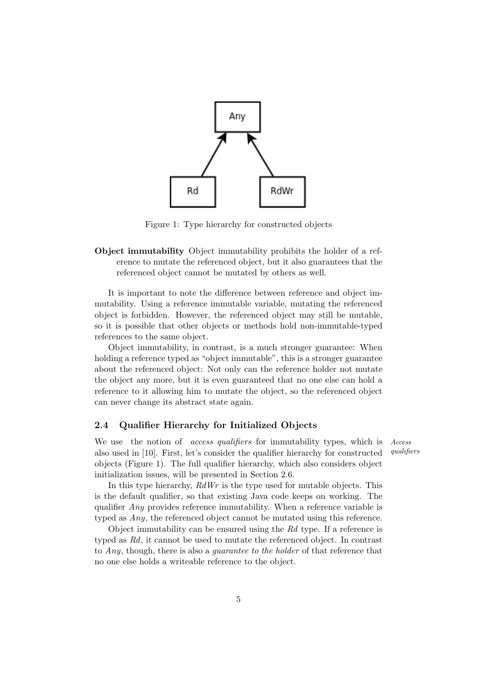

Figure 1: Type hierarchy for constructed objects

Object immutability Object immutability prohibits the holder of a reference to mutate the referenced object, but it also guarantees that the referenced object cannot be mutated by others as well.

It is important to note the difference between reference and object immutability. Using a reference immutable variable, mutating the referenced object is forbidden. However, the referenced object may still be mutable, so it is possible that other objects or methods hold non-immutable-typed references to the same object.

Object immutability, in contrast, is a much stronger guarantee: When holding a reference typed as "object immutable", this is a stronger guarantee about the referenced object: Not only can the reference holder not mutate the object any more, but it is even guaranteed that no one else can hold a reference to it allowing him to mutate the object, so the referenced object can never change its abstract state again.

#### 2.4 Qualifier Hierarchy for Initialized Objects

We use the notion of *access qualifiers* for immutability types, which is *Access* also used in  $[10]$  First let's consider the qualifier hierarchy for constructed *qualifiers* also used in  $[10]$ . First, let's consider the qualifier hierarchy for constructed objects (Figure 1). The full qualifier hierarchy, which also considers object initialization issues, will be presented in Section 2.6.

In this type hierarchy,  $RdWr$  is the type used for mutable objects. This is the default qualifier, so that existing Java code keeps on working. The qualifier Any provides reference immutability. When a reference variable is typed as Any, the referenced object cannot be mutated using this reference.

Object immutability can be ensured using the Rd type. If a reference is typed as Rd, it cannot be used to mutate the referenced object. In contrast to Any, though, there is also a guarantee to the holder of that reference that no one else holds a writeable reference to the object.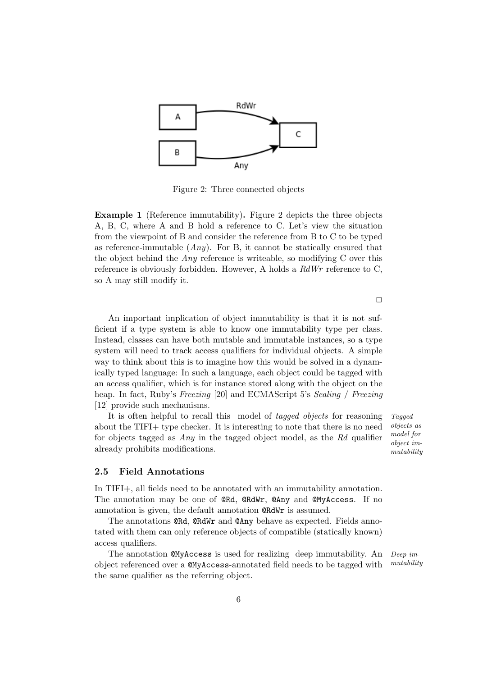

Figure 2: Three connected objects

Example 1 (Reference immutability). Figure 2 depicts the three objects A, B, C, where A and B hold a reference to C. Let's view the situation from the viewpoint of B and consider the reference from B to C to be typed as reference-immutable  $(Any)$ . For B, it cannot be statically ensured that the object behind the  $Any$  reference is writeable, so modifying C over this reference is obviously forbidden. However, A holds a RdWr reference to C, so A may still modify it.

An important implication of object immutability is that it is not sufficient if a type system is able to know one immutability type per class. Instead, classes can have both mutable and immutable instances, so a type system will need to track access qualifiers for individual objects. A simple way to think about this is to imagine how this would be solved in a dynamically typed language: In such a language, each object could be tagged with an access qualifier, which is for instance stored along with the object on the heap. In fact, Ruby's Freezing [20] and ECMAScript 5's Sealing / Freezing [12] provide such mechanisms.

It is often helpful to recall this model of tagged objects for reasoning Tagged about the TIFI+ type checker. It is interesting to note that there is no need for objects tagged as Any in the tagged object model, as the Rd qualifier already prohibits modifications.

objects as model for object immutability

#### 2.5 Field Annotations

In TIFI+, all fields need to be annotated with an immutability annotation. The annotation may be one of @Rd, @RdWr, @Any and @MyAccess. If no annotation is given, the default annotation @RdWr is assumed.

The annotations **CRd, CRdWr** and **CAny** behave as expected. Fields annotated with them can only reference objects of compatible (statically known) access qualifiers.

The annotation  $\mathbb{Q}N$  access is used for realizing deep immutability. An Deep imobject referenced over a  $@MyAccess$ -annotated field needs to be tagged with  $<sup>mutability</sup>$ </sup> the same qualifier as the referring object.

 $\Box$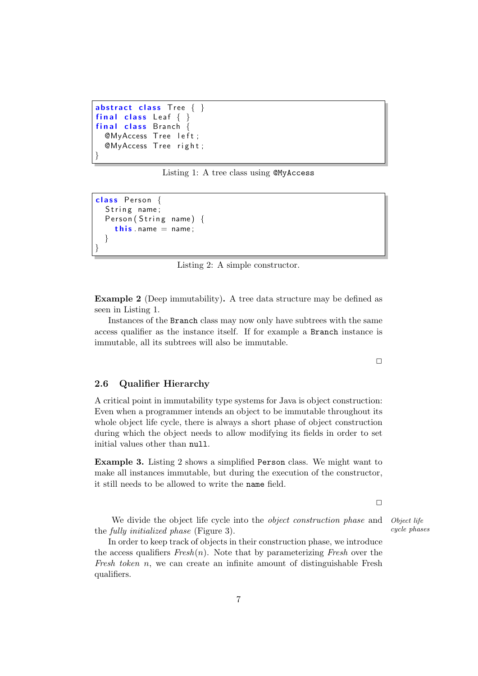```
abstract class Tree \{ \}final class Leaf \{ \}final class Branch {
 @MyAccess Tree left;
  @MyAccess Tree right;
}
```
Listing 1: A tree class using @MyAccess

```
class Person {
  String name:
  Person (String name) {
    this . name = name;
  }
}
```
Listing 2: A simple constructor.

Example 2 (Deep immutability). A tree data structure may be defined as seen in Listing 1.

Instances of the Branch class may now only have subtrees with the same access qualifier as the instance itself. If for example a Branch instance is immutable, all its subtrees will also be immutable.

#### 2.6 Qualifier Hierarchy

A critical point in immutability type systems for Java is object construction: Even when a programmer intends an object to be immutable throughout its whole object life cycle, there is always a short phase of object construction during which the object needs to allow modifying its fields in order to set initial values other than null.

Example 3. Listing 2 shows a simplified Person class. We might want to make all instances immutable, but during the execution of the constructor, it still needs to be allowed to write the name field.

 $\Box$ 

We divide the object life cycle into the *object construction phase* and *Object life* the fully initialized phase (Figure 3).  $cycle\ phase$ 

In order to keep track of objects in their construction phase, we introduce the access qualifiers  $Fresh(n)$ . Note that by parameterizing Fresh over the Fresh token n, we can create an infinite amount of distinguishable Fresh qualifiers.

 $\Box$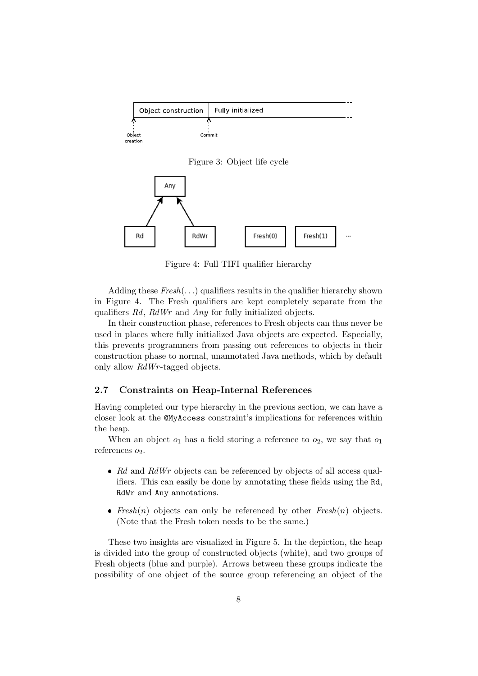|                    | Object construction | Fully initialized |
|--------------------|---------------------|-------------------|
|                    |                     |                   |
| Object<br>creation | Commit              |                   |

Figure 3: Object life cycle



Figure 4: Full TIFI qualifier hierarchy

Adding these  $Fresh(...)$  qualifiers results in the qualifier hierarchy shown in Figure 4. The Fresh qualifiers are kept completely separate from the qualifiers Rd, RdWr and Any for fully initialized objects.

In their construction phase, references to Fresh objects can thus never be used in places where fully initialized Java objects are expected. Especially, this prevents programmers from passing out references to objects in their construction phase to normal, unannotated Java methods, which by default only allow  $RdWr$ -tagged objects.

### 2.7 Constraints on Heap-Internal References

Having completed our type hierarchy in the previous section, we can have a closer look at the @MyAccess constraint's implications for references within the heap.

When an object  $o_1$  has a field storing a reference to  $o_2$ , we say that  $o_1$ references  $o_2$ .

- $\bullet$  Rd and RdWr objects can be referenced by objects of all access qualifiers. This can easily be done by annotating these fields using the Rd, RdWr and Any annotations.
- $Fresh(n)$  objects can only be referenced by other  $Fresh(n)$  objects. (Note that the Fresh token needs to be the same.)

These two insights are visualized in Figure 5. In the depiction, the heap is divided into the group of constructed objects (white), and two groups of Fresh objects (blue and purple). Arrows between these groups indicate the possibility of one object of the source group referencing an object of the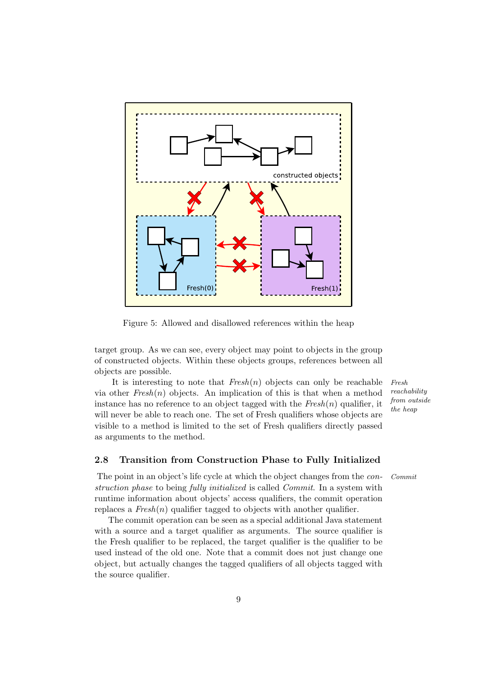

Figure 5: Allowed and disallowed references within the heap

target group. As we can see, every object may point to objects in the group of constructed objects. Within these objects groups, references between all objects are possible.

It is interesting to note that  $Fresh(n)$  objects can only be reachable Fresh via other  $Fresh(n)$  objects. An implication of this is that when a method instance has no reference to an object tagged with the  $Fresh(n)$  qualifier, it will never be able to reach one. The set of Fresh qualifiers whose objects are visible to a method is limited to the set of Fresh qualifiers directly passed as arguments to the method.

reachability from outside the heap

#### 2.8 Transition from Construction Phase to Fully Initialized

The point in an object's life cycle at which the object changes from the *con-* Commit struction phase to being fully initialized is called Commit. In a system with runtime information about objects' access qualifiers, the commit operation replaces a  $Fresh(n)$  qualifier tagged to objects with another qualifier.

The commit operation can be seen as a special additional Java statement with a source and a target qualifier as arguments. The source qualifier is the Fresh qualifier to be replaced, the target qualifier is the qualifier to be used instead of the old one. Note that a commit does not just change one object, but actually changes the tagged qualifiers of all objects tagged with the source qualifier.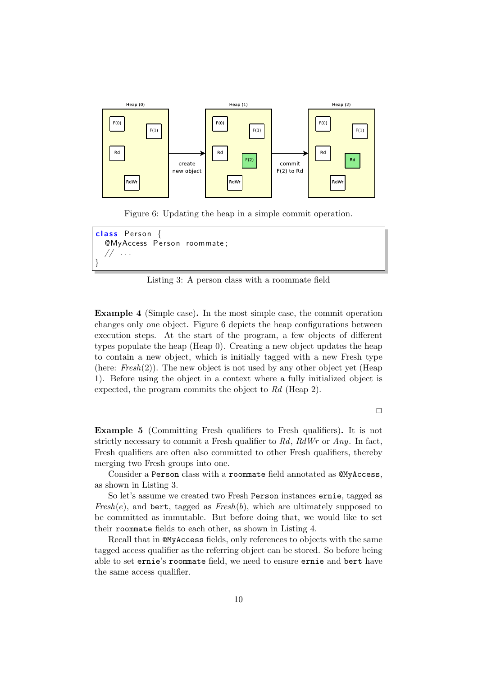

Figure 6: Updating the heap in a simple commit operation.



Listing 3: A person class with a roommate field

Example 4 (Simple case). In the most simple case, the commit operation changes only one object. Figure 6 depicts the heap configurations between execution steps. At the start of the program, a few objects of different types populate the heap (Heap 0). Creating a new object updates the heap to contain a new object, which is initially tagged with a new Fresh type (here:  $Fresh(2)$ ). The new object is not used by any other object yet (Heap 1). Before using the object in a context where a fully initialized object is expected, the program commits the object to Rd (Heap 2).

 $\Box$ 

Example 5 (Committing Fresh qualifiers to Fresh qualifiers). It is not strictly necessary to commit a Fresh qualifier to  $Rd$ ,  $RdWr$  or  $Any$ . In fact, Fresh qualifiers are often also committed to other Fresh qualifiers, thereby merging two Fresh groups into one.

Consider a Person class with a roommate field annotated as @MyAccess, as shown in Listing 3.

So let's assume we created two Fresh Person instances ernie, tagged as  $Fresh(e)$ , and bert, tagged as  $Fresh(b)$ , which are ultimately supposed to be committed as immutable. But before doing that, we would like to set their roommate fields to each other, as shown in Listing 4.

Recall that in @MyAccess fields, only references to objects with the same tagged access qualifier as the referring object can be stored. So before being able to set ernie's roommate field, we need to ensure ernie and bert have the same access qualifier.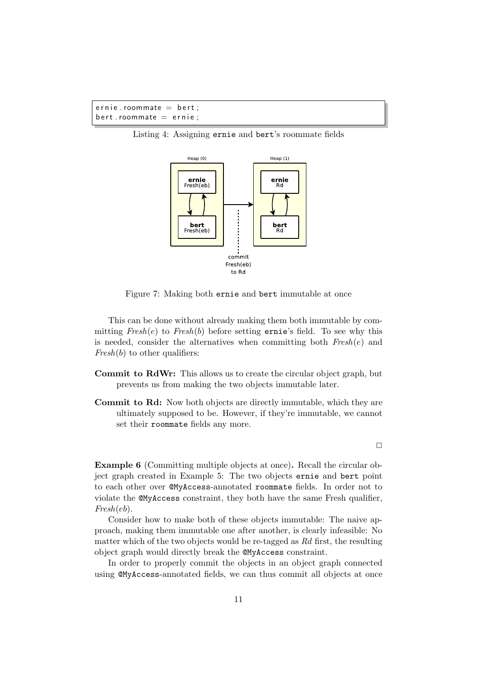```
ernie.roommate = bert;bert. roommate = ernie;
```
Listing 4: Assigning ernie and bert's roommate fields



Figure 7: Making both ernie and bert immutable at once

This can be done without already making them both immutable by committing  $Fresh(e)$  to  $Fresh(b)$  before setting ernie's field. To see why this is needed, consider the alternatives when committing both  $Fresh(e)$  and  $Fresh(b)$  to other qualifiers:

- Commit to RdWr: This allows us to create the circular object graph, but prevents us from making the two objects immutable later.
- Commit to Rd: Now both objects are directly immutable, which they are ultimately supposed to be. However, if they're immutable, we cannot set their roommate fields any more.

 $\Box$ 

Example 6 (Committing multiple objects at once). Recall the circular object graph created in Example 5: The two objects ernie and bert point to each other over @MyAccess-annotated roommate fields. In order not to violate the @MyAccess constraint, they both have the same Fresh qualifier,  $Fresh(eb)$ .

Consider how to make both of these objects immutable: The naive approach, making them immutable one after another, is clearly infeasible: No matter which of the two objects would be re-tagged as Rd first, the resulting object graph would directly break the @MyAccess constraint.

In order to properly commit the objects in an object graph connected using @MyAccess-annotated fields, we can thus commit all objects at once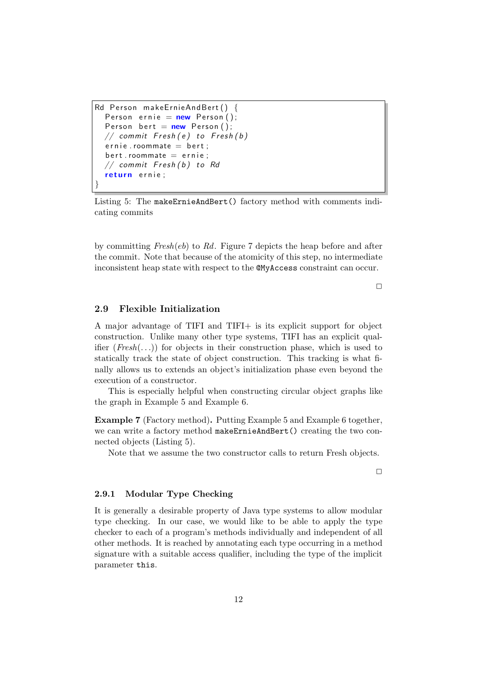```
Rd Person makeErnieAndBert () {
  Person ernie = new Person ();
  Person bert = new Person ();
  // commit Fresh(e) to Fresh(b)ernie. roommate = bert :
  bert. roommate = ernie;
  // commit Fresh(b) to Rd
  return ernie;
}
```
Listing 5: The makeErnieAndBert() factory method with comments indicating commits

by committing  $Fresh(eb)$  to Rd. Figure 7 depicts the heap before and after the commit. Note that because of the atomicity of this step, no intermediate inconsistent heap state with respect to the @MyAccess constraint can occur.

 $\Box$ 

#### 2.9 Flexible Initialization

A major advantage of TIFI and TIFI+ is its explicit support for object construction. Unlike many other type systems, TIFI has an explicit qualifier  $(Fresh(...)$  for objects in their construction phase, which is used to statically track the state of object construction. This tracking is what finally allows us to extends an object's initialization phase even beyond the execution of a constructor.

This is especially helpful when constructing circular object graphs like the graph in Example 5 and Example 6.

Example 7 (Factory method). Putting Example 5 and Example 6 together, we can write a factory method makeErnieAndBert() creating the two connected objects (Listing 5).

Note that we assume the two constructor calls to return Fresh objects.

 $\Box$ 

#### 2.9.1 Modular Type Checking

It is generally a desirable property of Java type systems to allow modular type checking. In our case, we would like to be able to apply the type checker to each of a program's methods individually and independent of all other methods. It is reached by annotating each type occurring in a method signature with a suitable access qualifier, including the type of the implicit parameter this.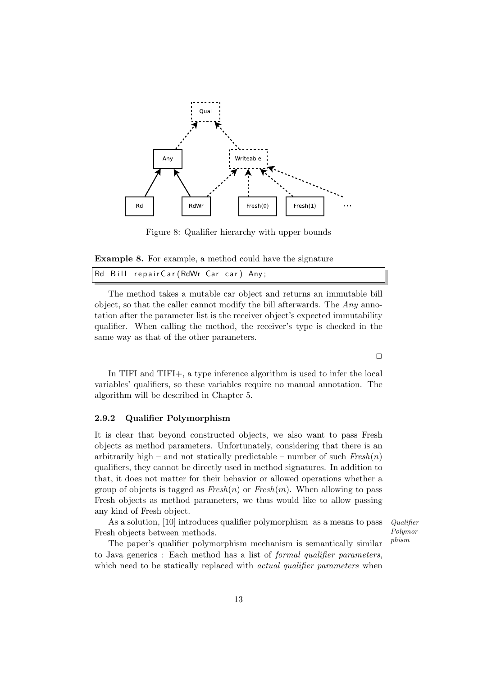

Figure 8: Qualifier hierarchy with upper bounds

Example 8. For example, a method could have the signature

|  |  | Rd Bill repairCar(RdWr Car car) Any; |  |  |  |  |
|--|--|--------------------------------------|--|--|--|--|
|--|--|--------------------------------------|--|--|--|--|

The method takes a mutable car object and returns an immutable bill object, so that the caller cannot modify the bill afterwards. The Any annotation after the parameter list is the receiver object's expected immutability qualifier. When calling the method, the receiver's type is checked in the same way as that of the other parameters.

 $\Box$ 

In TIFI and TIFI+, a type inference algorithm is used to infer the local variables' qualifiers, so these variables require no manual annotation. The algorithm will be described in Chapter 5.

#### 2.9.2 Qualifier Polymorphism

It is clear that beyond constructed objects, we also want to pass Fresh objects as method parameters. Unfortunately, considering that there is an arbitrarily high – and not statically predictable – number of such  $Fresh(n)$ qualifiers, they cannot be directly used in method signatures. In addition to that, it does not matter for their behavior or allowed operations whether a group of objects is tagged as  $Fresh(n)$  or  $Fresh(m)$ . When allowing to pass Fresh objects as method parameters, we thus would like to allow passing any kind of Fresh object.

As a solution,  $[10]$  introduces qualifier polymorphism as a means to pass *Qualifier* Fresh objects between methods.

Polymorphism

The paper's qualifier polymorphism mechanism is semantically similar to Java generics : Each method has a list of formal qualifier parameters, which need to be statically replaced with *actual qualifier parameters* when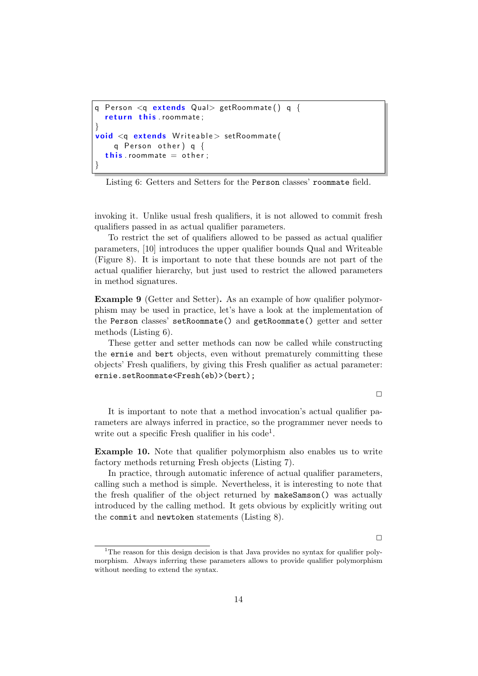```
q Person \leq q extends Qual> getRoommate() q {
  return this . roommate;
}
void < q extends Writeable > setRoommate (
    q Person other) q \{this roommate = other;
}
```
Listing 6: Getters and Setters for the Person classes' roommate field.

invoking it. Unlike usual fresh qualifiers, it is not allowed to commit fresh qualifiers passed in as actual qualifier parameters.

To restrict the set of qualifiers allowed to be passed as actual qualifier parameters, [10] introduces the upper qualifier bounds Qual and Writeable (Figure 8). It is important to note that these bounds are not part of the actual qualifier hierarchy, but just used to restrict the allowed parameters in method signatures.

Example 9 (Getter and Setter). As an example of how qualifier polymorphism may be used in practice, let's have a look at the implementation of the Person classes' setRoommate() and getRoommate() getter and setter methods (Listing 6).

These getter and setter methods can now be called while constructing the ernie and bert objects, even without prematurely committing these objects' Fresh qualifiers, by giving this Fresh qualifier as actual parameter: ernie.setRoommate<Fresh(eb)>(bert);

 $\Box$ 

It is important to note that a method invocation's actual qualifier parameters are always inferred in practice, so the programmer never needs to write out a specific Fresh qualifier in his code<sup>1</sup>.

Example 10. Note that qualifier polymorphism also enables us to write factory methods returning Fresh objects (Listing 7).

In practice, through automatic inference of actual qualifier parameters, calling such a method is simple. Nevertheless, it is interesting to note that the fresh qualifier of the object returned by makeSamson() was actually introduced by the calling method. It gets obvious by explicitly writing out the commit and newtoken statements (Listing 8).

 $\Box$ 

<sup>&</sup>lt;sup>1</sup>The reason for this design decision is that Java provides no syntax for qualifier polymorphism. Always inferring these parameters allows to provide qualifier polymorphism without needing to extend the syntax.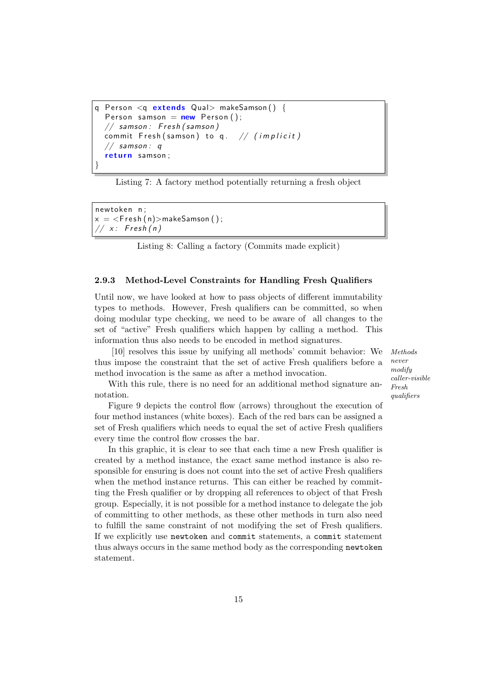```
Person \leq q extends Qual> makeSamson() {
  Person samson = new Person ();
  // samson: Fresh (samson)
 commit Fresh (samson) to q. // (implicit)// samson: qreturn samson;
}
```
Listing 7: A factory method potentially returning a fresh object

new token n ;  $x = resh(n) > makeSamson();$  $// x:$  Fresh(n)

Listing 8: Calling a factory (Commits made explicit)

#### 2.9.3 Method-Level Constraints for Handling Fresh Qualifiers

Until now, we have looked at how to pass objects of different immutability types to methods. However, Fresh qualifiers can be committed, so when doing modular type checking, we need to be aware of all changes to the set of "active" Fresh qualifiers which happen by calling a method. This information thus also needs to be encoded in method signatures.

[10] resolves this issue by unifying all methods' commit behavior: We Methods thus impose the constraint that the set of active Fresh qualifiers before a method invocation is the same as after a method invocation.

never modify caller-visible Fresh qualifiers

With this rule, there is no need for an additional method signature annotation.

Figure 9 depicts the control flow (arrows) throughout the execution of four method instances (white boxes). Each of the red bars can be assigned a set of Fresh qualifiers which needs to equal the set of active Fresh qualifiers every time the control flow crosses the bar.

In this graphic, it is clear to see that each time a new Fresh qualifier is created by a method instance, the exact same method instance is also responsible for ensuring is does not count into the set of active Fresh qualifiers when the method instance returns. This can either be reached by committing the Fresh qualifier or by dropping all references to object of that Fresh group. Especially, it is not possible for a method instance to delegate the job of committing to other methods, as these other methods in turn also need to fulfill the same constraint of not modifying the set of Fresh qualifiers. If we explicitly use newtoken and commit statements, a commit statement thus always occurs in the same method body as the corresponding newtoken statement.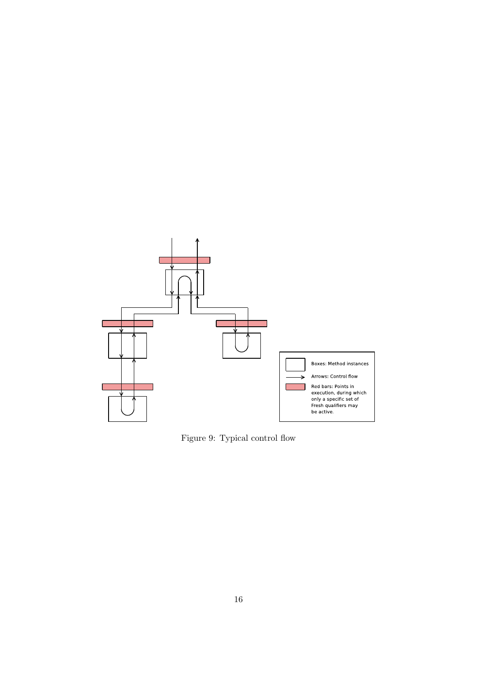

Figure 9: Typical control flow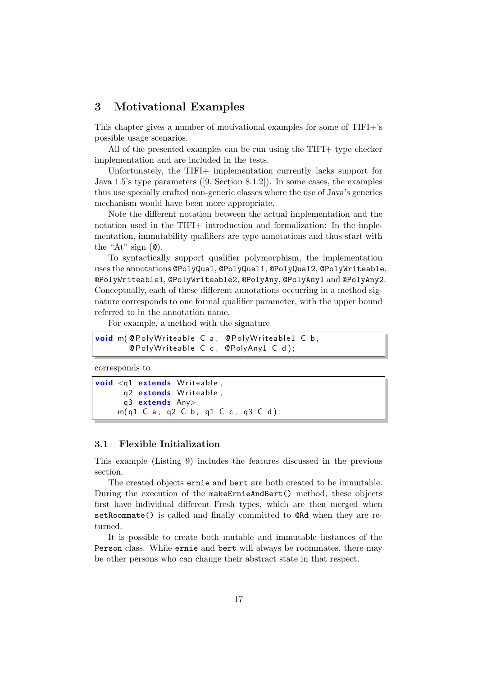## 3 Motivational Examples

This chapter gives a number of motivational examples for some of TIFI+'s possible usage scenarios.

All of the presented examples can be run using the TIFI+ type checker implementation and are included in the tests.

Unfortunately, the TIFI+ implementation currently lacks support for Java 1.5's type parameters ([9, Section 8.1.2]). In some cases, the examples thus use specially crafted non-generic classes where the use of Java's generics mechanism would have been more appropriate.

Note the different notation between the actual implementation and the notation used in the TIFI+ introduction and formalization: In the implementation, immutability qualifiers are type annotations and thus start with the "At" sign  $(\mathbf{Q})$ .

To syntactically support qualifier polymorphism, the implementation uses the annotations @PolyQual, @PolyQual1, @PolyQual2, @PolyWriteable, @PolyWriteable1, @PolyWriteable2, @PolyAny, @PolyAny1 and @PolyAny2. Conceptually, each of these different annotations occurring in a method signature corresponds to one formal qualifier parameter, with the upper bound referred to in the annotation name.

For example, a method with the signature

```
void m(@PolyWriteable C a, @PolyWriteable1 C b,
       @PolyWriteable C c, @PolyAny1 C d);
```
corresponds to

```
void <q1 extends Writeable,
      q2 extends Writeable,
      q3 extends Any>
     m( q1 C a , q2 C b , q1 C c , q3 C d ) ;
```
#### 3.1 Flexible Initialization

This example (Listing 9) includes the features discussed in the previous section.

The created objects ernie and bert are both created to be immutable. During the execution of the makeErnieAndBert() method, these objects first have individual different Fresh types, which are then merged when setRoommate() is called and finally committed to @Rd when they are returned.

It is possible to create both mutable and immutable instances of the Person class. While ernie and bert will always be roommates, there may be other persons who can change their abstract state in that respect.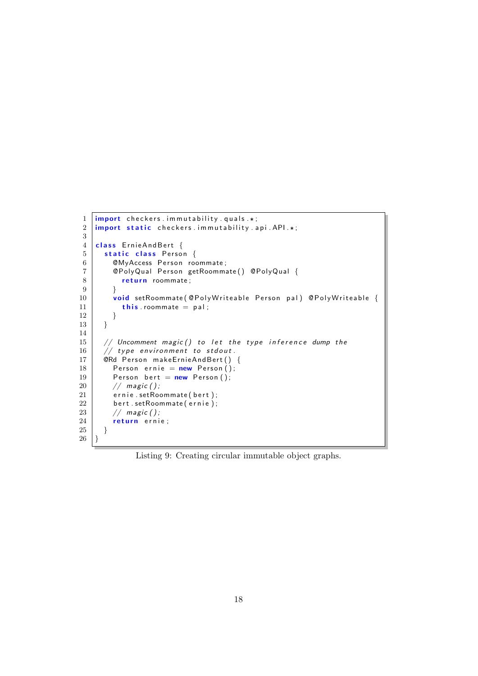```
1 \frac{1}{\text{import}} checkers . immutability . quals .*;
2 | import static checkers. immutability. a pi. API.3
4 class ErnieAndBert {
 5 static class Person {
 6 | ©MyAccess Person roommate;
7 | @PolyQual Person getRoommate () @PolyQual {
\begin{array}{c|c} 8 & \text{return} & \text{roommate} ; \\ 9 & \text{ } & \end{array}\begin{array}{c|c} 9 & & \frac{1}{2} \\ 10 & & \frac{1}{2} \end{array}void setRoommate ( @P oly Write a ble P erson pal ) @P oly Write a ble {
11 this roommate = pal;
12 }
13 }
14
15 // Uncomment magic () to let the type inference dump the
16 // type environment to stdout.
17 | @Rd Person makeErnieAndBert () {
18 Person ernie = new Person ();
19 Person bert = new Person ();<br>20 // magic ():
         // magic ();
21 ernie setRoommate (bert);
22 bert setRoommate (ernie);
23 // magic ();
24 return ernie;
25 \mid \}26 | }
```
Listing 9: Creating circular immutable object graphs.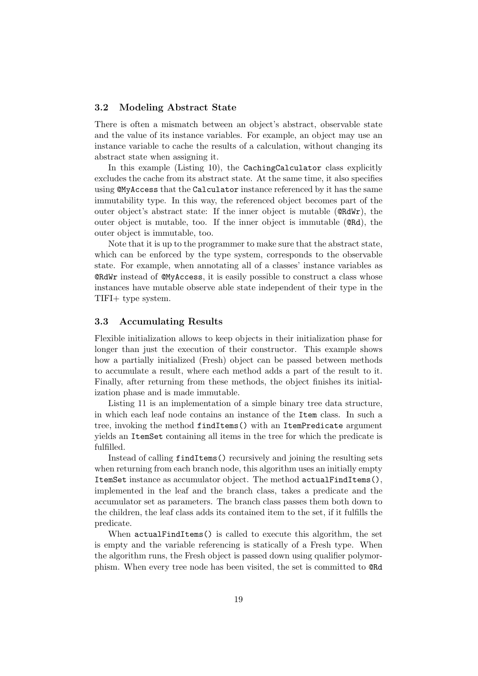#### 3.2 Modeling Abstract State

There is often a mismatch between an object's abstract, observable state and the value of its instance variables. For example, an object may use an instance variable to cache the results of a calculation, without changing its abstract state when assigning it.

In this example (Listing 10), the CachingCalculator class explicitly excludes the cache from its abstract state. At the same time, it also specifies using @MyAccess that the Calculator instance referenced by it has the same immutability type. In this way, the referenced object becomes part of the outer object's abstract state: If the inner object is mutable (@RdWr), the outer object is mutable, too. If the inner object is immutable (@Rd), the outer object is immutable, too.

Note that it is up to the programmer to make sure that the abstract state, which can be enforced by the type system, corresponds to the observable state. For example, when annotating all of a classes' instance variables as @RdWr instead of @MyAccess, it is easily possible to construct a class whose instances have mutable observe able state independent of their type in the TIFI+ type system.

#### 3.3 Accumulating Results

Flexible initialization allows to keep objects in their initialization phase for longer than just the execution of their constructor. This example shows how a partially initialized (Fresh) object can be passed between methods to accumulate a result, where each method adds a part of the result to it. Finally, after returning from these methods, the object finishes its initialization phase and is made immutable.

Listing 11 is an implementation of a simple binary tree data structure, in which each leaf node contains an instance of the Item class. In such a tree, invoking the method findItems() with an ItemPredicate argument yields an ItemSet containing all items in the tree for which the predicate is fulfilled.

Instead of calling findItems() recursively and joining the resulting sets when returning from each branch node, this algorithm uses an initially empty ItemSet instance as accumulator object. The method actualFindItems(), implemented in the leaf and the branch class, takes a predicate and the accumulator set as parameters. The branch class passes them both down to the children, the leaf class adds its contained item to the set, if it fulfills the predicate.

When actualFindItems() is called to execute this algorithm, the set is empty and the variable referencing is statically of a Fresh type. When the algorithm runs, the Fresh object is passed down using qualifier polymorphism. When every tree node has been visited, the set is committed to @Rd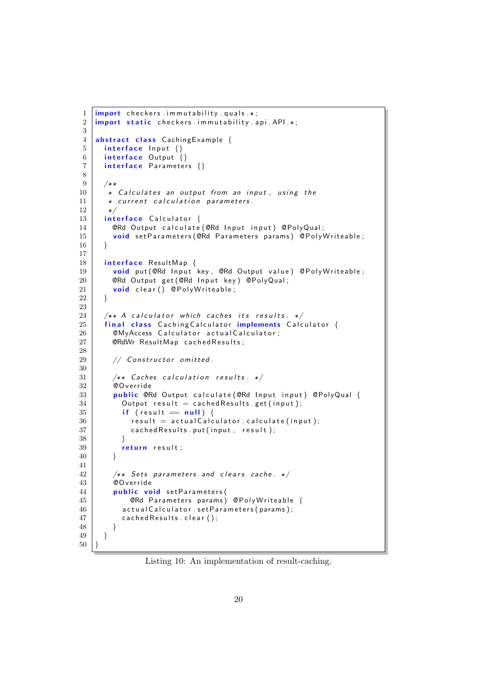```
1 \frac{1}{\text{import} \cdot} checkers . immutability . quals .*;
2 import static checkers immutability api API \ast;
3
4 abstract class Caching Example {
5 interface Input \{\}6 interface Output \{\}7 interface Parameters \{\}8
9 / * *10 * Calculates an output from an input, using the
11 * current calculation parameters.
12 */
13 interface Calculator {
14 \blacksquare @Rd Output calculate (@Rd Input input) @PolyQual;
15 void set Parameters (@Rd Parameters params) @PolyWriteable;
16 }
17
18 | interface ResultMap {
19 void put (@Rd Input key, @Rd Output value) @PolyWriteable;
20 @Rd Output get (@Rd Input key) @PolyQual;
21 void clear () @PolyWriteable;
22 }
23
24 \vert /** A calculator which caches its results. */
25 | final class Caching Calculator implements Calculator {
26 \vert @MyAccess Calculator actual Calculator;
27 \sim CRdWr ResultMap cached Results;
\frac{28}{29}// Constructor omitted.
30
31 /** Caches calculation results. */
32 @ O verride
33 public @Rd Output calculate (@Rd Input input) @PolyQual {
34 Output result = cached Results .get (input);
35 if (result = null) {
36 result = actual Calculator . calculate (input);
37 cached Results . put (in put, result);
38 }
39 return result;
40 }
41
42 \frac{1}{2} /** Sets parameters and clears cache. */
43 @Override
44 | public void set Parameters (
45 | CRd Parameters params) CPolyWriteable {
46 actual Calculator . set Parameters (params);
47 cached Results . clear ();
48 }
49 }
50 \, | \}
```
Listing 10: An implementation of result-caching.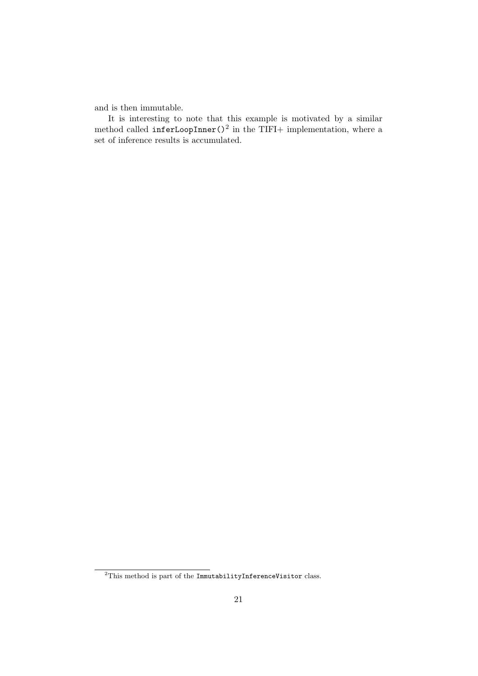and is then immutable.

It is interesting to note that this example is motivated by a similar method called  $inferLoopInner()^2$  in the TIFI+ implementation, where a set of inference results is accumulated.

 $\overline{a^2}$ This method is part of the ImmutabilityInferenceVisitor class.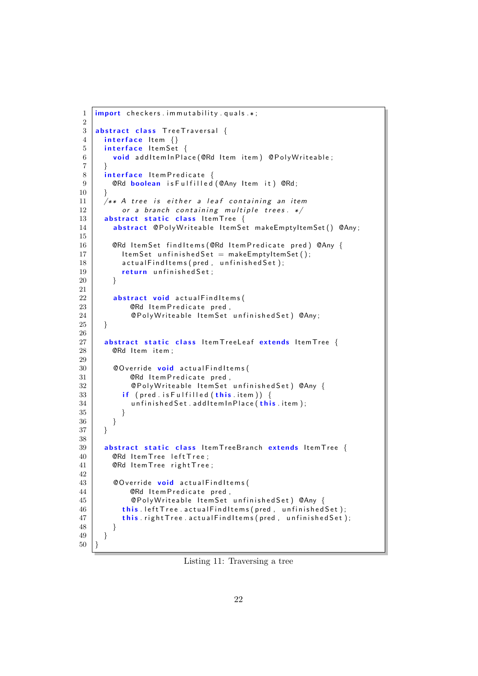```
1 \frac{1}{\text{import}} checkers . immutability . quals . *;
2
3 abstract class Tree Traversal {
4 interface Item \{\}5 interface ItemSet {
6 void addItemInPlace (@Rd Item item) @PolyWriteable;\overline{7}8 interface Item Predicate {
9 | CRd boolean is Fulfilled (CAny Item it) CRd;
10 }
11 \Big| /** A tree is either a leaf containing an item
12 or a branch containing multiple trees. */13 abstract static class Item Tree {
14 abstract @PolyWriteable ItemSet makeEmptyItemSet () @Any;
15
16 | ORd Item Set find I tems (ORd Item Predicate pred) OAny {
17 | ItemSet unfinishedSet = makeEmptyItemSet();
18 actual Find I tems (pred, unfinished Set);
19 | return unfinished Set;
20 }
21
22 abstract void actual Findltems (
23 | CRd Item Predicate pred,
24 | ©PolyWriteable ItemSet unfinishedSet) @Any;
25 }
26
27 abstract static class Item Tree Leaf extends Item Tree {
28 | @Rd Item item :
29
30 \sim @Override void actual Find Items (
31 | @Rd Item Predicate pred,
32 | ©PolyWriteable ItemSet unfinishedSet) @Any {
33 if ( pred . is Fulfilled ( this . item )) {
34 | unfinished Set . addItemIn Place (this. item);
35 }
36 }
37 \mid \}38
39 | abstract static class ItemTreeBranch extends ItemTree {
40 | CRd Item Tree left Tree;
41 | ©Rd Item Tree right Tree;
42
43 \sim @Override void actual Findltems (
44 | @Rd Item Predicate pred,
45 @P o l yW r i t e a b l e I t em S e t u n f i n i s h e d S e t ) @Any {
46 this left Tree actual Findltems (pred, unfinished Set);
47 | this . right Tree . actual Find Items (pred, unfinished Set);
48 }
49 }
50 \, | \}
```
Listing 11: Traversing a tree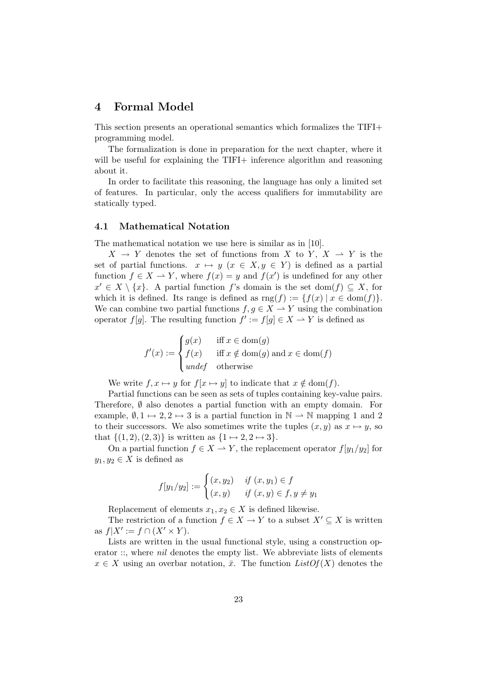## 4 Formal Model

This section presents an operational semantics which formalizes the TIFI+ programming model.

The formalization is done in preparation for the next chapter, where it will be useful for explaining the TIFI+ inference algorithm and reasoning about it.

In order to facilitate this reasoning, the language has only a limited set of features. In particular, only the access qualifiers for immutability are statically typed.

#### 4.1 Mathematical Notation

The mathematical notation we use here is similar as in [10].

 $X \to Y$  denotes the set of functions from X to Y,  $X \to Y$  is the set of partial functions.  $x \mapsto y$   $(x \in X, y \in Y)$  is defined as a partial function  $f \in X \to Y$ , where  $f(x) = y$  and  $f(x')$  is undefined for any other  $x' \in X \setminus \{x\}$ . A partial function f's domain is the set dom(f)  $\subseteq X$ , for which it is defined. Its range is defined as  $\text{rng}(f) := \{f(x) | x \in \text{dom}(f)\}.$ We can combine two partial functions  $f, g \in X \to Y$  using the combination operator  $f[g]$ . The resulting function  $f' := f[g] \in X \longrightarrow Y$  is defined as

$$
f'(x) := \begin{cases} g(x) & \text{if } x \in \text{dom}(g) \\ f(x) & \text{if } x \notin \text{dom}(g) \text{ and } x \in \text{dom}(f) \\ \text{undefined} & \text{otherwise} \end{cases}
$$

We write  $f, x \mapsto y$  for  $f[x \mapsto y]$  to indicate that  $x \notin \text{dom}(f)$ .

Partial functions can be seen as sets of tuples containing key-value pairs. Therefore,  $\emptyset$  also denotes a partial function with an empty domain. For example,  $\emptyset$ ,  $1 \mapsto 2$ ,  $2 \mapsto 3$  is a partial function in  $\mathbb{N} \to \mathbb{N}$  mapping 1 and 2 to their successors. We also sometimes write the tuples  $(x, y)$  as  $x \mapsto y$ , so that  $\{(1, 2), (2, 3)\}\$ is written as  $\{1 \mapsto 2, 2 \mapsto 3\}.$ 

On a partial function  $f \in X \to Y$ , the replacement operator  $f[y_1/y_2]$  for  $y_1, y_2 \in X$  is defined as

$$
f[y_1/y_2] := \begin{cases} (x, y_2) & \text{if } (x, y_1) \in f \\ (x, y) & \text{if } (x, y) \in f, y \neq y_1 \end{cases}
$$

Replacement of elements  $x_1, x_2 \in X$  is defined likewise.

The restriction of a function  $f \in X \to Y$  to a subset  $X' \subseteq X$  is written as  $f|X' := f \cap (X' \times Y)$ .

Lists are written in the usual functional style, using a construction operator ::, where *nil* denotes the empty list. We abbreviate lists of elements  $x \in X$  using an overbar notation,  $\bar{x}$ . The function  $ListOf(X)$  denotes the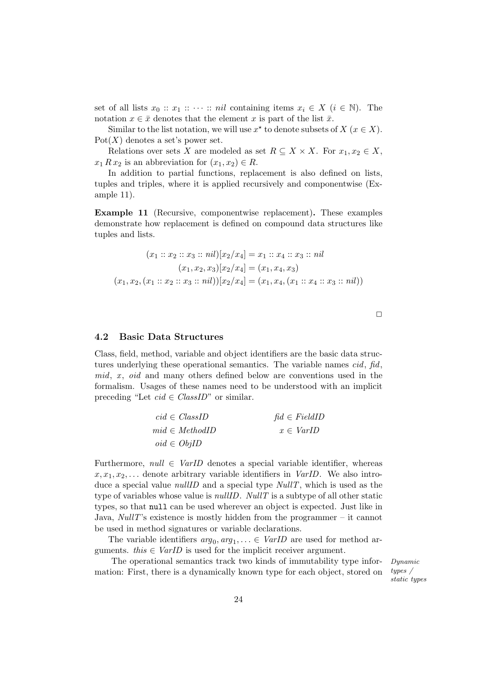set of all lists  $x_0 :: x_1 :: \cdots :: nil$  containing items  $x_i \in X$   $(i \in \mathbb{N})$ . The notation  $x \in \bar{x}$  denotes that the element x is part of the list  $\bar{x}$ .

Similar to the list notation, we will use  $x^*$  to denote subsets of  $X$   $(x \in X)$ .  $Pot(X)$  denotes a set's power set.

Relations over sets X are modeled as set  $R \subseteq X \times X$ . For  $x_1, x_2 \in X$ ,  $x_1 R x_2$  is an abbreviation for  $(x_1, x_2) \in R$ .

In addition to partial functions, replacement is also defined on lists, tuples and triples, where it is applied recursively and componentwise (Example 11).

Example 11 (Recursive, componentwise replacement). These examples demonstrate how replacement is defined on compound data structures like tuples and lists.

$$
(x_1 :: x_2 :: x_3 :: nil)[x_2/x_4] = x_1 :: x_4 :: x_3 :: nil
$$

$$
(x_1, x_2, x_3)[x_2/x_4] = (x_1, x_4, x_3)
$$

$$
(x_1, x_2, (x_1 :: x_2 :: x_3 :: nil))[x_2/x_4] = (x_1, x_4, (x_1 :: x_4 :: x_3 :: nil))
$$

 $\Box$ 

#### 4.2 Basic Data Structures

Class, field, method, variable and object identifiers are the basic data structures underlying these operational semantics. The variable names cid, fid,  $mid, x, oid$  and many others defined below are conventions used in the formalism. Usages of these names need to be understood with an implicit preceding "Let  $cid \in ClassID$ " or similar.

| $cid \in ClassID$  | $\text{fid} \in FieldID$ |
|--------------------|--------------------------|
| $mid \in MethodID$ | $x \in \text{VarID}$     |
| $oid \in ObjID$    |                          |

Furthermore, null  $\in \text{VarID}$  denotes a special variable identifier, whereas  $x, x_1, x_2, \ldots$  denote arbitrary variable identifiers in *VarID*. We also introduce a special value *nullID* and a special type  $NullT$ , which is used as the type of variables whose value is  $nullD$ . NullT is a subtype of all other static types, so that null can be used wherever an object is expected. Just like in Java,  $NullT$ 's existence is mostly hidden from the programmer – it cannot be used in method signatures or variable declarations.

The variable identifiers  $arg_0, arg_1, \ldots \in \text{VarID}$  are used for method arguments. this  $\in \text{VarID}$  is used for the implicit receiver argument.

The operational semantics track two kinds of immutability type infor- Dynamic mation: First, there is a dynamically known type for each object, stored on

types / static types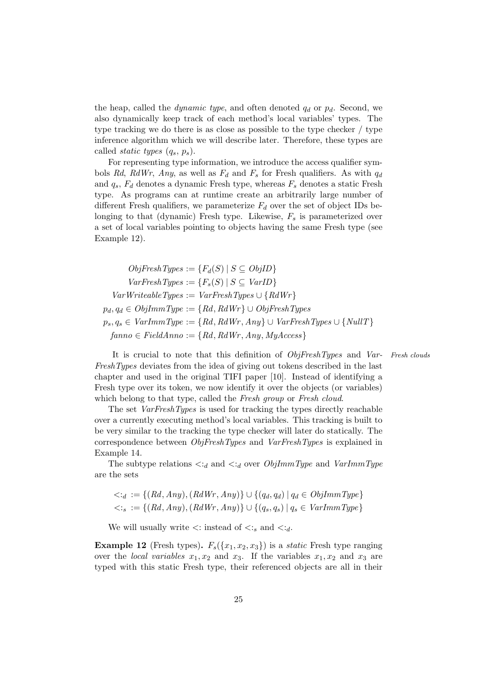the heap, called the *dynamic type*, and often denoted  $q_d$  or  $p_d$ . Second, we also dynamically keep track of each method's local variables' types. The type tracking we do there is as close as possible to the type checker / type inference algorithm which we will describe later. Therefore, these types are called *static types*  $(q_s, p_s)$ .

For representing type information, we introduce the access qualifier symbols Rd, RdWr, Any, as well as  $F_d$  and  $F_s$  for Fresh qualifiers. As with  $q_d$ and  $q_s$ ,  $F_d$  denotes a dynamic Fresh type, whereas  $F_s$  denotes a static Fresh type. As programs can at runtime create an arbitrarily large number of different Fresh qualifiers, we parameterize  $F_d$  over the set of object IDs belonging to that (dynamic) Fresh type. Likewise,  $F_s$  is parameterized over a set of local variables pointing to objects having the same Fresh type (see Example 12).

 $ObiFreshTwpes := {F<sub>d</sub>(S) | S \subseteq ObjID}$  $VarFreshTwes := {F_*(S) | S \subseteq VarID}$  $VarWriteableTypes := VarFreshTypes \cup \{RdWr\}$  $p_d, q_d \in ObjImmType := \{Rd, RdWr\} \cup ObjFreshTypes$  $p_s, q_s \in \text{VarImmType} := \{ Rd, RdWr, Any \} \cup \text{VarFreshTypes} \cup \{ NullT \}$  $fanno \in FieldAnno := \{Rd, RdWr, Any, MyAccess\}$ 

It is crucial to note that this definition of  $ObjFreshTypes$  and  $Var$ - Fresh clouds FreshTypes deviates from the idea of giving out tokens described in the last chapter and used in the original TIFI paper [10]. Instead of identifying a Fresh type over its token, we now identify it over the objects (or variables) which belong to that type, called the Fresh group or Fresh cloud.

The set *VarFreshTypes* is used for tracking the types directly reachable over a currently executing method's local variables. This tracking is built to be very similar to the tracking the type checker will later do statically. The correspondence between ObjFreshTypes and VarFreshTypes is explained in Example 14.

The subtype relations  $\langle \cdot \cdot \cdot \rangle_d$  and  $\langle \cdot \cdot \rangle_d$  over  $ObjImmType$  and  $VarImmType$ are the sets

$$
\langle \cdot a := \{ (Rd, Any), (RdWr, Any) \} \cup \{ (q_d, q_d) \mid q_d \in ObjImmType \} \langle \cdot s := \{ (Rd, Any), (RdWr, Any) \} \cup \{ (q_s, q_s) \mid q_s \in VarImmType \}
$$

We will usually write  $\langle \cdot \rangle$ : instead of  $\langle \cdot \rangle$  and  $\langle \cdot \rangle$ .

**Example 12** (Fresh types).  $F_s({x_1, x_2, x_3})$  is a *static* Fresh type ranging over the *local variables*  $x_1, x_2$  and  $x_3$ . If the variables  $x_1, x_2$  and  $x_3$  are typed with this static Fresh type, their referenced objects are all in their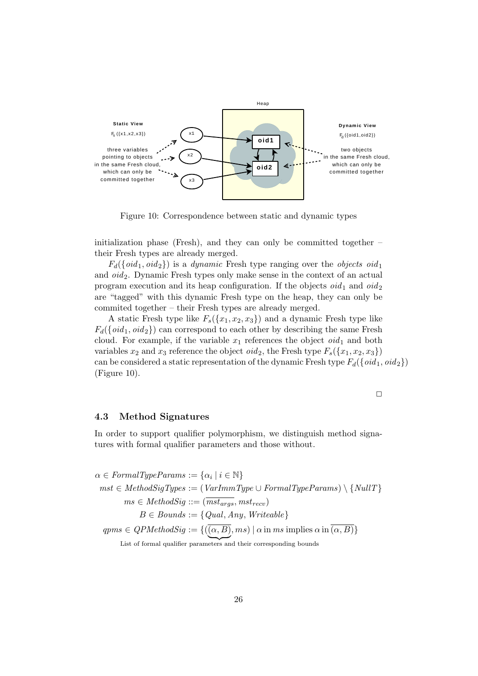

Figure 10: Correspondence between static and dynamic types

initialization phase (Fresh), and they can only be committed together  $$ their Fresh types are already merged.

 $F_d({\{oid_1,oid_2\}})$  is a *dynamic* Fresh type ranging over the *objects oid* 1 and  $oid_2$ . Dynamic Fresh types only make sense in the context of an actual program execution and its heap configuration. If the objects  $oid_1$  and  $oid_2$ are "tagged" with this dynamic Fresh type on the heap, they can only be commited together – their Fresh types are already merged.

A static Fresh type like  $F_s({x_1, x_2, x_3})$  and a dynamic Fresh type like  $F_d({\lbrace \text{oid}_1, \text{oid}_2 \rbrace})$  can correspond to each other by describing the same Fresh cloud. For example, if the variable  $x_1$  references the object  $oid_1$  and both variables  $x_2$  and  $x_3$  reference the object *oid*<sub>2</sub>, the Fresh type  $F_s({x_1, x_2, x_3})$ can be considered a static representation of the dynamic Fresh type  $F_d({\lbrace oid_1, oid_2 \rbrace})$ (Figure 10).

 $\Box$ 

#### 4.3 Method Signatures

In order to support qualifier polymorphism, we distinguish method signatures with formal qualifier parameters and those without.

 $\alpha \in \text{FormalTypeParameters} := {\alpha_i | i \in \mathbb{N}}$  $mst \in MethodSigTypes := (VarImmType \cup FormalTypeParameters) \setminus \{NullT\}$  $ms \in MethodSig ::= (\overline{mst_{args}}, mst_{recv})$  $B \in Bounds := \{ Qual, Any, Writeable \}$  $qpms \in QPMethodSig := \{((\alpha, B), ms) \mid \alpha \text{ in } ms \text{ implies } \alpha \text{ in } (\alpha, B)\}\$ 

List of formal qualifier parameters and their corresponding bounds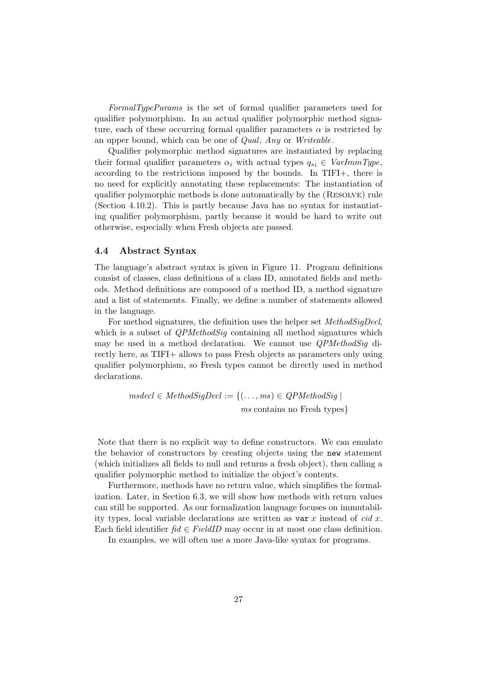FormalTypeParams is the set of formal qualifier parameters used for qualifier polymorphism. In an actual qualifier polymorphic method signature, each of these occurring formal qualifier parameters  $\alpha$  is restricted by an upper bound, which can be one of Qual, Any or Writeable.

Qualifier polymorphic method signatures are instantiated by replacing their formal qualifier parameters  $\alpha_i$  with actual types  $q_{si} \in \text{VarImmType}$ , according to the restrictions imposed by the bounds. In TIFI+, there is no need for explicitly annotating these replacements: The instantiation of qualifier polymorphic methods is done automatically by the (Resolve) rule (Section 4.10.2). This is partly because Java has no syntax for instantiating qualifier polymorphism, partly because it would be hard to write out otherwise, especially when Fresh objects are passed.

#### 4.4 Abstract Syntax

The language's abstract syntax is given in Figure 11. Program definitions consist of classes, class definitions of a class ID, annotated fields and methods. Method definitions are composed of a method ID, a method signature and a list of statements. Finally, we define a number of statements allowed in the language.

For method signatures, the definition uses the helper set MethodSigDecl, which is a subset of *QPMethodSig* containing all method signatures which may be used in a method declaration. We cannot use *QPMethodSig* directly here, as TIFI+ allows to pass Fresh objects as parameters only using qualifier polymorphism, so Fresh types cannot be directly used in method declarations.

> $msdecl \in MethodSigDecl := \{(\ldots, ms) \in QPMethodSig\}$ ms contains no Fresh types}

Note that there is no explicit way to define constructors. We can emulate the behavior of constructors by creating objects using the new statement (which initializes all fields to null and returns a fresh object), then calling a qualifier polymorphic method to initialize the object's contents.

Furthermore, methods have no return value, which simplifies the formalization. Later, in Section 6.3, we will show how methods with return values can still be supported. As our formalization language focuses on immutability types, local variable declarations are written as  $var x$  instead of cid x. Each field identifier  $f \in FieldID$  may occur in at most one class definition.

In examples, we will often use a more Java-like syntax for programs.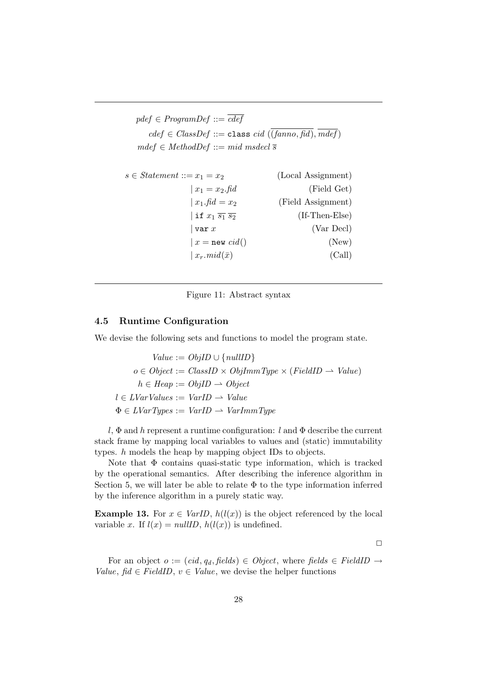```
pdef \in ProgramDef ::= \overline{cdef}cdef \in ClassDef ::= \text{class } cid \ (\overline{(\text{fanno}, \text{fid})}, \overline{mdef})mdef \in MethodDef ::= mid\ models \in Statement ::= x_1 = x_2 (Local Assignment)
```

| $x_1 = x_2$ . fid                          | (Field Get)          |
|--------------------------------------------|----------------------|
| $x_1$ .fid = $x_2$                         | (Field Assignment)   |
| if $x_1$ $\overline{s_1}$ $\overline{s_2}$ | $($ If-Then-Else $)$ |
| $\vert$ var $x$                            | (Var Decl)           |
| $x = new \text{ } cid()$                   | (New)                |
| $\vert x_r \text{.} mid(\bar{x}) \vert$    | (Call)               |

Figure 11: Abstract syntax

#### 4.5 Runtime Configuration

We devise the following sets and functions to model the program state.

 $Value := ObjID \cup \{nullD\}$  $o \in Object := ClassID \times ObjImmType \times (FieldID \rightarrow Value)$  $h \in \text{Heap} := \text{ObjID} \rightarrow \text{Object}$  $l \in LVarValues := VarID \rightarrow Value$  $\Phi \in LVarTypes := VarID \rightarrow VarImmType$ 

l,  $\Phi$  and h represent a runtime configuration: l and  $\Phi$  describe the current stack frame by mapping local variables to values and (static) immutability types. h models the heap by mapping object IDs to objects.

Note that  $\Phi$  contains quasi-static type information, which is tracked by the operational semantics. After describing the inference algorithm in Section 5, we will later be able to relate  $\Phi$  to the type information inferred by the inference algorithm in a purely static way.

**Example 13.** For  $x \in \text{Var}[D, h(l(x))]$  is the object referenced by the local variable x. If  $l(x) = nullID$ ,  $h(l(x))$  is undefined.

 $\Box$ 

For an object  $o := (cid, q_d, fields) \in Object$ , where fields  $\in FieldID \rightarrow$ Value, fid  $\in FieldID$ ,  $v \in Value$ , we devise the helper functions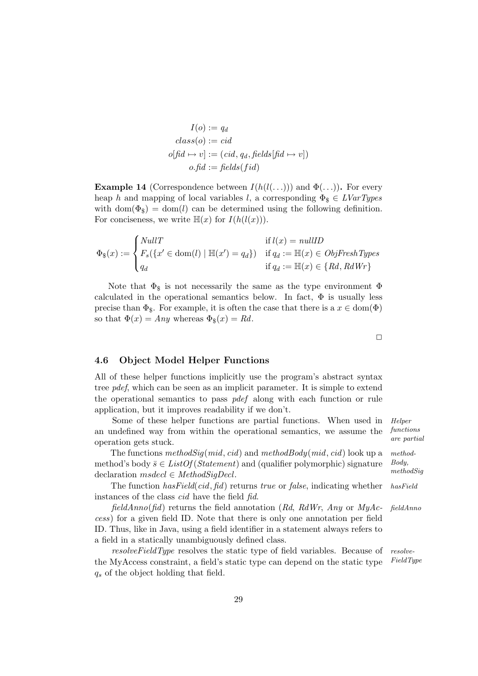$$
I(o) := q_d
$$
  
class(o) := cid  
offd \rightarrow v] := (cid, q\_d, fields[fd \rightarrow v])  
o.fid := fields(fid)

**Example 14** (Correspondence between  $I(h(l(\ldots)))$  and  $\Phi(\ldots)$ ). For every heap h and mapping of local variables l, a corresponding  $\Phi_{\rm s} \in \text{LyarTypes}$ with  $dom(\Phi_{\$}) = dom(l)$  can be determined using the following definition. For conciseness, we write  $\mathbb{H}(x)$  for  $I(h(l(x)))$ .

$$
\Phi_{\$}(x) := \begin{cases} NullT & \text{if } l(x) = nullID \\ F_s(\{x' \in \text{dom}(l) \mid \mathbb{H}(x') = q_d\}) & \text{if } q_d := \mathbb{H}(x) \in ObjFreshTypes \\ q_d & \text{if } q_d := \mathbb{H}(x) \in \{ Rd, RdWr \} \end{cases}
$$

Note that  $\Phi_{\$}$  is not necessarily the same as the type environment  $\Phi$ calculated in the operational semantics below. In fact,  $\Phi$  is usually less precise than  $\Phi_{\$}$ . For example, it is often the case that there is a  $x \in \text{dom}(\Phi)$ so that  $\Phi(x) = Any$  whereas  $\Phi_{\$}(x) = Rd$ .

 $\Box$ 

#### 4.6 Object Model Helper Functions

All of these helper functions implicitly use the program's abstract syntax tree pdef, which can be seen as an implicit parameter. It is simple to extend the operational semantics to pass pdef along with each function or rule application, but it improves readability if we don't.

Some of these helper functions are partial functions. When used in *Helper* functions an undefined way from within the operational semantics, we assume the operation gets stuck.

The functions  $methodSig(mid, cid)$  and  $methodBody(mid, cid)$  look up a methodmethod's body  $\bar{s} \in ListOf(Statement)$  and (qualifier polymorphic) signature declaration  $msdec \in MethodSigDecl$ .

The function has Field (cid, fid) returns true or false, indicating whether has Field instances of the class cid have the field fid.

 $fieldAnno(fid)$  returns the field annotation (Rd, RdWr, Any or MyAc- fieldAnno cess) for a given field ID. Note that there is only one annotation per field ID. Thus, like in Java, using a field identifier in a statement always refers to a field in a statically unambiguously defined class.

resolveFieldType resolves the static type of field variables. Because of resolvethe MyAccess constraint, a field's static type can depend on the static type  $FieldType$  $q_s$  of the object holding that field.

29

are partial Body,

methodSig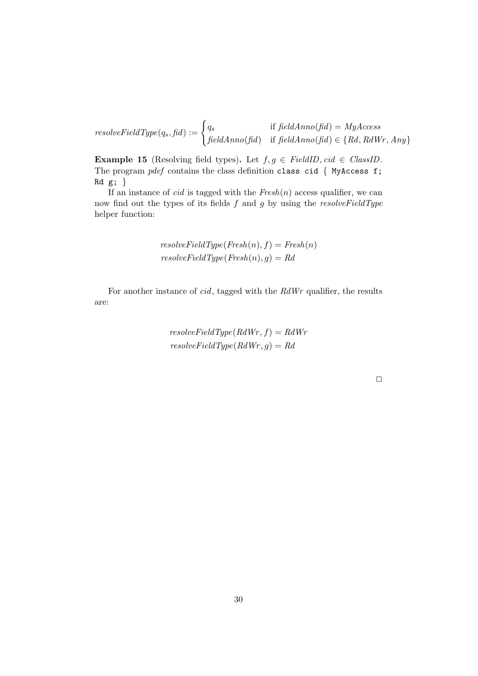resolveFieldType(qs, fid) := ( q<sup>s</sup> if fieldAnno(fid) = MyAccess  $fieldAnno(fid)$  if  $fieldAnno(fid) \in \{Rd, RdWr, Any\}$ 

**Example 15** (Resolving field types). Let  $f, g \in FieldID, cid \in ClassID$ . The program  $pdef$  contains the class definition class cid { MyAccess f;  $Rd g;$ 

If an instance of *cid* is tagged with the  $Fresh(n)$  access qualifier, we can now find out the types of its fields  $f$  and  $g$  by using the resolve Field Type helper function:

$$
resolveFieldType(Fresh(n), f) = Fresh(n)
$$

$$
resolveFieldType(Fresh(n), g) = Rd
$$

For another instance of cid, tagged with the RdWr qualifier, the results are:

> $resolveFieldType(RdWr, f) = RdWr$  $resolveFieldType(RdWr, g) = Rd$

> > $\Box$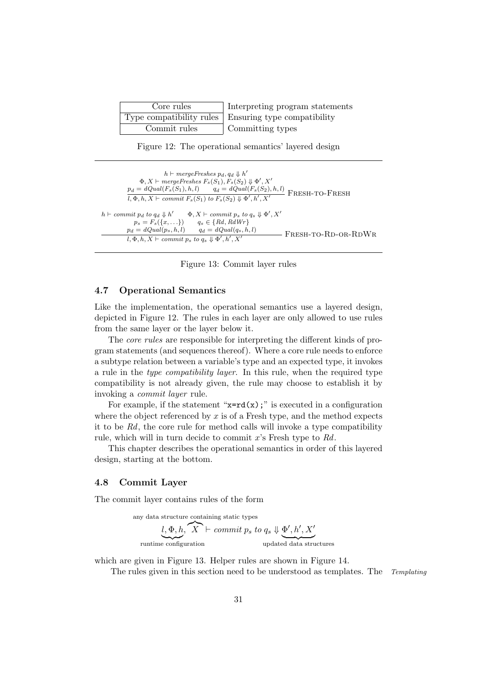| Core rules   | Interpreting program statements                        |
|--------------|--------------------------------------------------------|
|              | Type compatibility rules   Ensuring type compatibility |
| Commit rules | Committing types                                       |

Figure 12: The operational semantics' layered design

```
h \vdash mergeFreshes\ p_d, q_d \Downarrow h'\Phi, X \vdash mergeFreshes \ F_s(S_1), F_s(S_2) \Downarrow \Phi', X'p_d = dQual(F_s(S_1), h, l) q_d = dQual(F_s(S_2), h, l) FRESH-TO-FRESH<br>
\overline{l, \Phi, h, X \vdash commit F_s(S_1) to F_s(S_2) \Downarrow \Phi', h', X'} FRESH-TO-FRESH
                l, \Phi, h, X \vdash commit F_s(S_1) to F_s(S_2) \Downarrow \Phi', h'h \vdash \text{commit } p_d \text{ to } q_d \Downarrow h'<br>
p_s = F_s(\lbrace x, \ldots \rbrace)\Phi, X \vdash commit p_s to q_s \Downarrow \Phi', X'p_s = F_s({x, ...}) q_s \in {Rd, RdWr}<br>
p_d = dQual(p_s, h, l) q_d = dQual(q_s, h, l)q_d = dQual(q_s, h, l)l, \Phi, h, X \vdash commit\ p_s\ to\ q_s \Downarrow \Phi', h'FRESH-TO-RD-OR-RDWR
```
Figure 13: Commit layer rules

## 4.7 Operational Semantics

Like the implementation, the operational semantics use a layered design, depicted in Figure 12. The rules in each layer are only allowed to use rules from the same layer or the layer below it.

The core rules are responsible for interpreting the different kinds of program statements (and sequences thereof). Where a core rule needs to enforce a subtype relation between a variable's type and an expected type, it invokes a rule in the type compatibility layer. In this rule, when the required type compatibility is not already given, the rule may choose to establish it by invoking a commit layer rule.

For example, if the statement " $x = rd(x)$ ;" is executed in a configuration where the object referenced by  $x$  is of a Fresh type, and the method expects it to be Rd, the core rule for method calls will invoke a type compatibility rule, which will in turn decide to commit x's Fresh type to Rd.

This chapter describes the operational semantics in order of this layered design, starting at the bottom.

### 4.8 Commit Layer

The commit layer contains rules of the form

any data structure containing static types

$$
\underbrace{l, \Phi, h, X}_{\text{ runtime configuration}} \vdash \textit{commit } p_s \textit{ to } q_s \Downarrow \underbrace{\Phi', h', X'}_{\text{update data structures}}
$$

which are given in Figure 13. Helper rules are shown in Figure 14.

The rules given in this section need to be understood as templates. The Templating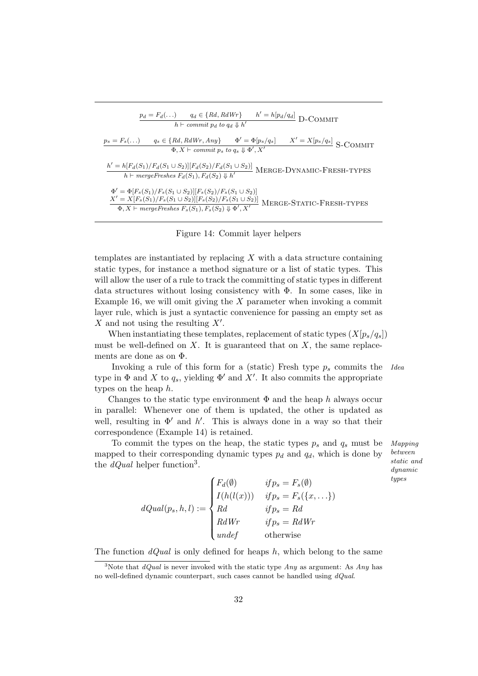| $p_d = F_d(\ldots)$ $q_d \in \{Rd, RdWr\}$<br>$h' = h[\underline{p_d/q_d}]$ D-COMMIT<br>$h \vdash commit p_d to q_d \Downarrow h'$                                                                                                                |
|---------------------------------------------------------------------------------------------------------------------------------------------------------------------------------------------------------------------------------------------------|
| $q_s \in \{Rd, RdWr, Any\}$ $\Phi' = \Phi[p_s/q_s]$<br>$X' = X[p_s/q_s]$ S-COMMIT<br>$p_s = F_s(\ldots)$<br>$\Phi, X \vdash commit\ p_s\ to\ q_s \Downarrow \Phi', X'$                                                                            |
| $\frac{h' = h[F_d(S_1)/F_d(S_1 \cup S_2)][F_d(S_2)/F_d(S_1 \cup S_2)]}{h \vdash \textit{mergeFreshes } F_d(S_1), F_d(S_2) \Downarrow h'}$ MERGE-DYNAMIC-FRESH-TYPES                                                                               |
| $\Phi' = \Phi[F_s(S_1)/F_s(S_1 \cup S_2)][F_s(S_2)/F_s(S_1 \cup S_2)]$<br>$\frac{X' = X[F_s(S_1)/F_s(S_1 \cup S_2)][F_s(S_2)/F_s(S_1 \cup S_2)]}{\Phi, X \vdash mergeFreshes}$ $F_s(S_1), F_s(S_2) \Downarrow \Phi', X'$ MERGE-STATIC-FRESH-TYPES |

### Figure 14: Commit layer helpers

templates are instantiated by replacing  $X$  with a data structure containing static types, for instance a method signature or a list of static types. This will allow the user of a rule to track the committing of static types in different data structures without losing consistency with  $\Phi$ . In some cases, like in Example 16, we will omit giving the  $X$  parameter when invoking a commit layer rule, which is just a syntactic convenience for passing an empty set as X and not using the resulting  $X'$ .

When instantiating these templates, replacement of static types  $(X[p_s/q_s])$ must be well-defined on  $X$ . It is guaranteed that on  $X$ , the same replacements are done as on Φ.

Invoking a rule of this form for a (static) Fresh type  $p_s$  commits the Idea type in  $\Phi$  and X to  $q_s$ , yielding  $\Phi'$  and X'. It also commits the appropriate types on the heap h.

Changes to the static type environment  $\Phi$  and the heap h always occur in parallel: Whenever one of them is updated, the other is updated as well, resulting in  $\Phi'$  and h'. This is always done in a way so that their correspondence (Example 14) is retained.

To commit the types on the heap, the static types  $p_s$  and  $q_s$  must be *Mapping* mapped to their corresponding dynamic types  $p_d$  and  $q_d$ , which is done by the  $dQual$  helper function<sup>3</sup>.

between static and dynamic types

 $dQual(p_s, h, l) :=$  $\sqrt{ }$  $\int$  $\overline{\mathcal{L}}$  $F_d(\emptyset)$  if  $p_s = F_s(\emptyset)$  $I(h(l(x)))$  if  $p_s = F_s({x, \ldots})$  $Rd$  if  $p_s = Ra$  $RdWr$  if  $p_s = RdWr$ undef otherwise

The function  $dQual$  is only defined for heaps h, which belong to the same

<sup>&</sup>lt;sup>3</sup>Note that *dQual* is never invoked with the static type *Any* as argument: As *Any* has no well-defined dynamic counterpart, such cases cannot be handled using  $dQual$ .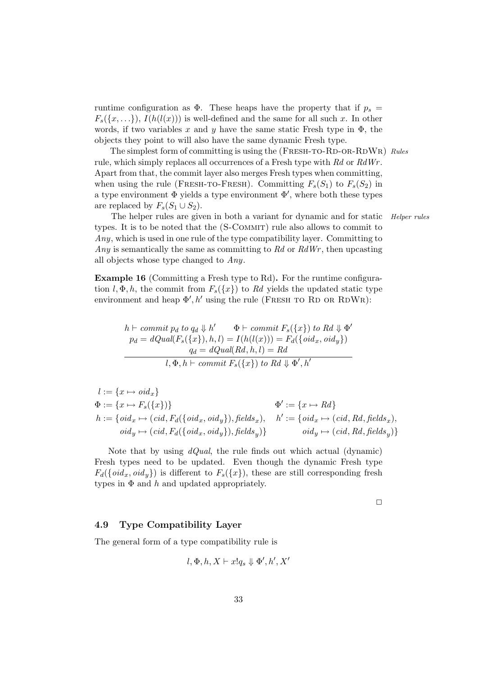runtime configuration as  $\Phi$ . These heaps have the property that if  $p_s =$  $F_s({x, \ldots})$ ,  $I(h(l(x)))$  is well-defined and the same for all such x. In other words, if two variables x and y have the same static Fresh type in  $\Phi$ , the objects they point to will also have the same dynamic Fresh type.

The simplest form of committing is using the (FRESH-TO-RD-OR-RDWR) Rules rule, which simply replaces all occurrences of a Fresh type with Rd or RdWr. Apart from that, the commit layer also merges Fresh types when committing, when using the rule (FRESH-TO-FRESH). Committing  $F_s(S_1)$  to  $F_s(S_2)$  in a type environment  $\Phi$  yields a type environment  $\Phi'$ , where both these types are replaced by  $F_s(S_1 \cup S_2)$ .

The helper rules are given in both a variant for dynamic and for static *Helper rules* types. It is to be noted that the  $(S-COMMIT)$  rule also allows to commit to Any, which is used in one rule of the type compatibility layer. Committing to Any is semantically the same as committing to  $Rd$  or  $RdWr$ , then upcasting all objects whose type changed to Any.

Example 16 (Committing a Fresh type to Rd). For the runtime configuration  $l, \Phi, h$ , the commit from  $F_s({x})$  to Rd yields the updated static type environment and heap  $\Phi', h'$  using the rule (FRESH TO RD OR RDWR):

$$
h \vdash commit\ p_d\ to\ q_d \Downarrow h' \qquad \Phi \vdash commit\ F_s(\{x\})\ to\ Rd \Downarrow \Phi'
$$
  
\n
$$
p_d = dQual(F_s(\{x\}), h, l) = I(h(l(x))) = F_d(\{oid_x,oid_y\})
$$
  
\n
$$
q_d = dQual(Rd, h, l) = Rd
$$
  
\n
$$
l, \Phi, h \vdash commit\ F_s(\{x\})\ to\ Rd \Downarrow \Phi', h'
$$

$$
l := \{x \mapsto \text{oid}_x\}
$$
  
\n
$$
\Phi := \{x \mapsto F_s(\{x\})\}
$$
  
\n
$$
h := \{\text{oid}_x \mapsto (\text{cid}, F_d(\{\text{oid}_x, \text{oid}_y\}), \text{fields}_x), h' := \{\text{oid}_x \mapsto (\text{cid}, Rd, \text{fields}_x), \text{oid}_y \mapsto (\text{cid}, F_d(\{\text{oid}_x, \text{oid}_y\}), \text{fields}_y)\}
$$
  
\n
$$
\text{oid}_y \mapsto (\text{cid}, F_d(\{\text{oid}_x, \text{oid}_y\}), \text{fields}_y)\}
$$
  
\n
$$
\text{oid}_y \mapsto (\text{cid}, Rd, \text{fields}_y)\}
$$

Note that by using  $dQual$ , the rule finds out which actual (dynamic) Fresh types need to be updated. Even though the dynamic Fresh type  $F_d({\lbrace \text{oid}_x, \text{oid}_y \rbrace})$  is different to  $F_s({x})$ , these are still corresponding fresh types in  $\Phi$  and h and updated appropriately.

 $\Box$ 

# 4.9 Type Compatibility Layer

The general form of a type compatibility rule is

$$
l, \Phi, h, X \vdash x! q_s \Downarrow \Phi', h', X'
$$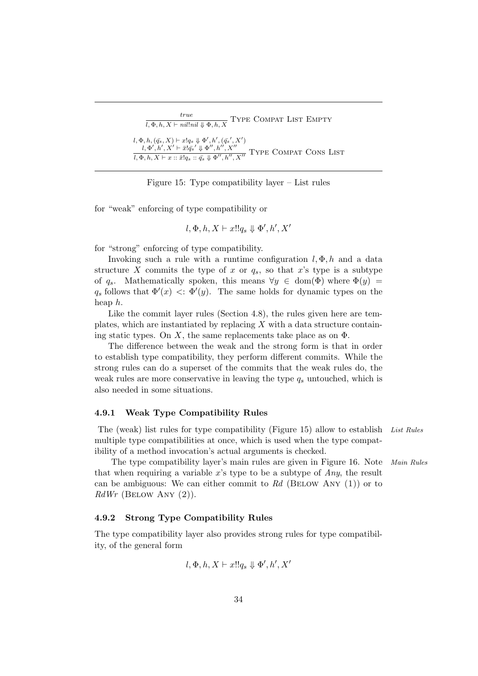| true<br>$l, \Phi, h, X \vdash nil!nil \Downarrow \Phi, h, X$                                                                                                                                                                                                  | TYPE COMPAT LIST EMPTY |
|---------------------------------------------------------------------------------------------------------------------------------------------------------------------------------------------------------------------------------------------------------------|------------------------|
| $l, \Phi, h, (\bar{q}_s, X) \vdash x! q_s \Downarrow \Phi', h', (\bar{q}_s', X')$<br>$l, \Phi', h', X' \vdash \bar{x}!\bar{q_s}' \Downarrow \Phi'', h'', X''$<br>$\overline{l, \Phi, h, X \vdash x :: \bar{x}! q_s :: \bar{q}_s \Downarrow \Phi'', h'', X''}$ | TYPE COMPAT CONS LIST  |

Figure 15: Type compatibility layer – List rules

for "weak" enforcing of type compatibility or

$$
l,\Phi,h,X\vdash x!!q_s\Downarrow\Phi',h',X'
$$

for "strong" enforcing of type compatibility.

Invoking such a rule with a runtime configuration  $l, \Phi, h$  and a data structure X commits the type of x or  $q_s$ , so that x's type is a subtype of  $q_s$ . Mathematically spoken, this means  $\forall y \in \text{dom}(\Phi)$  where  $\Phi(y) =$  $q_s$  follows that  $\Phi'(x) < \Phi'(y)$ . The same holds for dynamic types on the heap h.

Like the commit layer rules (Section 4.8), the rules given here are templates, which are instantiated by replacing  $X$  with a data structure containing static types. On X, the same replacements take place as on  $\Phi$ .

The difference between the weak and the strong form is that in order to establish type compatibility, they perform different commits. While the strong rules can do a superset of the commits that the weak rules do, the weak rules are more conservative in leaving the type  $q_s$  untouched, which is also needed in some situations.

### 4.9.1 Weak Type Compatibility Rules

The (weak) list rules for type compatibility (Figure 15) allow to establish List Rules multiple type compatibilities at once, which is used when the type compatibility of a method invocation's actual arguments is checked.

The type compatibility layer's main rules are given in Figure 16. Note Main Rules that when requiring a variable x's type to be a subtype of  $Anv$ , the result can be ambiguous: We can either commit to  $Rd$  (BELOW ANY (1)) or to  $RdWr$  (BELOW ANY  $(2)$ ).

### 4.9.2 Strong Type Compatibility Rules

The type compatibility layer also provides strong rules for type compatibility, of the general form

$$
l, \Phi, h, X \vdash x!! q_s \Downarrow \Phi', h', X'
$$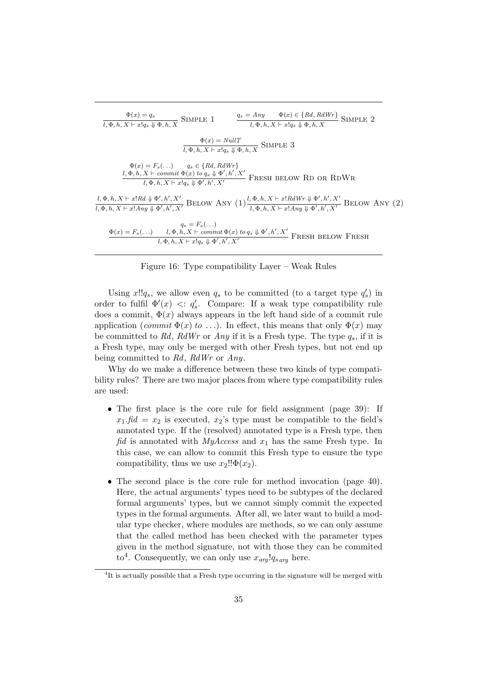$$
\frac{\Phi(x) = q_s}{l, \Phi, h, X \vdash x! q_s \Downarrow \Phi, h, X} \text{SIMPLE 1} \qquad \frac{q_s = Any \qquad \Phi(x) \in \{Rd, RdWr\}}{l, \Phi, h, X \vdash x! q_s \Downarrow \Phi, h, X} \text{SIMPLE 2}
$$
\n
$$
\frac{\Phi(x) = NullT}{l, \Phi, h, X \vdash x! q_s \Downarrow \Phi, h, X} \text{SIMPLE 3}
$$
\n
$$
\Phi(x) = F_s(\ldots) \qquad q_s \in \{Rd, RdWr\}
$$
\n
$$
\frac{l, \Phi, h, X \vdash commit \Phi(x) \text{ to } q_s \Downarrow \Phi', h', X'}{l, \Phi, h, X \vdash commit \Phi(x) \text{ to } q_s \Downarrow \Phi', h', X'}
$$
\nFRESH BELOW RD OR RDWR

\n
$$
\frac{l, \Phi, h, X \vdash x! Rd \Downarrow \Phi', h', X'}{l, \Phi, h, X \vdash x! Any \Downarrow \Phi', h', X'} \text{BELOW ANY (1)} \frac{l, \Phi, h, X \vdash x! RdWr \Downarrow \Phi', h', X'}{l, \Phi, h, X \vdash x! Any \Downarrow \Phi', h', X'}
$$
\nBELOW ANY (2)

\n
$$
q_s = F_s(\ldots)
$$
\n
$$
\frac{\Phi(x) = F_s(\ldots) \qquad l, \Phi, h, X \vdash commit \Phi(x) \text{ to } q_s \Downarrow \Phi', h', X'}{l, \Phi, h, X \vdash x! q_s \Downarrow \Phi', h', X'}
$$
\nFRESH BELOW FRESH

Figure 16: Type compatibility Layer – Weak Rules

Using  $x!!q_s$ , we allow even  $q_s$  to be committed (to a target type  $q'_s$ ) in order to fulfil  $\Phi'(x) \ll q'_s$ . Compare: If a weak type compatibility rule does a commit,  $\Phi(x)$  always appears in the left hand side of a commit rule application (commit  $\Phi(x)$  to ...). In effect, this means that only  $\Phi(x)$  may be committed to Rd, RdWr or Any if it is a Fresh type. The type  $q_s$ , if it is a Fresh type, may only be merged with other Fresh types, but not end up being committed to Rd, RdWr or Any.

Why do we make a difference between these two kinds of type compatibility rules? There are two major places from where type compatibility rules are used:

- The first place is the core rule for field assignment (page 39): If  $x_1$ .fid =  $x_2$  is executed,  $x_2$ 's type must be compatible to the field's annotated type. If the (resolved) annotated type is a Fresh type, then fid is annotated with  $MyAccess$  and  $x_1$  has the same Fresh type. In this case, we can allow to commit this Fresh type to ensure the type compatibility, thus we use  $x_2$ !! $\Phi(x_2)$ .
- The second place is the core rule for method invocation (page 40). Here, the actual arguments' types need to be subtypes of the declared formal arguments' types, but we cannot simply commit the expected types in the formal arguments. After all, we later want to build a modular type checker, where modules are methods, so we can only assume that the called method has been checked with the parameter types given in the method signature, not with those they can be commited to<sup>4</sup>. Consequently, we can only use  $x_{\textit{arg}}!q_{\textit{s\,arg}}$  here.

<sup>&</sup>lt;sup>4</sup>It is actually possible that a Fresh type occurring in the signature will be merged with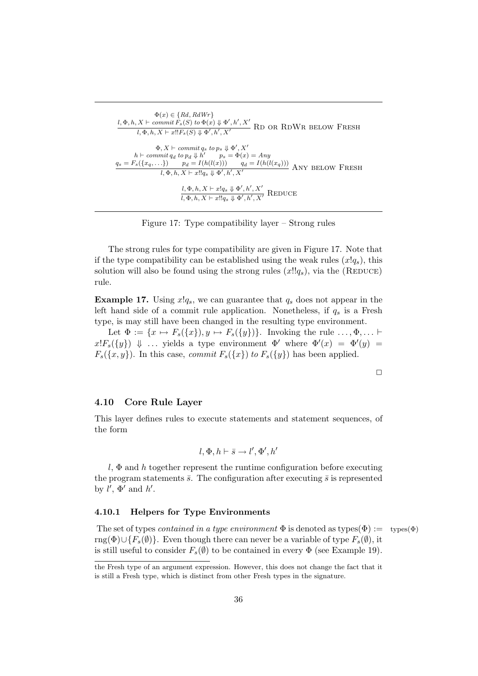$$
\Phi(x) \in \{Rd, RdWr\}
$$
\n
$$
l, \Phi, h, X \vdash commit\ F_s(S) \ to \ \Phi(x) \Downarrow \Phi', h', X'
$$
\nRD OR RDWR BELOW FRESH\n
$$
l, \Phi, h, X \vdash x!!F_s(S) \Downarrow \Phi', h', X'
$$
\n
$$
\Phi, X \vdash commit\ q_s \ to\ p_s \Downarrow \Phi', X'
$$
\n
$$
h \vdash commit\ q_d \ to\ p_d \Downarrow h' \quad p_s = \Phi(x) = Any
$$
\n
$$
q_s = F_s(\{x_q, \ldots\}) \quad p_d = I(h(l(x))) \quad q_d = I(h(l(x_q)))
$$
\nANY BELOW FRESH\n
$$
l, \Phi, h, X \vdash x!!q_s \Downarrow \Phi', h', X'
$$
\nREDUCE\n
$$
\frac{l, \Phi, h, X \vdash x!q_s \Downarrow \Phi', h', X'}{l, \Phi, h, X \vdash x!q_s \Downarrow \Phi', h', X'}
$$
\nREDUCE

Figure 17: Type compatibility layer – Strong rules

The strong rules for type compatibility are given in Figure 17. Note that if the type compatibility can be established using the weak rules  $(x!q_s)$ , this solution will also be found using the strong rules  $(x!!q_s)$ , via the (REDUCE) rule.

**Example 17.** Using  $x!q_s$ , we can guarantee that  $q_s$  does not appear in the left hand side of a commit rule application. Nonetheless, if  $q_s$  is a Fresh type, is may still have been changed in the resulting type environment.

Let  $\Phi := \{x \mapsto F_s(\{x\}), y \mapsto F_s(\{y\})\}.$  Invoking the rule  $\ldots, \Phi, \ldots$  $x!F_s({y})$   $\Downarrow$  ... yields a type environment  $\Phi'$  where  $\Phi'(x) = \Phi'(y)$  $F_s({x, y})$ . In this case, *commit*  $F_s({x})$  to  $F_s({y})$  has been applied.

### 4.10 Core Rule Layer

This layer defines rules to execute statements and statement sequences, of the form

$$
l, \Phi, h \vdash \bar{s} \rightarrow l', \Phi', h'
$$

l,  $\Phi$  and h together represent the runtime configuration before executing the program statements  $\bar{s}$ . The configuration after executing  $\bar{s}$  is represented by  $l', \Phi'$  and  $h'.$ 

## 4.10.1 Helpers for Type Environments

The set of types *contained in a type environment*  $\Phi$  is denoted as types( $\Phi$ ) := types( $\Phi$ ) rng( $\Phi$ )∪{ $F_s(\emptyset)$ }. Even though there can never be a variable of type  $F_s(\emptyset)$ , it is still useful to consider  $F_s(\emptyset)$  to be contained in every  $\Phi$  (see Example 19).

the Fresh type of an argument expression. However, this does not change the fact that it is still a Fresh type, which is distinct from other Fresh types in the signature.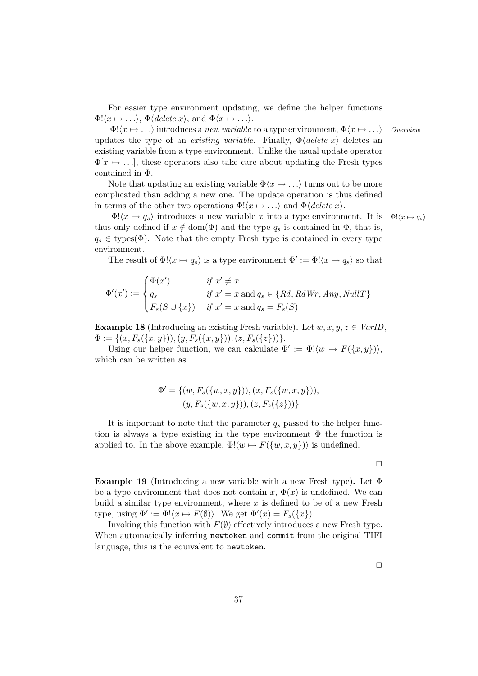For easier type environment updating, we define the helper functions  $\Phi(x \mapsto \ldots), \Phi(\text{delete } x), \text{ and } \Phi(x \mapsto \ldots).$ 

 $\Phi(x \mapsto \ldots)$  introduces a new variable to a type environment,  $\Phi(x \mapsto \ldots)$  Overview updates the type of an *existing variable*. Finally,  $\Phi$ *(delete x)* deletes an existing variable from a type environment. Unlike the usual update operator  $\Phi[x \mapsto \ldots]$ , these operators also take care about updating the Fresh types contained in Φ.

Note that updating an existing variable  $\Phi\langle x \mapsto \ldots \rangle$  turns out to be more complicated than adding a new one. The update operation is thus defined in terms of the other two operations  $\Phi! \langle x \mapsto \ldots \rangle$  and  $\Phi \langle \text{delete } x \rangle$ .

 $\Phi! \langle x \mapsto q_s \rangle$  introduces a new variable x into a type environment. It is  $\Phi! \langle x \mapsto q_s \rangle$ thus only defined if  $x \notin \text{dom}(\Phi)$  and the type  $q_s$  is contained in  $\Phi$ , that is,  $q_s \in \text{types}(\Phi)$ . Note that the empty Fresh type is contained in every type environment.

The result of  $\Phi' \langle x \mapsto q_s \rangle$  is a type environment  $\Phi' := \Phi' \langle x \mapsto q_s \rangle$  so that

$$
\Phi'(x') := \begin{cases}\n\Phi(x') & \text{if } x' \neq x \\
q_s & \text{if } x' = x \text{ and } q_s \in \{Rd, RdWr, Any, NullT\} \\
F_s(S \cup \{x\}) & \text{if } x' = x \text{ and } q_s = F_s(S)\n\end{cases}
$$

**Example 18** (Introducing an existing Fresh variable). Let  $w, x, y, z \in \text{VarID}$ ,  $\Phi := \{ (x, F_s(\{x, y\})), (y, F_s(\{x, y\})), (z, F_s(\{z\}))) \}.$ 

Using our helper function, we can calculate  $\Phi' := \Phi! \langle w \mapsto F({x, y}) \rangle$ , which can be written as

$$
\Phi' = \{ (w, F_s(\{w, x, y\})), (x, F_s(\{w, x, y\})), (y, F_s(\{w, x, y\})), (z, F_s(\{z\})) \}
$$

It is important to note that the parameter  $q_s$  passed to the helper function is always a type existing in the type environment  $\Phi$  the function is applied to. In the above example,  $\Phi! \langle w \mapsto F(\{w, x, y\}) \rangle$  is undefined.

 $\Box$ 

**Example 19** (Introducing a new variable with a new Fresh type). Let  $\Phi$ be a type environment that does not contain x,  $\Phi(x)$  is undefined. We can build a similar type environment, where  $x$  is defined to be of a new Fresh type, using  $\Phi' := \Phi! \langle x \mapsto F(\emptyset) \rangle$ . We get  $\Phi'(x) = F_s(\lbrace x \rbrace)$ .

Invoking this function with  $F(\emptyset)$  effectively introduces a new Fresh type. When automatically inferring newtoken and commit from the original TIFI language, this is the equivalent to newtoken.

 $\Box$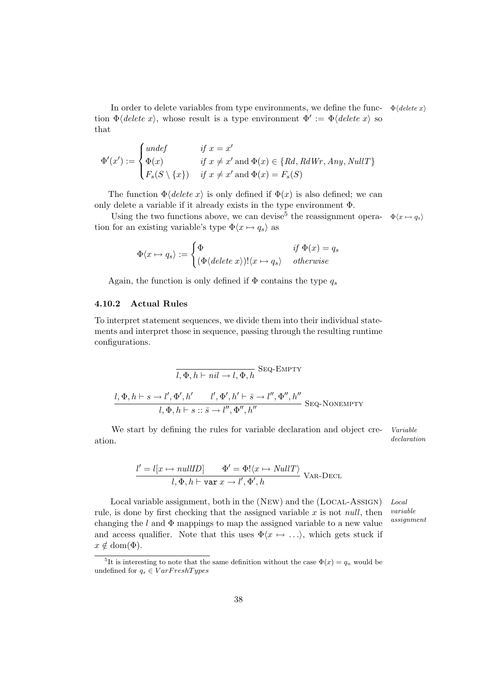In order to delete variables from type environments, we define the func-  $\Phi$  (delete x) tion  $\Phi$ (*delete x*), whose result is a type environment  $\Phi' := \Phi$  (*delete x*) so that

$$
\Phi'(x') := \begin{cases} \text{undef} & \text{if } x = x' \\ \Phi(x) & \text{if } x \neq x' \text{ and } \Phi(x) \in \{Rd, RdWr, Any, NullT\} \\ F_s(S \setminus \{x\}) & \text{if } x \neq x' \text{ and } \Phi(x) = F_s(S) \end{cases}
$$

The function  $\Phi$ *(delete x)* is only defined if  $\Phi(x)$  is also defined; we can only delete a variable if it already exists in the type environment Φ.

Using the two functions above, we can devise<sup>5</sup> the reassignment opera-  $\Phi\langle x \mapsto q_s \rangle$ tion for an existing variable's type  $\Phi\langle x \mapsto q_s \rangle$  as

$$
\Phi\langle x \mapsto q_s \rangle := \begin{cases} \Phi & \text{if } \Phi(x) = q_s \\ (\Phi \langle \text{delete } x \rangle)! \langle x \mapsto q_s \rangle & \text{otherwise} \end{cases}
$$

Again, the function is only defined if  $\Phi$  contains the type  $q_s$ 

## 4.10.2 Actual Rules

To interpret statement sequences, we divide them into their individual statements and interpret those in sequence, passing through the resulting runtime configurations.

$$
\overline{l, \Phi, h \vdash nil \to l, \Phi, h} \text{Seq-EMPTY}
$$
  

$$
\frac{l, \Phi, h \vdash s \to l', \Phi', h' \qquad l', \Phi', h' \vdash \overline{s} \to l'', \Phi'', h''}{l, \Phi, h \vdash s :: \overline{s} \to l'', \Phi'', h''} \text{Seq-NonemPY}
$$

We start by defining the rules for variable declaration and object cre- Variable ation.  $\qquad \qquad \text{declaration}$ 

$$
\frac{l' = l[x \mapsto nullID]}{l, \Phi, h \vdash \text{var } x \to l', \Phi', h} \text{ VAR-DECL}
$$

Local variable assignment, both in the (NEW) and the (LOCAL-ASSIGN) Local variable assignment rule, is done by first checking that the assigned variable  $x$  is not *null*, then changing the  $l$  and  $\Phi$  mappings to map the assigned variable to a new value and access qualifier. Note that this uses  $\Phi\langle x \mapsto \ldots \rangle$ , which gets stuck if  $x \notin \text{dom}(\Phi)$ .

<sup>&</sup>lt;sup>5</sup>It is interesting to note that the same definition without the case  $\Phi(x) = q_n$  would be undefined for  $q_s \in VarFreshTypes$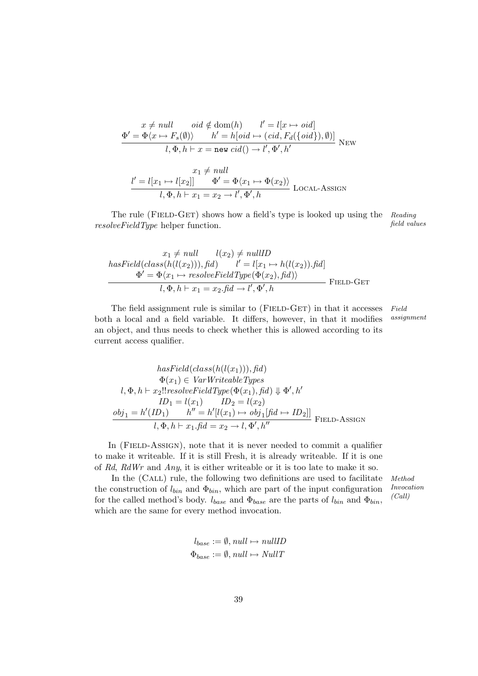$$
\begin{aligned} x \neq null &\quad \operatorname{oid} \notin \operatorname{dom}(h) \qquad l' = l[x \mapsto \operatorname{oid}] \\ \Phi' = \Phi \langle x \mapsto F_s(\emptyset) \rangle &\quad h' = h[\operatorname{oid} \mapsto (\operatorname{cid}, F_d(\{\operatorname{oid}\}), \emptyset)] \\ l, \Phi, h \vdash x = \operatorname{new} \operatorname{cid}() \to l', \Phi', h' \end{aligned} \quad \text{New}
$$

$$
\begin{aligned} \frac{x_1 \neq null}{l, \Phi, h \vdash x_1 = x_2 \to l', \Phi', h} \text{ Local-Assign} \\ \end{aligned}
$$

The rule (FIELD-GET) shows how a field's type is looked up using the Reading *resolveFieldType* helper function. The field values field values

$$
x_1 \neq null \qquad l(x_2) \neq nullID
$$
  
\n
$$
hasField(class(h(l(x_2))), fid) \qquad l' = l[x_1 \mapsto h(l(x_2)).fid]
$$
  
\n
$$
\underline{\Phi'} = \underline{\Phi}\langle x_1 \mapsto resolveFieldType(\underline{\Phi}(x_2), fid))
$$
  
\n
$$
l, \underline{\Phi}, h \vdash x_1 = x_2.fid \rightarrow l', \underline{\Phi'}, h
$$
 FIED-GET

The field assignment rule is similar to (FIELD-GET) in that it accesses Field both a local and a field variable. It differs, however, in that it modifies assignment an object, and thus needs to check whether this is allowed according to its current access qualifier.

$$
hasField(class(h(l(x_1))), fid)
$$
  
\n
$$
\Phi(x_1) \in VarWriteableTypes
$$
  
\n
$$
l, \Phi, h \vdash x_2!! resolveFieldType(\Phi(x_1), fid) \Downarrow \Phi', h'
$$
  
\n
$$
ID_1 = l(x_1) \qquad ID_2 = l(x_2)
$$
  
\n
$$
obj_1 = h'(ID_1) \qquad h'' = h'[l(x_1) \mapsto obj_1[fd \mapsto ID_2]]
$$
  
\n
$$
l, \Phi, h \vdash x_1.fid = x_2 \rightarrow l, \Phi', h''
$$
  
\nFIELD-ASSIGN

In (FIELD-ASSIGN), note that it is never needed to commit a qualifier to make it writeable. If it is still Fresh, it is already writeable. If it is one of Rd, RdWr and Any, it is either writeable or it is too late to make it so.

In the (CALL) rule, the following two definitions are used to facilitate Method the construction of  $l_{bin}$  and  $\Phi_{bin}$ , which are part of the input configuration for the called method's body.  $l_{base}$  and  $\Phi_{base}$  are the parts of  $l_{bin}$  and  $\Phi_{bin}$ , which are the same for every method invocation.

$$
MethoaInvocation(Call)
$$

$$
l_{base} := \emptyset, null \mapsto nullID
$$
  

$$
\Phi_{base} := \emptyset, null \mapsto NullT
$$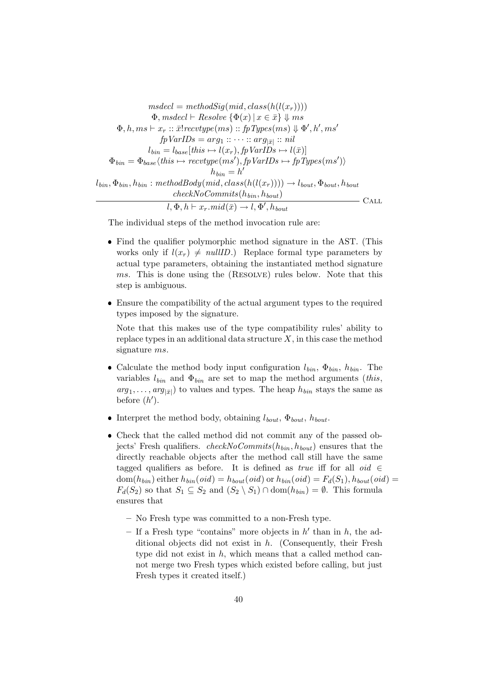$$
msdecl = methodSign(id, class(h(l(x_r))))
$$
  
\n
$$
\Phi, ms decl \vdash Resolve \{\Phi(x) \mid x \in \bar{x}\} \Downarrow ms
$$
  
\n
$$
\Phi, h, ms \vdash x_r :: \bar{x}!revtype(ms) :: \bar{p}Types(ms) \Downarrow \Phi', h', ms'
$$
  
\n
$$
fpVarIDs = arg_1 :: \cdots :: arg_{|\bar{x}|} :: nil
$$
  
\n
$$
l_{bin} = l_{base}(this \mapsto l(x_r), fpVarIDs \mapsto l(\bar{x})]
$$
  
\n
$$
\Phi_{bin} = \Phi_{base}\langle this \mapsto recvtype(ms'), fpVarIDs \mapsto fpTypes(ms')\rangle
$$
  
\n
$$
h_{bin} = h'
$$
  
\n
$$
l_{bin}, \Phi_{bin}, h_{bin} : methodBody(mid, class(h(l(x_r)))) \rightarrow l_{bout}, \Phi_{bout}, h_{bout})
$$
  
\n
$$
l, \Phi, h \vdash x_r.mid(\bar{x}) \rightarrow l, \Phi', h_{bout}
$$
 
$$
CALL
$$

The individual steps of the method invocation rule are:

- Find the qualifier polymorphic method signature in the AST. (This works only if  $l(x_r) \neq nullID$ .) Replace formal type parameters by actual type parameters, obtaining the instantiated method signature ms. This is done using the (RESOLVE) rules below. Note that this step is ambiguous.
- Ensure the compatibility of the actual argument types to the required types imposed by the signature.

Note that this makes use of the type compatibility rules' ability to replace types in an additional data structure  $X$ , in this case the method signature ms.

- Calculate the method body input configuration  $l_{bin}$ ,  $\Phi_{bin}$ ,  $h_{bin}$ . The variables  $l_{bin}$  and  $\Phi_{bin}$  are set to map the method arguments (this,  $arg_1, \ldots, arg_{|\bar{x}|})$  to values and types. The heap  $h_{bin}$  stays the same as before  $(h')$ .
- Interpret the method body, obtaining  $l_{bout}$ ,  $\Phi_{bout}$ ,  $h_{bout}$ .
- Check that the called method did not commit any of the passed objects' Fresh qualifiers. checkNoCommits $(h_{bin}, h_{bout})$  ensures that the directly reachable objects after the method call still have the same tagged qualifiers as before. It is defined as *true* iff for all *oid* ∈  $dom(h_{bin})$  either  $h_{bin}(oid) = h_{bout}(oid)$  or  $h_{bin}(oid) = F_d(S_1), h_{bout}(oid) =$  $F_d(S_2)$  so that  $S_1 \subseteq S_2$  and  $(S_2 \setminus S_1) \cap \text{dom}(h_{bin}) = \emptyset$ . This formula ensures that
	- No Fresh type was committed to a non-Fresh type.
	- If a Fresh type "contains" more objects in  $h'$  than in  $h$ , the additional objects did not exist in h. (Consequently, their Fresh type did not exist in  $h$ , which means that a called method cannot merge two Fresh types which existed before calling, but just Fresh types it created itself.)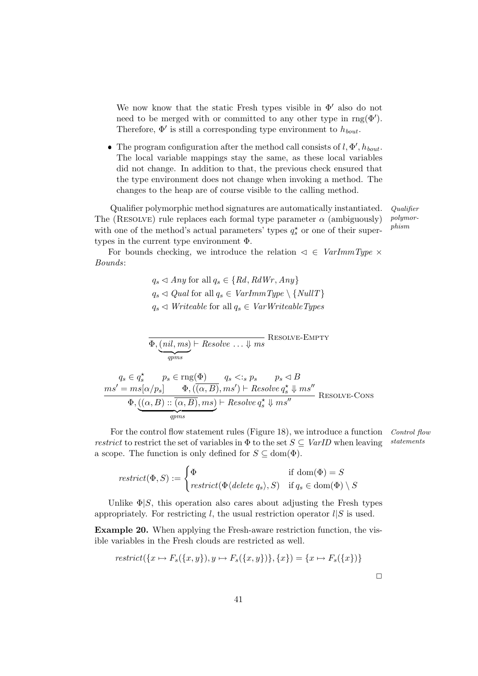We now know that the static Fresh types visible in  $\Phi'$  also do not need to be merged with or committed to any other type in  $\text{rng}(\Phi')$ . Therefore,  $\Phi'$  is still a corresponding type environment to  $h_{bout}$ .

• The program configuration after the method call consists of  $l, \Phi', h_{bout}$ . The local variable mappings stay the same, as these local variables did not change. In addition to that, the previous check ensured that the type environment does not change when invoking a method. The changes to the heap are of course visible to the calling method.

Qualifier polymorphic method signatures are automatically instantiated. Qualifier The (RESOLVE) rule replaces each formal type parameter  $\alpha$  (ambiguously) with one of the method's actual parameters' types  $q_s^{\star}$  or one of their supertypes in the current type environment Φ.

polymorphism

For bounds checking, we introduce the relation  $\leq \in \text{VarImmType} \times$ Bounds:

> $q_s \triangleleft Any$  for all  $q_s \in \{Rd, RdWr, Any\}$  $q_s \triangleleft$  Qual for all  $q_s \in \text{VarImmType} \setminus \{\text{NullT}\}\$  $q_s \triangleleft Writeable$  for all  $q_s \in VarWriteableTypes$

$$
\Phi, \underbrace{(nil, ms)}_{qpms} \vdash Resolve \dots \Downarrow ms
$$
 RESOLVE-EMPTY

$$
q_s \in q_s^* \qquad p_s \in \text{rng}(\Phi) \qquad q_s <: s \ p_s \qquad p_s \lhd B
$$
\n
$$
\underbrace{ms' = ms[\alpha/p_s] \qquad \Phi, ((\alpha, B), ms') \vdash Resolve \ q_s^* \Downarrow ms''}_{\Phi, ((\alpha, B) :: (\alpha, B), ms) \vdash Resolve \ q_s^* \Downarrow ms''}_{qpm s} \text{ RESOLVE-CONS}
$$

For the control flow statement rules (Figure 18), we introduce a function Control flow restrict to restrict the set of variables in  $\Phi$  to the set  $S \subseteq \text{VarID}$  when leaving statements a scope. The function is only defined for  $S \subseteq \text{dom}(\Phi)$ .

$$
restrict(\Phi, S) := \begin{cases} \Phi & \text{if } \text{dom}(\Phi) = S \\ restrict(\Phi \langle delete \ q_s \rangle, S) & \text{if } q_s \in \text{dom}(\Phi) \setminus S \end{cases}
$$

Unlike  $\Phi|S$ , this operation also cares about adjusting the Fresh types appropriately. For restricting l, the usual restriction operator  $l|S$  is used.

Example 20. When applying the Fresh-aware restriction function, the visible variables in the Fresh clouds are restricted as well.

$$
restrict({x \mapsto F_s({x, y}), y \mapsto F_s({x, y})}, {x}) = {x \mapsto F_s({x})}
$$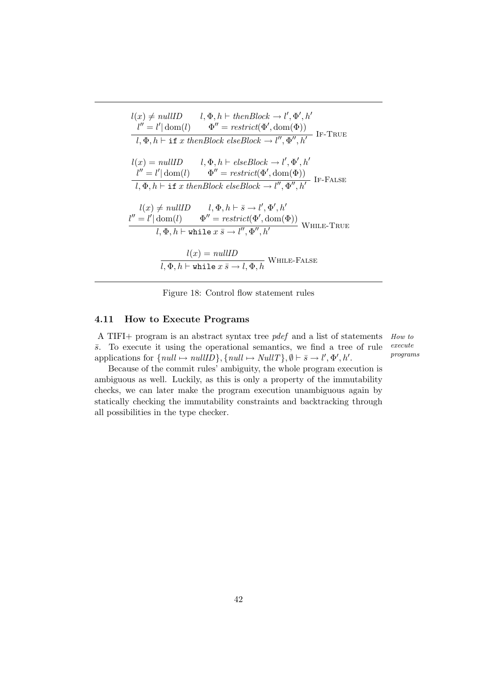$$
l(x) \neq nullID \qquad l, \Phi, h \vdash then Block \rightarrow l', \Phi', h'
$$
  
\n
$$
\frac{l'' = l' | \text{dom}(l) \qquad \Phi'' = restrict(\Phi', \text{dom}(\Phi))}{l, \Phi, h \vdash \text{if } x \text{ thenBlock } elseBlock \rightarrow l'', \Phi'', h'}
$$
 IF-TRUE  
\n
$$
l(x) = nullID \qquad l, \Phi, h \vdash elseBlock \rightarrow l', \Phi', h'
$$
  
\n
$$
\frac{l'' = l' | \text{dom}(l) \qquad \Phi'' = restrict(\Phi', \text{dom}(\Phi))}{l, \Phi, h \vdash \text{if } x \text{ thenBlock } elseBlock \rightarrow l'', \Phi'', h'}
$$
 IF-FALSE  
\n
$$
\frac{l(x) \neq nullID \qquad l, \Phi, h \vdash \bar{s} \rightarrow l', \Phi', h'}{l, \Phi'' = restrict(\Phi', \text{dom}(\Phi))}
$$
 WHERE-TRUE  
\n
$$
\frac{l(x) = nullID}{l, \Phi, h \vdash \text{while } x \bar{s} \rightarrow l'', \Phi'', h'}
$$
 WHERE-FALSE  
\n
$$
\frac{l(x) = nullID}{l, \Phi, h \vdash \text{while } x \bar{s} \rightarrow l, \Phi, h}
$$
 WHERE-FALSE

Figure 18: Control flow statement rules

### 4.11 How to Execute Programs

A TIFI+ program is an abstract syntax tree pdef and a list of statements How to execute programs  $\bar{s}$ . To execute it using the operational semantics, we find a tree of rule applications for  $\{null \mapsto nullID\}, \{null \mapsto NullT\}, \emptyset \vdash \overline{s} \to \overline{l}', \Phi', h'.$ 

Because of the commit rules' ambiguity, the whole program execution is ambiguous as well. Luckily, as this is only a property of the immutability checks, we can later make the program execution unambiguous again by statically checking the immutability constraints and backtracking through all possibilities in the type checker.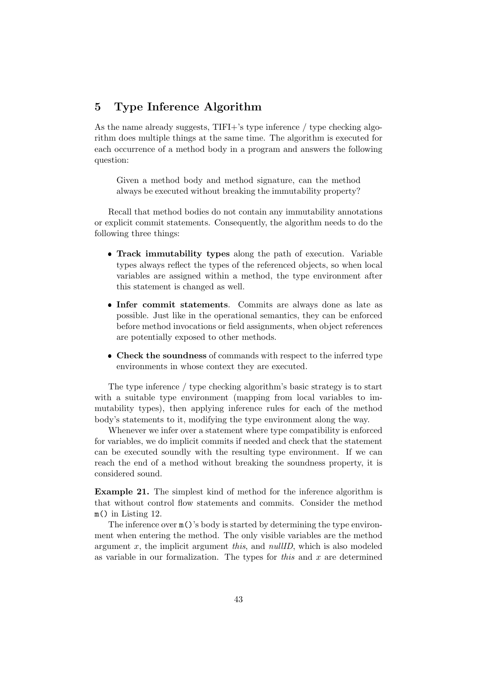# 5 Type Inference Algorithm

As the name already suggests, TIFI+'s type inference / type checking algorithm does multiple things at the same time. The algorithm is executed for each occurrence of a method body in a program and answers the following question:

Given a method body and method signature, can the method always be executed without breaking the immutability property?

Recall that method bodies do not contain any immutability annotations or explicit commit statements. Consequently, the algorithm needs to do the following three things:

- Track immutability types along the path of execution. Variable types always reflect the types of the referenced objects, so when local variables are assigned within a method, the type environment after this statement is changed as well.
- Infer commit statements. Commits are always done as late as possible. Just like in the operational semantics, they can be enforced before method invocations or field assignments, when object references are potentially exposed to other methods.
- Check the soundness of commands with respect to the inferred type environments in whose context they are executed.

The type inference / type checking algorithm's basic strategy is to start with a suitable type environment (mapping from local variables to immutability types), then applying inference rules for each of the method body's statements to it, modifying the type environment along the way.

Whenever we infer over a statement where type compatibility is enforced for variables, we do implicit commits if needed and check that the statement can be executed soundly with the resulting type environment. If we can reach the end of a method without breaking the soundness property, it is considered sound.

Example 21. The simplest kind of method for the inference algorithm is that without control flow statements and commits. Consider the method m() in Listing 12.

The inference over m()'s body is started by determining the type environment when entering the method. The only visible variables are the method argument  $x$ , the implicit argument this, and nullID, which is also modeled as variable in our formalization. The types for this and  $x$  are determined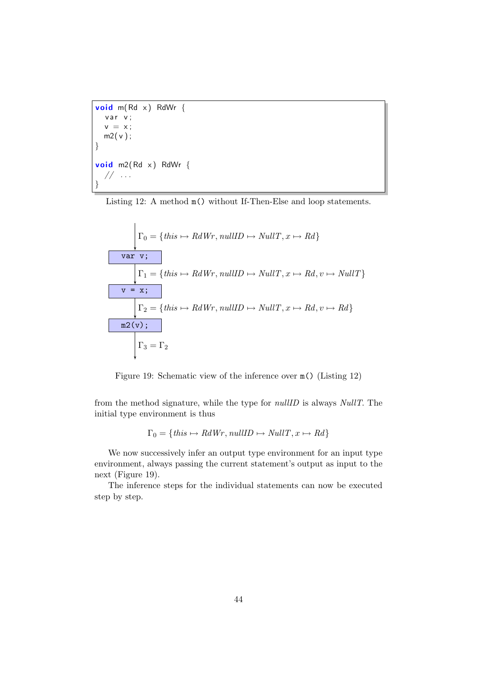```
void m(Rd x) RdWr {
  var v;
  v = x;
 m2(v);
}
void m2(Rd x) RdWr {
  // \dots}
```
Listing 12: A method m() without If-Then-Else and loop statements.

$$
\Gamma_0 = \{this \mapsto RdWr, nullID \mapsto NullT, x \mapsto Rd\}
$$
  

$$
\boxed{\n\begin{array}{c}\n\text{var } \mathbf{v}; \\
\hline\n\Gamma_1 = \{this \mapsto RdWr, nullID \mapsto NullT, x \mapsto Rd, v \mapsto NullT\} \\
\hline\n\mathbf{v} = \mathbf{x}; \\
\Gamma_2 = \{this \mapsto RdWr, nullID \mapsto NullT, x \mapsto Rd, v \mapsto Rd\} \\
\hline\n\text{m2}(\mathbf{v}); \\
\Gamma_3 = \Gamma_2\n\end{array}
$$

Figure 19: Schematic view of the inference over m() (Listing 12)

from the method signature, while the type for nullID is always NullT. The initial type environment is thus

$$
\Gamma_0 = \{ this \mapsto RdWr, nullID \mapsto NullT, x \mapsto Rd \}
$$

We now successively infer an output type environment for an input type environment, always passing the current statement's output as input to the next (Figure 19).

The inference steps for the individual statements can now be executed step by step.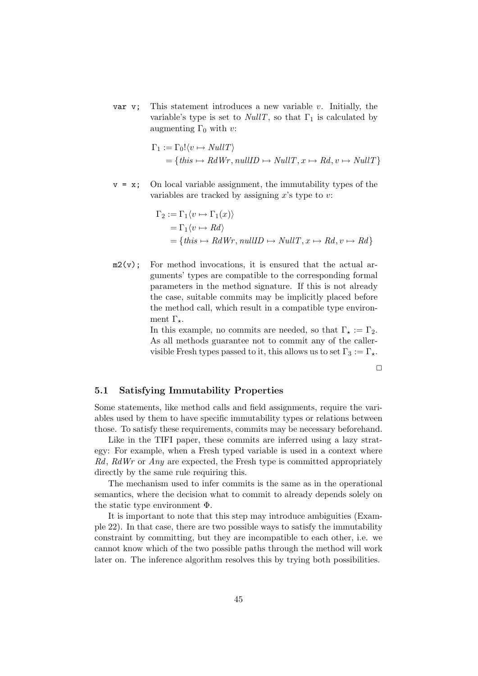var v; This statement introduces a new variable v. Initially, the variable's type is set to *NullT*, so that  $\Gamma_1$  is calculated by augmenting  $\Gamma_0$  with v:

$$
\Gamma_1 := \Gamma_0! \langle v \mapsto NullT \rangle
$$
  
= {this \mapsto RdWr, nullID \mapsto NullT, x \mapsto Rd, v \mapsto NullT}

 $v = x$ ; On local variable assignment, the immutability types of the variables are tracked by assigning  $x$ 's type to  $v$ :

$$
\Gamma_2 := \Gamma_1 \langle v \mapsto \Gamma_1(x) \rangle
$$
  
=  $\Gamma_1 \langle v \mapsto Rd \rangle$   
= {this \mapsto RdWr, nullID \mapsto NullT, x \mapsto Rd, v \mapsto Rd}

 $m2(v)$ ; For method invocations, it is ensured that the actual arguments' types are compatible to the corresponding formal parameters in the method signature. If this is not already the case, suitable commits may be implicitly placed before the method call, which result in a compatible type environment  $\Gamma_{\star}$ .

> In this example, no commits are needed, so that  $\Gamma_{\star} := \Gamma_2$ . As all methods guarantee not to commit any of the callervisible Fresh types passed to it, this allows us to set  $\Gamma_3 := \Gamma_*$ .

> > $\Box$

# 5.1 Satisfying Immutability Properties

Some statements, like method calls and field assignments, require the variables used by them to have specific immutability types or relations between those. To satisfy these requirements, commits may be necessary beforehand.

Like in the TIFI paper, these commits are inferred using a lazy strategy: For example, when a Fresh typed variable is used in a context where  $Rd$ ,  $RdWr$  or  $Any$  are expected, the Fresh type is committed appropriately directly by the same rule requiring this.

The mechanism used to infer commits is the same as in the operational semantics, where the decision what to commit to already depends solely on the static type environment Φ.

It is important to note that this step may introduce ambiguities (Example 22). In that case, there are two possible ways to satisfy the immutability constraint by committing, but they are incompatible to each other, i.e. we cannot know which of the two possible paths through the method will work later on. The inference algorithm resolves this by trying both possibilities.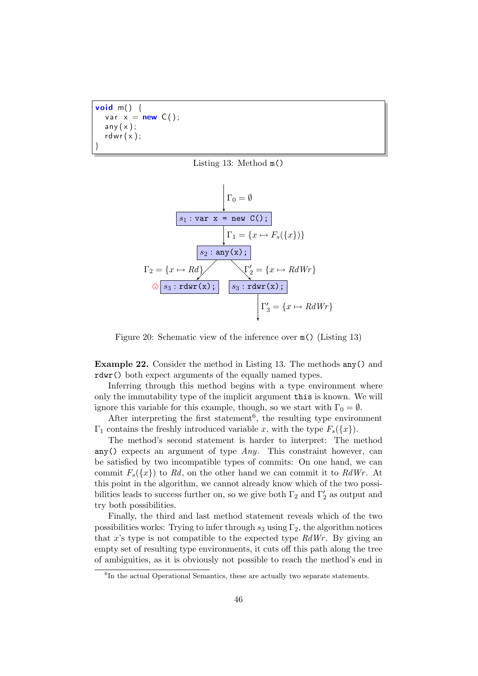**void** m()  $\{$ var  $x = new C()$ ;  $any(x);$ rdwr $(x)$ ; }





Figure 20: Schematic view of the inference over m() (Listing 13)

Example 22. Consider the method in Listing 13. The methods any() and rdwr() both expect arguments of the equally named types.

Inferring through this method begins with a type environment where only the immutability type of the implicit argument this is known. We will ignore this variable for this example, though, so we start with  $\Gamma_0 = \emptyset$ .

After interpreting the first statement<sup>6</sup>, the resulting type environment  $\Gamma_1$  contains the freshly introduced variable x, with the type  $F_s({x})$ .

The method's second statement is harder to interpret: The method any() expects an argument of type  $Any$ . This constraint however, can be satisfied by two incompatible types of commits: On one hand, we can commit  $F_s({x})$  to Rd, on the other hand we can commit it to RdWr. At this point in the algorithm, we cannot already know which of the two possibilities leads to success further on, so we give both  $\Gamma_2$  and  $\Gamma_2'$  as output and try both possibilities.

Finally, the third and last method statement reveals which of the two possibilities works: Trying to infer through  $s_3$  using  $\Gamma_2$ , the algorithm notices that x's type is not compatible to the expected type  $RdWr$ . By giving an empty set of resulting type environments, it cuts off this path along the tree of ambiguities, as it is obviously not possible to reach the method's end in

<sup>&</sup>lt;sup>6</sup>In the actual Operational Semantics, these are actually two separate statements.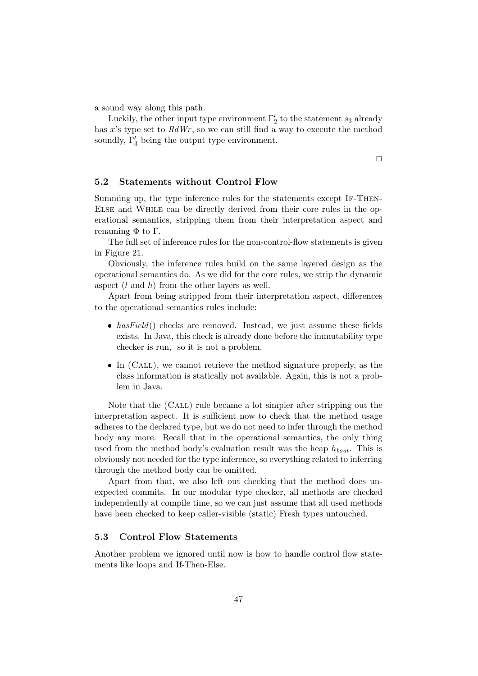a sound way along this path.

Luckily, the other input type environment  $\Gamma'_2$  to the statement  $s_3$  already has x's type set to  $RdWr$ , so we can still find a way to execute the method soundly,  $\Gamma'_3$  being the output type environment.

 $\Box$ 

# 5.2 Statements without Control Flow

Summing up, the type inference rules for the statements except If-Then-Else and While can be directly derived from their core rules in the operational semantics, stripping them from their interpretation aspect and renaming  $Φ$  to Γ.

The full set of inference rules for the non-control-flow statements is given in Figure 21.

Obviously, the inference rules build on the same layered design as the operational semantics do. As we did for the core rules, we strip the dynamic aspect  $(l \text{ and } h)$  from the other layers as well.

Apart from being stripped from their interpretation aspect, differences to the operational semantics rules include:

- $hasField()$  checks are removed. Instead, we just assume these fields exists. In Java, this check is already done before the immutability type checker is run, so it is not a problem.
- In (CALL), we cannot retrieve the method signature properly, as the class information is statically not available. Again, this is not a problem in Java.

Note that the (Call) rule became a lot simpler after stripping out the interpretation aspect. It is sufficient now to check that the method usage adheres to the declared type, but we do not need to infer through the method body any more. Recall that in the operational semantics, the only thing used from the method body's evaluation result was the heap  $h_{bout}$ . This is obviously not needed for the type inference, so everything related to inferring through the method body can be omitted.

Apart from that, we also left out checking that the method does unexpected commits. In our modular type checker, all methods are checked independently at compile time, so we can just assume that all used methods have been checked to keep caller-visible (static) Fresh types untouched.

### 5.3 Control Flow Statements

Another problem we ignored until now is how to handle control flow statements like loops and If-Then-Else.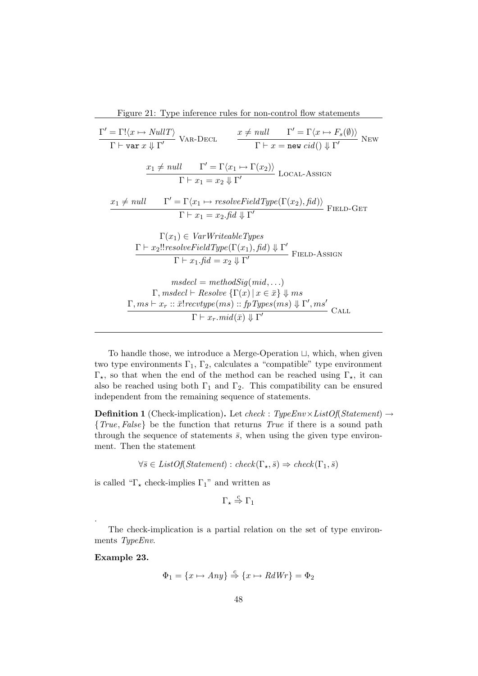To handle those, we introduce a Merge-Operation  $\sqcup$ , which, when given two type environments  $\Gamma_1$ ,  $\Gamma_2$ , calculates a "compatible" type environment  $\Gamma_{\star}$ , so that when the end of the method can be reached using  $\Gamma_{\star}$ , it can also be reached using both  $\Gamma_1$  and  $\Gamma_2$ . This compatibility can be ensured independent from the remaining sequence of statements.

**Definition 1** (Check-implication). Let check :  $TypeEnv \times ListOf(Statement) \rightarrow$ {True, False} be the function that returns True if there is a sound path through the sequence of statements  $\bar{s}$ , when using the given type environment. Then the statement

$$
\forall \bar{s} \in ListOf(Statement): check(\Gamma_{\star}, \bar{s}) \Rightarrow check(\Gamma_1, \bar{s})
$$

is called " $\Gamma_{\star}$  check-implies  $\Gamma_{1}$ " and written as

$$
\Gamma_\star \stackrel{c}{\Rightarrow} \Gamma_1
$$

The check-implication is a partial relation on the set of type environments TypeEnv.

Example 23.

.

```
\Phi_1 = \{x \mapsto Any\} \stackrel{c}{\Rightarrow} \{x \mapsto RdWr\} = \Phi_2
```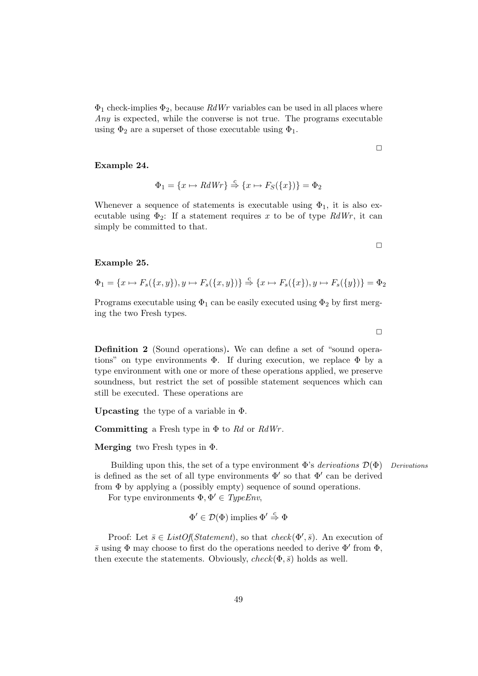$\Phi_1$  check-implies  $\Phi_2$ , because  $RdWr$  variables can be used in all places where Any is expected, while the converse is not true. The programs executable using  $\Phi_2$  are a superset of those executable using  $\Phi_1$ .

Example 24.

$$
\Phi_1 = \{x \mapsto RdWr\} \stackrel{c}{\Rightarrow} \{x \mapsto F_S(\{x\})\} = \Phi_2
$$

Whenever a sequence of statements is executable using  $\Phi_1$ , it is also executable using  $\Phi_2$ : If a statement requires x to be of type RdWr, it can simply be committed to that.

Example 25.

$$
\Phi_1 = \{x \mapsto F_s(\{x, y\}), y \mapsto F_s(\{x, y\})\} \stackrel{c}{\Rightarrow} \{x \mapsto F_s(\{x\}), y \mapsto F_s(\{y\})\} = \Phi_2
$$

Programs executable using  $\Phi_1$  can be easily executed using  $\Phi_2$  by first merging the two Fresh types.

Definition 2 (Sound operations). We can define a set of "sound operations" on type environments  $\Phi$ . If during execution, we replace  $\Phi$  by a type environment with one or more of these operations applied, we preserve soundness, but restrict the set of possible statement sequences which can still be executed. These operations are

Upcasting the type of a variable in Φ.

**Committing** a Fresh type in  $\Phi$  to Rd or RdWr.

**Merging** two Fresh types in  $\Phi$ .

Building upon this, the set of a type environment  $\Phi$ 's *derivations*  $\mathcal{D}(\Phi)$  Derivations is defined as the set of all type environments  $\Phi'$  so that  $\Phi'$  can be derived from Φ by applying a (possibly empty) sequence of sound operations.

For type environments  $\Phi, \Phi' \in TypeEnv$ ,

$$
\Phi' \in \mathcal{D}(\Phi) \text{ implies } \Phi' \stackrel{c}{\Rightarrow} \Phi
$$

Proof: Let  $\bar{s} \in ListOf(Statement)$ , so that  $check(\Phi', \bar{s})$ . An execution of  $\bar{s}$  using  $\Phi$  may choose to first do the operations needed to derive  $\Phi'$  from  $\Phi$ , then execute the statements. Obviously,  $check(\Phi, \bar{s})$  holds as well.

49

 $\Box$ 

 $\Box$ 

 $\Box$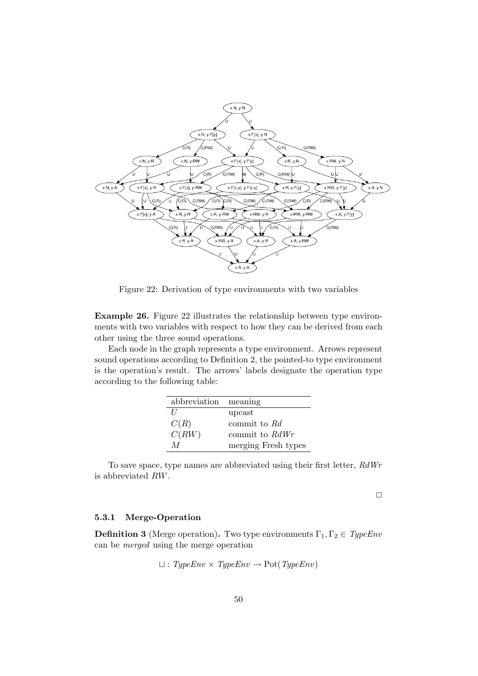

Figure 22: Derivation of type environments with two variables

Example 26. Figure 22 illustrates the relationship between type environments with two variables with respect to how they can be derived from each other using the three sound operations.

Each node in the graph represents a type environment. Arrows represent sound operations according to Definition 2, the pointed-to type environment is the operation's result. The arrows' labels designate the operation type according to the following table:

| abbreviation | meaning             |
|--------------|---------------------|
| $\prime$     | upcast              |
| C(R)         | commit to Rd        |
| C(RW)        | commit to $RdWr$    |
| M            | merging Fresh types |

To save space, type names are abbreviated using their first letter, RdWr is abbreviated RW.

 $\Box$ 

### 5.3.1 Merge-Operation

**Definition 3** (Merge operation). Two type environments  $\Gamma_1, \Gamma_2 \in TypeEnv$ can be merged using the merge operation

$$
\sqcup : TypeEnv \times TypeEnv \rightarrow Pot(TypeEnv)
$$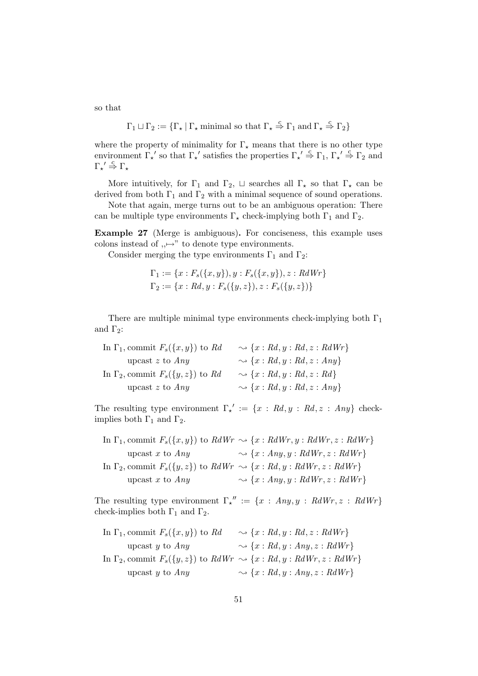so that

$$
\Gamma_1\sqcup\Gamma_2:=\{\Gamma_\star\ |\ \Gamma_\star \ \text{minimal so that}\ \Gamma_\star\stackrel{c}{\Rightarrow}\Gamma_1\ \text{and}\ \Gamma_\star\stackrel{c}{\Rightarrow}\Gamma_2\}
$$

where the property of minimality for  $\Gamma_{\star}$  means that there is no other type environment  $\Gamma_{\star}$ ' so that  $\Gamma_{\star}$ ' satisfies the properties  $\Gamma_{\star}$ '  $\stackrel{c}{\Rightarrow}$   $\Gamma_1$ ,  $\Gamma_{\star}$ '  $\stackrel{c}{\Rightarrow}$   $\Gamma_2$  and  $\Gamma_{\star}{}' \stackrel{c}{\Rightarrow} \Gamma_{\star}$ 

More intuitively, for  $\Gamma_1$  and  $\Gamma_2$ ,  $\sqcup$  searches all  $\Gamma_\star$  so that  $\Gamma_\star$  can be derived from both  $\Gamma_1$  and  $\Gamma_2$  with a minimal sequence of sound operations.

Note that again, merge turns out to be an ambiguous operation: There can be multiple type environments  $\Gamma_{\star}$  check-implying both  $\Gamma_1$  and  $\Gamma_2$ .

Example 27 (Merge is ambiguous). For conciseness, this example uses colons instead of  $, \mapsto$ " to denote type environments.

Consider merging the type environments  $\Gamma_1$  and  $\Gamma_2$ :

$$
\Gamma_1 := \{x : F_s(\{x, y\}), y : F_s(\{x, y\}), z : RdWr\}
$$
  

$$
\Gamma_2 := \{x : Rd, y : F_s(\{y, z\}), z : F_s(\{y, z\})\}
$$

There are multiple minimal type environments check-implying both  $\Gamma_1$ and  $\Gamma_2$ :

| In $\Gamma_1$ , commit $F_s({x,y})$ to Rd | $\rightsquigarrow \{x: Rd, y: Rd, z: RdWr\}$ |
|-------------------------------------------|----------------------------------------------|
| upcast $z$ to $Any$                       | $\rightsquigarrow \{x: Rd, y: Rd, z: Any\}$  |
| In $\Gamma_2$ , commit $F_s({y,z})$ to Rd | $\rightsquigarrow \{x: Rd, y: Rd, z: Rd\}$   |
| upcast z to $Any$                         | $\rightsquigarrow \{x: Rd, y: Rd, z: Any\}$  |
|                                           |                                              |

The resulting type environment  $\Gamma_{\star}' := \{x : Rd, y : Rd, z : Any\}$  checkimplies both  $\Gamma_1$  and  $\Gamma_2$ .

In 
$$
\Gamma_1
$$
, commit  $F_s({x, y})$  to  $RdWr \sim {x : RdWr, y : RdWr, z : RdWr}$   
\nupcast x to Any  $\sim {x : Any, y : RdWr, z : RdWr}$   
\nIn  $\Gamma_2$ , commit  $F_s({y, z})$  to  $RdWr \sim {x : Rd, y : RdWr, z : RdWr}$   
\nupcast x to Any  $\sim {x : Any, y : RdWr, z : RdWr}$ 

The resulting type environment  $\Gamma_{\star}^{\prime\prime} := \{x : \text{Any}, y : \text{RdWr}, z : \text{RdWr}\}$ check-implies both  $\Gamma_1$  and  $\Gamma_2.$ 

In 
$$
\Gamma_1
$$
, commit  $F_s({x, y})$  to  $Rd \rightarrow {x : Rd, y : Rd, z : RdWr}$   
\nupcast y to  $Any \rightarrow {x : Rd, y : Any, z : RdWr}$   
\nIn  $\Gamma_2$ , commit  $F_s({y, z})$  to  $RdWr \rightarrow {x : Rd, y : RdWr, z : RdWr}$   
\nupcast y to  $Any \rightarrow {x : Rd, y : Any, z : RdWr}$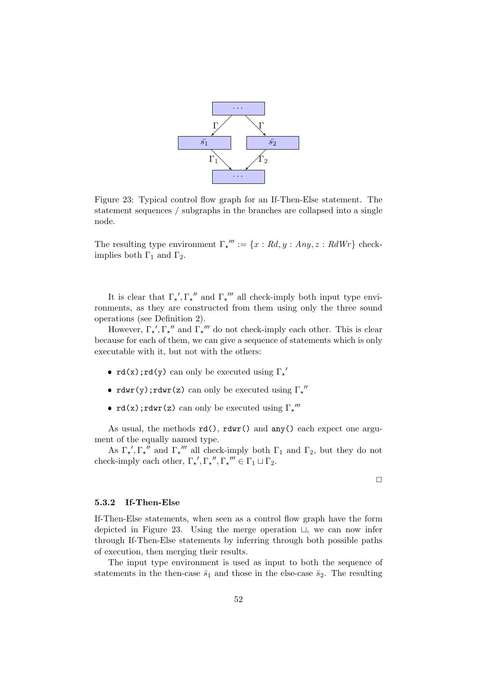

Figure 23: Typical control flow graph for an If-Then-Else statement. The statement sequences / subgraphs in the branches are collapsed into a single node.

The resulting type environment  $\Gamma_{\star}^{\mu\nu} := \{x : Rd, y : Any, z : RdWr\}$  checkimplies both  $\Gamma_1$  and  $\Gamma_2$ .

It is clear that  $\Gamma_{\star}$ ,  $\Gamma_{\star}$ <sup>"</sup> and  $\Gamma_{\star}$ <sup>""</sup> all check-imply both input type environments, as they are constructed from them using only the three sound operations (see Definition 2).

However,  $\Gamma_{\star}, \Gamma_{\star}$ <sup>"</sup> and  $\Gamma_{\star}$ <sup>""</sup> do not check-imply each other. This is clear because for each of them, we can give a sequence of statements which is only executable with it, but not with the others:

- rd(x);rd(y) can only be executed using  $\Gamma_{\star}$ <sup>'</sup>
- rdwr(y); rdwr(z) can only be executed using  $\Gamma_{\star}^{\ \prime\prime}$
- $rd(x);rdwr(z)$  can only be executed using  $\Gamma_{x}^{\prime\prime\prime}$

As usual, the methods rd(), rdwr() and any() each expect one argument of the equally named type.

As  $\Gamma_{\star}, \Gamma_{\star}$ " and  $\Gamma_{\star}$ "" all check-imply both  $\Gamma_1$  and  $\Gamma_2$ , but they do not check-imply each other,  $\Gamma_{\star}$ ',  $\Gamma_{\star}$ '',  $\Gamma_{\star}$ '''  $\in \Gamma_1 \sqcup \Gamma_2$ .

 $\Box$ 

#### 5.3.2 If-Then-Else

If-Then-Else statements, when seen as a control flow graph have the form depicted in Figure 23. Using the merge operation  $\Box$ , we can now infer through If-Then-Else statements by inferring through both possible paths of execution, then merging their results.

The input type environment is used as input to both the sequence of statements in the then-case  $\bar{s}_1$  and those in the else-case  $\bar{s}_2$ . The resulting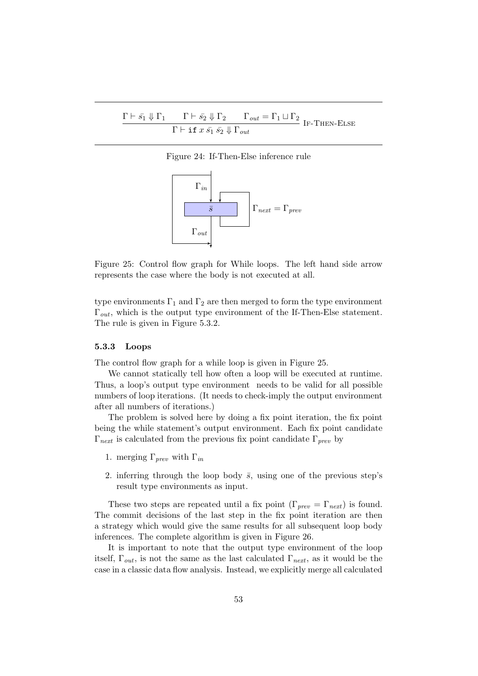$$
\frac{\Gamma \vdash \bar{s_1} \Downarrow \Gamma_1 \qquad \Gamma \vdash \bar{s_2} \Downarrow \Gamma_2 \qquad \Gamma_{out} = \Gamma_1 \sqcup \Gamma_2}{\Gamma \vdash \texttt{if } x \bar{s_1} \bar{s_2} \Downarrow \Gamma_{out}} \text{ IF-THEN-Else}
$$

Figure 24: If-Then-Else inference rule



Figure 25: Control flow graph for While loops. The left hand side arrow represents the case where the body is not executed at all.

type environments  $\Gamma_1$  and  $\Gamma_2$  are then merged to form the type environment  $\Gamma_{out}$ , which is the output type environment of the If-Then-Else statement. The rule is given in Figure 5.3.2.

# 5.3.3 Loops

The control flow graph for a while loop is given in Figure 25.

We cannot statically tell how often a loop will be executed at runtime. Thus, a loop's output type environment needs to be valid for all possible numbers of loop iterations. (It needs to check-imply the output environment after all numbers of iterations.)

The problem is solved here by doing a fix point iteration, the fix point being the while statement's output environment. Each fix point candidate  $\Gamma_{\text{next}}$  is calculated from the previous fix point candidate  $\Gamma_{\text{prev}}$  by

- 1. merging  $\Gamma_{\text{new}}$  with  $\Gamma_{\text{in}}$
- 2. inferring through the loop body  $\bar{s}$ , using one of the previous step's result type environments as input.

These two steps are repeated until a fix point  $(\Gamma_{prev} = \Gamma_{next})$  is found. The commit decisions of the last step in the fix point iteration are then a strategy which would give the same results for all subsequent loop body inferences. The complete algorithm is given in Figure 26.

It is important to note that the output type environment of the loop itself,  $\Gamma_{out}$ , is not the same as the last calculated  $\Gamma_{next}$ , as it would be the case in a classic data flow analysis. Instead, we explicitly merge all calculated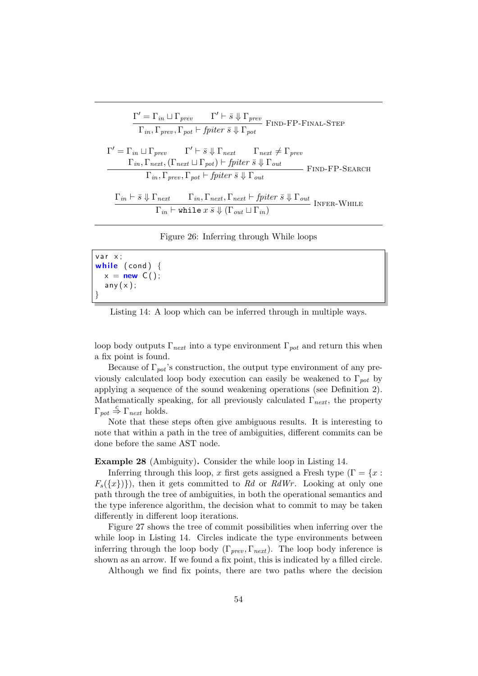$$
\Gamma' = \Gamma_{in} \sqcup \Gamma_{prev} \qquad \Gamma' \vdash \bar{s} \Downarrow \Gamma_{prev}
$$
\n
$$
\Gamma_{in}, \Gamma_{prev}, \Gamma_{pot} \vdash fptier \ \bar{s} \Downarrow \Gamma_{pot}
$$
\n
$$
\Gamma' = \Gamma_{in} \sqcup \Gamma_{prev} \qquad \Gamma' \vdash \bar{s} \Downarrow \Gamma_{next} \qquad \Gamma_{next} \neq \Gamma_{prev}
$$
\n
$$
\frac{\Gamma_{in}, \Gamma_{next}, (\Gamma_{next} \sqcup \Gamma_{pot}) \vdash fptier \ \bar{s} \Downarrow \Gamma_{out}}{\Gamma_{in}, \Gamma_{prev}, \Gamma_{pot} \vdash fptier \ \bar{s} \Downarrow \Gamma_{out}} \qquad \qquad \text{FIND-FP-SEARCH}
$$
\n
$$
\frac{\Gamma_{in} \vdash \bar{s} \Downarrow \Gamma_{next} \qquad \Gamma_{in}, \Gamma_{next}, \Gamma_{next} \vdash fptier \ \bar{s} \Downarrow \Gamma_{out}}{\Gamma_{in} \vdash \text{while } x \ \bar{s} \Downarrow (\Gamma_{out} \sqcup \Gamma_{in})} \qquad \qquad \text{INFER-WHILE}
$$

Figure 26: Inferring through While loops

```
var x;while (cond) \{x = new C();
  any(x);}
```
Listing 14: A loop which can be inferred through in multiple ways.

loop body outputs  $\Gamma_{\text{next}}$  into a type environment  $\Gamma_{\text{pot}}$  and return this when a fix point is found.

Because of  $\Gamma_{pot}$ 's construction, the output type environment of any previously calculated loop body execution can easily be weakened to  $\Gamma_{pot}$  by applying a sequence of the sound weakening operations (see Definition 2). Mathematically speaking, for all previously calculated  $\Gamma_{\text{next}}$ , the property  $\Gamma_{pot} \stackrel{c}{\Rightarrow} \Gamma_{next}$  holds.

Note that these steps often give ambiguous results. It is interesting to note that within a path in the tree of ambiguities, different commits can be done before the same AST node.

Example 28 (Ambiguity). Consider the while loop in Listing 14.

Inferring through this loop, x first gets assigned a Fresh type ( $\Gamma = \{x :$  $F_s({x})$ , then it gets committed to Rd or RdWr. Looking at only one path through the tree of ambiguities, in both the operational semantics and the type inference algorithm, the decision what to commit to may be taken differently in different loop iterations.

Figure 27 shows the tree of commit possibilities when inferring over the while loop in Listing 14. Circles indicate the type environments between inferring through the loop body ( $\Gamma_{prev}, \Gamma_{next}$ ). The loop body inference is shown as an arrow. If we found a fix point, this is indicated by a filled circle.

Although we find fix points, there are two paths where the decision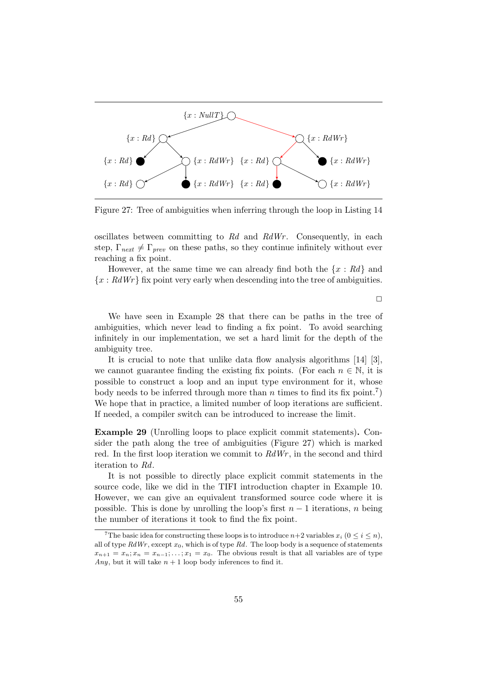

Figure 27: Tree of ambiguities when inferring through the loop in Listing 14

oscillates between committing to Rd and RdWr. Consequently, in each step,  $\Gamma_{\text{next}} \neq \Gamma_{\text{prev}}$  on these paths, so they continue infinitely without ever reaching a fix point.

However, at the same time we can already find both the  $\{x : Rd\}$  and  ${x : RdWr}$  fix point very early when descending into the tree of ambiguities.

 $\Box$ 

We have seen in Example 28 that there can be paths in the tree of ambiguities, which never lead to finding a fix point. To avoid searching infinitely in our implementation, we set a hard limit for the depth of the ambiguity tree.

It is crucial to note that unlike data flow analysis algorithms [14] [3], we cannot guarantee finding the existing fix points. (For each  $n \in \mathbb{N}$ , it is possible to construct a loop and an input type environment for it, whose body needs to be inferred through more than n times to find its fix point.<sup>7</sup>) We hope that in practice, a limited number of loop iterations are sufficient. If needed, a compiler switch can be introduced to increase the limit.

Example 29 (Unrolling loops to place explicit commit statements). Consider the path along the tree of ambiguities (Figure 27) which is marked red. In the first loop iteration we commit to  $RdWr$ , in the second and third iteration to Rd.

It is not possible to directly place explicit commit statements in the source code, like we did in the TIFI introduction chapter in Example 10. However, we can give an equivalent transformed source code where it is possible. This is done by unrolling the loop's first  $n-1$  iterations, n being the number of iterations it took to find the fix point.

<sup>&</sup>lt;sup>7</sup>The basic idea for constructing these loops is to introduce  $n+2$  variables  $x_i$  ( $0 \le i \le n$ ), all of type  $RdWr$ , except  $x_0$ , which is of type  $Rd$ . The loop body is a sequence of statements  $x_{n+1} = x_n; x_n = x_{n-1}; \ldots; x_1 = x_0.$  The obvious result is that all variables are of type Any, but it will take  $n + 1$  loop body inferences to find it.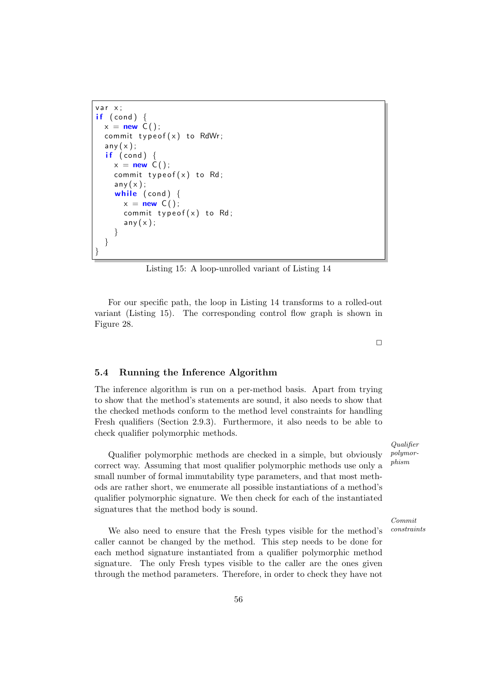```
var x;
if (cond) {
 x = new C();
  commit typeof(x) to RdWr;
  any(x);
  if (cond) {
    x = new C();
    commit typeof(x) to Rd;
    any(x);while (cond) {
      x = new C();
      commit typeof(x) to Rd;
      any(x);}
  }
}
```
Listing 15: A loop-unrolled variant of Listing 14

For our specific path, the loop in Listing 14 transforms to a rolled-out variant (Listing 15). The corresponding control flow graph is shown in Figure 28.

5.4 Running the Inference Algorithm

The inference algorithm is run on a per-method basis. Apart from trying to show that the method's statements are sound, it also needs to show that the checked methods conform to the method level constraints for handling Fresh qualifiers (Section 2.9.3). Furthermore, it also needs to be able to check qualifier polymorphic methods.

Qualifier polymorphic methods are checked in a simple, but obviously correct way. Assuming that most qualifier polymorphic methods use only a small number of formal immutability type parameters, and that most methods are rather short, we enumerate all possible instantiations of a method's qualifier polymorphic signature. We then check for each of the instantiated signatures that the method body is sound.

We also need to ensure that the Fresh types visible for the method's constraints caller cannot be changed by the method. This step needs to be done for each method signature instantiated from a qualifier polymorphic method signature. The only Fresh types visible to the caller are the ones given through the method parameters. Therefore, in order to check they have not

Qualifier polymorphism

Commit

# $\Box$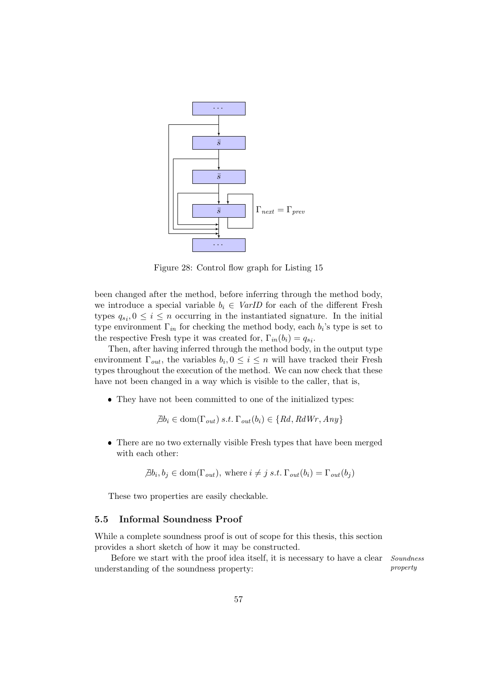

Figure 28: Control flow graph for Listing 15

been changed after the method, before inferring through the method body, we introduce a special variable  $b_i \in \text{VarID}$  for each of the different Fresh types  $q_{s_i}, 0 \leq i \leq n$  occurring in the instantiated signature. In the initial type environment  $\Gamma_{in}$  for checking the method body, each  $b_i$ 's type is set to the respective Fresh type it was created for,  $\Gamma_{in}(b_i) = q_{si}$ .

Then, after having inferred through the method body, in the output type environment  $\Gamma_{out}$ , the variables  $b_i, 0 \leq i \leq n$  will have tracked their Fresh types throughout the execution of the method. We can now check that these have not been changed in a way which is visible to the caller, that is,

They have not been committed to one of the initialized types:

$$
\exists b_i \in \text{dom}(\Gamma_{out}) \ s.t. \ \Gamma_{out}(b_i) \in \{Rd, RdWr, Any\}
$$

 There are no two externally visible Fresh types that have been merged with each other:

$$
\exists b_i, b_j \in \text{dom}(\Gamma_{out}), \text{ where } i \neq j \text{ s.t. } \Gamma_{out}(b_i) = \Gamma_{out}(b_j)
$$

These two properties are easily checkable.

## 5.5 Informal Soundness Proof

While a complete soundness proof is out of scope for this thesis, this section provides a short sketch of how it may be constructed.

Before we start with the proof idea itself, it is necessary to have a clear *Soundness* understanding of the soundness property: property property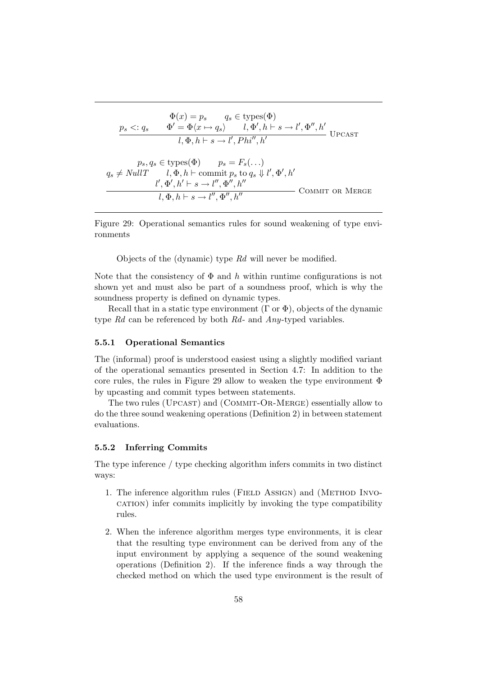$$
\Phi(x) = p_s \qquad q_s \in \text{types}(\Phi)
$$
\n
$$
\frac{p_s <: q_s \qquad \Phi' = \Phi\langle x \mapsto q_s \rangle \qquad l, \Phi', h \vdash s \to l', \Phi'', h' \qquad \text{UPCAST}
$$
\n
$$
l, \Phi, h \vdash s \to l', Phi'', h' \qquad \text{UPCAST}
$$
\n
$$
p_s, q_s \in \text{types}(\Phi) \qquad p_s = F_s(\ldots)
$$
\n
$$
q_s \neq NullT \qquad l, \Phi, h \vdash \text{commit } p_s \text{ to } q_s \Downarrow l', \Phi', h'
$$
\n
$$
\frac{l', \Phi', h' \vdash s \to l'', \Phi'', h'' \qquad \text{COMMIT OR MERGE}
$$

Figure 29: Operational semantics rules for sound weakening of type environments

Objects of the (dynamic) type Rd will never be modified.

Note that the consistency of  $\Phi$  and h within runtime configurations is not shown yet and must also be part of a soundness proof, which is why the soundness property is defined on dynamic types.

Recall that in a static type environment  $(\Gamma \text{ or } \Phi)$ , objects of the dynamic type Rd can be referenced by both Rd- and Any-typed variables.

# 5.5.1 Operational Semantics

The (informal) proof is understood easiest using a slightly modified variant of the operational semantics presented in Section 4.7: In addition to the core rules, the rules in Figure 29 allow to weaken the type environment Φ by upcasting and commit types between statements.

The two rules (UPCAST) and (COMMIT-OR-MERGE) essentially allow to do the three sound weakening operations (Definition 2) in between statement evaluations.

# 5.5.2 Inferring Commits

The type inference / type checking algorithm infers commits in two distinct ways:

- 1. The inference algorithm rules (FIELD ASSIGN) and (METHOD INVOcation) infer commits implicitly by invoking the type compatibility rules.
- 2. When the inference algorithm merges type environments, it is clear that the resulting type environment can be derived from any of the input environment by applying a sequence of the sound weakening operations (Definition 2). If the inference finds a way through the checked method on which the used type environment is the result of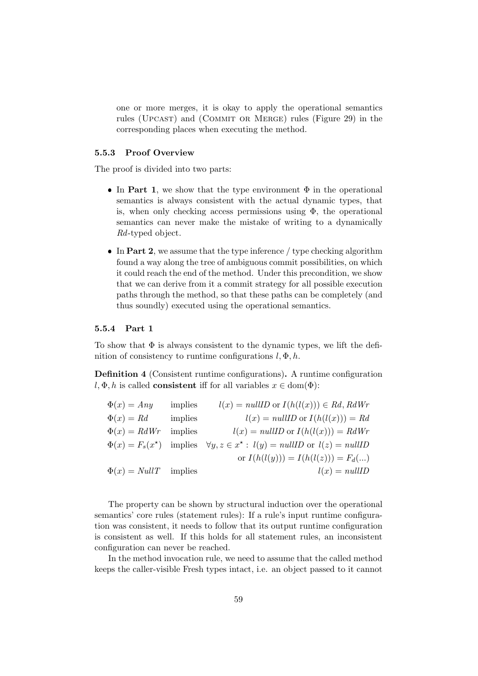one or more merges, it is okay to apply the operational semantics rules (UPCAST) and (COMMIT OR MERGE) rules (Figure 29) in the corresponding places when executing the method.

### 5.5.3 Proof Overview

The proof is divided into two parts:

- In Part 1, we show that the type environment  $\Phi$  in the operational semantics is always consistent with the actual dynamic types, that is, when only checking access permissions using  $\Phi$ , the operational semantics can never make the mistake of writing to a dynamically Rd-typed object.
- In Part 2, we assume that the type inference  $/$  type checking algorithm found a way along the tree of ambiguous commit possibilities, on which it could reach the end of the method. Under this precondition, we show that we can derive from it a commit strategy for all possible execution paths through the method, so that these paths can be completely (and thus soundly) executed using the operational semantics.

# 5.5.4 Part 1

To show that  $\Phi$  is always consistent to the dynamic types, we lift the definition of consistency to runtime configurations  $l, \Phi, h$ .

Definition 4 (Consistent runtime configurations). A runtime configuration  $l, \Phi, h$  is called **consistent** iff for all variables  $x \in \text{dom}(\Phi)$ :

| $\Phi(x) = Any$           | implies | $l(x) = nullID$ or $I(h(l(x))) \in Rd$ , $RdWr$                                        |
|---------------------------|---------|----------------------------------------------------------------------------------------|
| $\Phi(x) = Rd$            | implies | $l(x) = nullID$ or $I(h(l(x))) = Rd$                                                   |
| $\Phi(x) = R dWr$         | implies | $l(x) = nullID$ or $I(h(l(x))) = RdWr$                                                 |
|                           |         | $\Phi(x) = F_s(x^*)$ implies $\forall y, z \in x^* : l(y) = nullID$ or $l(z) = nullID$ |
|                           |         | or $I(h(l(y))) = I(h(l(z))) = F_d()$                                                   |
| $\Phi(x) = NullT$ implies |         | $l(x) = nullID$                                                                        |
|                           |         |                                                                                        |

The property can be shown by structural induction over the operational semantics' core rules (statement rules): If a rule's input runtime configuration was consistent, it needs to follow that its output runtime configuration is consistent as well. If this holds for all statement rules, an inconsistent configuration can never be reached.

In the method invocation rule, we need to assume that the called method keeps the caller-visible Fresh types intact, i.e. an object passed to it cannot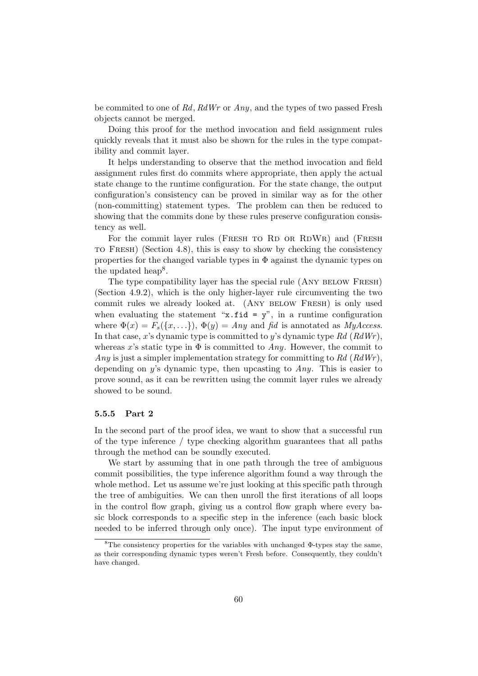be commited to one of Rd, RdWr or Any, and the types of two passed Fresh objects cannot be merged.

Doing this proof for the method invocation and field assignment rules quickly reveals that it must also be shown for the rules in the type compatibility and commit layer.

It helps understanding to observe that the method invocation and field assignment rules first do commits where appropriate, then apply the actual state change to the runtime configuration. For the state change, the output configuration's consistency can be proved in similar way as for the other (non-committing) statement types. The problem can then be reduced to showing that the commits done by these rules preserve configuration consistency as well.

For the commit layer rules (FRESH TO RD OR RDWR) and (FRESH to Fresh) (Section 4.8), this is easy to show by checking the consistency properties for the changed variable types in  $\Phi$  against the dynamic types on the updated heap<sup>8</sup>.

The type compatibility layer has the special rule (ANY BELOW FRESH) (Section 4.9.2), which is the only higher-layer rule circumventing the two commit rules we already looked at. (ANY BELOW FRESH) is only used when evaluating the statement "x.fid =  $y$ ", in a runtime configuration where  $\Phi(x) = F_s({x, \ldots})$ ,  $\Phi(y) = Any$  and fid is annotated as *MyAccess*. In that case, x's dynamic type is committed to y's dynamic type  $Rd$  ( $RdWr$ ), whereas x's static type in  $\Phi$  is committed to Any. However, the commit to Any is just a simpler implementation strategy for committing to  $Rd$  ( $RdWr$ ), depending on y's dynamic type, then upcasting to Any. This is easier to prove sound, as it can be rewritten using the commit layer rules we already showed to be sound.

### 5.5.5 Part 2

In the second part of the proof idea, we want to show that a successful run of the type inference / type checking algorithm guarantees that all paths through the method can be soundly executed.

We start by assuming that in one path through the tree of ambiguous commit possibilities, the type inference algorithm found a way through the whole method. Let us assume we're just looking at this specific path through the tree of ambiguities. We can then unroll the first iterations of all loops in the control flow graph, giving us a control flow graph where every basic block corresponds to a specific step in the inference (each basic block needed to be inferred through only once). The input type environment of

<sup>&</sup>lt;sup>8</sup>The consistency properties for the variables with unchanged  $\Phi$ -types stay the same, as their corresponding dynamic types weren't Fresh before. Consequently, they couldn't have changed.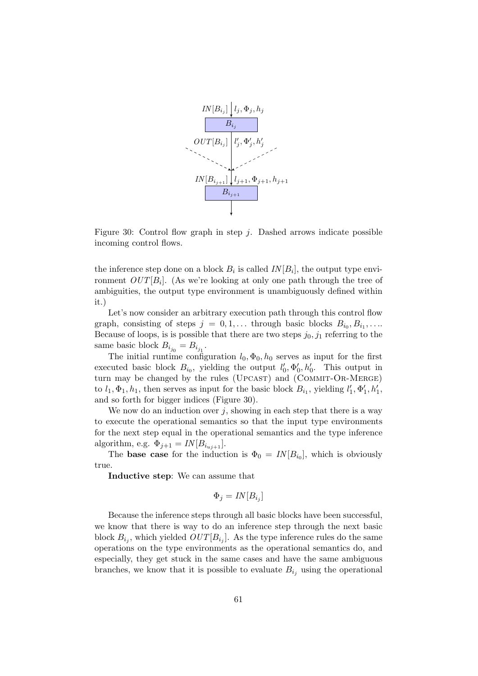

Figure 30: Control flow graph in step  $j$ . Dashed arrows indicate possible incoming control flows.

the inference step done on a block  $B_i$  is called  $IN[B_i]$ , the output type environment  $OUT[B_i]$ . (As we're looking at only one path through the tree of ambiguities, the output type environment is unambiguously defined within it.)

Let's now consider an arbitrary execution path through this control flow graph, consisting of steps  $j = 0, 1, \ldots$  through basic blocks  $B_{i_0}, B_{i_1}, \ldots$ Because of loops, is is possible that there are two steps  $j_0, j_1$  referring to the same basic block  $B_{i_{j_0}} = B_{i_{j_1}}$ .

The initial runtime configuration  $l_0, \Phi_0, h_0$  serves as input for the first executed basic block  $B_{i_0}$ , yielding the output  $l'_0, \Phi'_0, h'_0$ . This output in turn may be changed by the rules (UPCAST) and (COMMIT-OR-MERGE) to  $l_1, \Phi_1, h_1$ , then serves as input for the basic block  $B_{i_1}$ , yielding  $l'_1, \Phi'_1, h'_1$ , and so forth for bigger indices (Figure 30).

We now do an induction over  $j$ , showing in each step that there is a way to execute the operational semantics so that the input type environments for the next step equal in the operational semantics and the type inference algorithm, e.g.  $\Phi_{j+1} = IN[B_{i_{uj+1}}]$ .

The **base case** for the induction is  $\Phi_0 = IN[B_{i_0}]$ , which is obviously true.

Inductive step: We can assume that

$$
\Phi_j = IN[B_{i_j}]
$$

Because the inference steps through all basic blocks have been successful, we know that there is way to do an inference step through the next basic block  $B_{i_j}$ , which yielded  $OUT[B_{i_j}]$ . As the type inference rules do the same operations on the type environments as the operational semantics do, and especially, they get stuck in the same cases and have the same ambiguous branches, we know that it is possible to evaluate  $B_{i_j}$  using the operational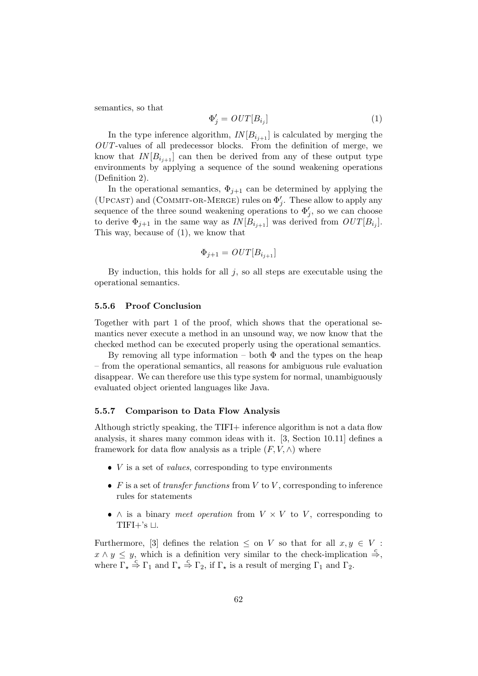semantics, so that

$$
\Phi_j' = OUT[B_{i_j}] \tag{1}
$$

In the type inference algorithm,  $IN[B_{i_{j+1}}]$  is calculated by merging the  $OUT$ -values of all predecessor blocks. From the definition of merge, we know that  $IN[B_{i_{i+1}}]$  can then be derived from any of these output type environments by applying a sequence of the sound weakening operations (Definition 2).

In the operational semantics,  $\Phi_{i+1}$  can be determined by applying the (UPCAST) and (COMMIT-OR-MERGE) rules on  $\Phi'_j$ . These allow to apply any sequence of the three sound weakening operations to  $\Phi'_{j}$ , so we can choose to derive  $\Phi_{j+1}$  in the same way as  $IN[B_{i_{j+1}}]$  was derived from  $OUT[B_{i_j}]$ . This way, because of (1), we know that

$$
\Phi_{j+1} = OUT[B_{i_{j+1}}]
$$

By induction, this holds for all  $j$ , so all steps are executable using the operational semantics.

#### 5.5.6 Proof Conclusion

Together with part 1 of the proof, which shows that the operational semantics never execute a method in an unsound way, we now know that the checked method can be executed properly using the operational semantics.

By removing all type information – both  $\Phi$  and the types on the heap – from the operational semantics, all reasons for ambiguous rule evaluation disappear. We can therefore use this type system for normal, unambiguously evaluated object oriented languages like Java.

# 5.5.7 Comparison to Data Flow Analysis

Although strictly speaking, the TIFI+ inference algorithm is not a data flow analysis, it shares many common ideas with it. [3, Section 10.11] defines a framework for data flow analysis as a triple  $(F, V, \wedge)$  where

- $\bullet$  V is a set of *values*, corresponding to type environments
- F is a set of transfer functions from V to V, corresponding to inference rules for statements
- $\wedge$  is a binary *meet operation* from  $V \times V$  to  $V$ , corresponding to TIFI $+$ 's  $\sqcup$ .

Furthermore, [3] defines the relation  $\leq$  on V so that for all  $x, y \in V$ :  $x \wedge y \leq y$ , which is a definition very similar to the check-implication  $\stackrel{c}{\Rightarrow}$ , where  $\Gamma_{\star} \stackrel{c}{\Rightarrow} \Gamma_1$  and  $\Gamma_{\star} \stackrel{c}{\Rightarrow} \Gamma_2$ , if  $\Gamma_{\star}$  is a result of merging  $\Gamma_1$  and  $\Gamma_2$ .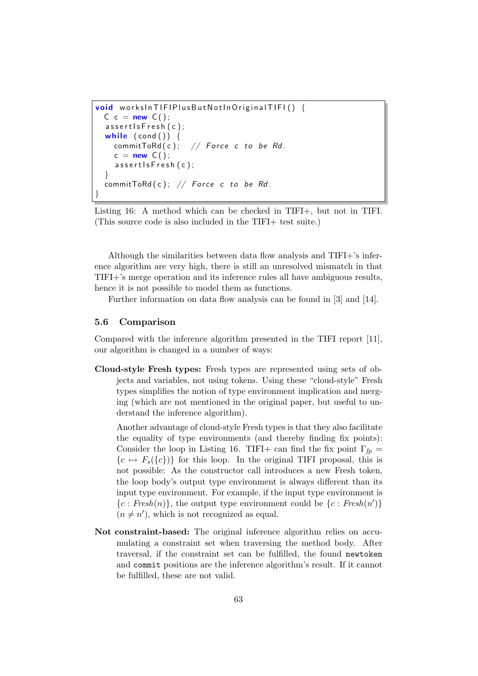```
void worksInTIFIPlusButNotInOriginalTIFI() {
 C c = new C();
  assert Is Fresh (c);
  while (\text{cond}() ) {
    commitToRd(c); // Force c to be Rd.
    c = new C();
    assert Is Fresh (c);
  }
  commitToRd(c); // Force c to be Rd.
}
```
Listing 16: A method which can be checked in TIFI+, but not in TIFI. (This source code is also included in the TIFI+ test suite.)

Although the similarities between data flow analysis and TIFI+'s inference algorithm are very high, there is still an unresolved mismatch in that TIFI+'s merge operation and its inference rules all have ambiguous results, hence it is not possible to model them as functions.

Further information on data flow analysis can be found in [3] and [14].

# 5.6 Comparison

Compared with the inference algorithm presented in the TIFI report [11], our algorithm is changed in a number of ways:

Cloud-style Fresh types: Fresh types are represented using sets of objects and variables, not using tokens. Using these "cloud-style" Fresh types simplifies the notion of type environment implication and merging (which are not mentioned in the original paper, but useful to understand the inference algorithm).

Another advantage of cloud-style Fresh types is that they also facilitate the equality of type environments (and thereby finding fix points): Consider the loop in Listing 16. TIFI+ can find the fix point  $\Gamma_{fp}$  =  ${c \mapsto F_s({c})}$  for this loop. In the original TIFI proposal, this is not possible: As the constructor call introduces a new Fresh token, the loop body's output type environment is always different than its input type environment. For example, if the input type environment is  ${c: Fresh(n)}$ , the output type environment could be  ${c: Fresh(n')}$  $(n \neq n')$ , which is not recognized as equal.

Not constraint-based: The original inference algorithm relies on accumulating a constraint set when traversing the method body. After traversal, if the constraint set can be fulfilled, the found newtoken and commit positions are the inference algorithm's result. If it cannot be fulfilled, these are not valid.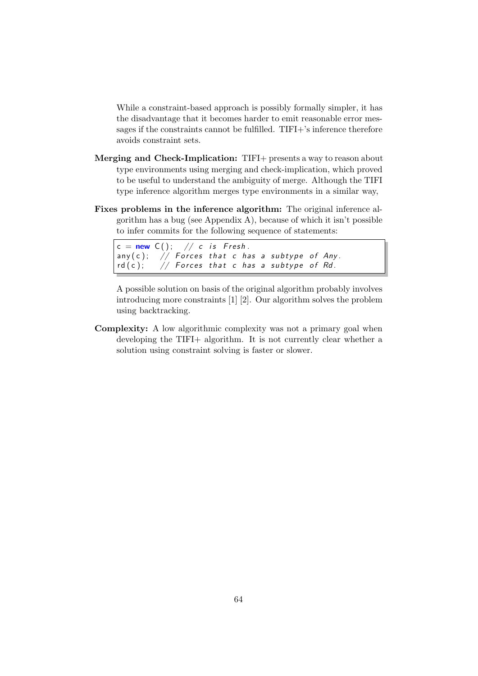While a constraint-based approach is possibly formally simpler, it has the disadvantage that it becomes harder to emit reasonable error messages if the constraints cannot be fulfilled. TIFI+'s inference therefore avoids constraint sets.

- Merging and Check-Implication: TIFI+ presents a way to reason about type environments using merging and check-implication, which proved to be useful to understand the ambiguity of merge. Although the TIFI type inference algorithm merges type environments in a similar way,
- Fixes problems in the inference algorithm: The original inference algorithm has a bug (see Appendix A), because of which it isn't possible to infer commits for the following sequence of statements:

```
c = new C(); // c is Fresh.
any (c); // Forces that c has a subtype of Any.
rd(c); // Forces that c has a subtype of Rd.
```
A possible solution on basis of the original algorithm probably involves introducing more constraints [1] [2]. Our algorithm solves the problem using backtracking.

Complexity: A low algorithmic complexity was not a primary goal when developing the TIFI+ algorithm. It is not currently clear whether a solution using constraint solving is faster or slower.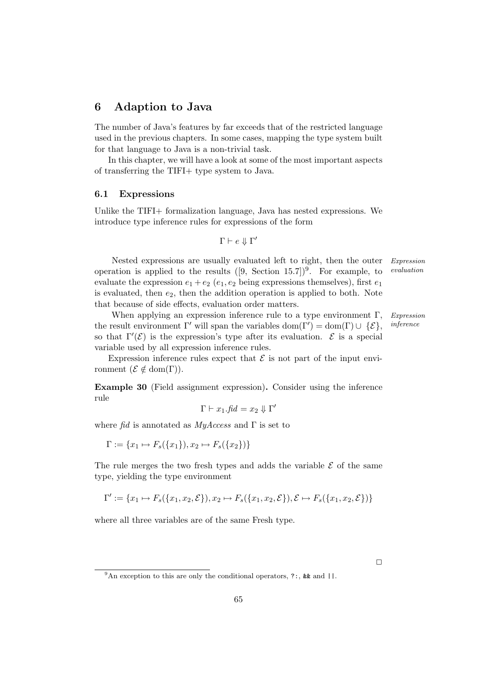# 6 Adaption to Java

The number of Java's features by far exceeds that of the restricted language used in the previous chapters. In some cases, mapping the type system built for that language to Java is a non-trivial task.

In this chapter, we will have a look at some of the most important aspects of transferring the TIFI+ type system to Java.

### 6.1 Expressions

Unlike the TIFI+ formalization language, Java has nested expressions. We introduce type inference rules for expressions of the form

$$
\Gamma \vdash e \Downarrow \Gamma
$$

Nested expressions are usually evaluated left to right, then the outer Expression operation is applied to the results  $([9, Section 15.7])^9$ . For example, to *evaluation* evaluate the expression  $e_1 + e_2$  ( $e_1, e_2$  being expressions themselves), first  $e_1$ is evaluated, then  $e_2$ , then the addition operation is applied to both. Note that because of side effects, evaluation order matters.

 $\overline{\phantom{a}}$ 

When applying an expression inference rule to a type environment  $\Gamma$ , Expression the result environment  $\Gamma'$  will span the variables dom( $\Gamma'$ ) = dom( $\Gamma$ )  $\cup \{ \mathcal{E} \},$  *inference* so that  $\Gamma'(\mathcal{E})$  is the expression's type after its evaluation.  $\mathcal E$  is a special variable used by all expression inference rules.

Expression inference rules expect that  $\mathcal E$  is not part of the input environment  $({\mathcal{E}} \notin \text{dom}(\Gamma)).$ 

Example 30 (Field assignment expression). Consider using the inference rule

$$
\Gamma \vdash x_1.\mathit{fid} = x_2 \Downarrow \Gamma'
$$

where fid is annotated as  $MyAccess$  and  $\Gamma$  is set to

 $\Gamma := \{x_1 \mapsto F_s(\{x_1\}), x_2 \mapsto F_s(\{x_2\})\}$ 

The rule merges the two fresh types and adds the variable  $\mathcal E$  of the same type, yielding the type environment

$$
\Gamma' := \{x_1 \mapsto F_s(\{x_1, x_2, \mathcal{E}\}), x_2 \mapsto F_s(\{x_1, x_2, \mathcal{E}\}), \mathcal{E} \mapsto F_s(\{x_1, x_2, \mathcal{E}\})\}
$$

where all three variables are of the same Fresh type.

 $\Box$ 

<sup>&</sup>lt;sup>9</sup>An exception to this are only the conditional operators, ?:, & and  $||$ .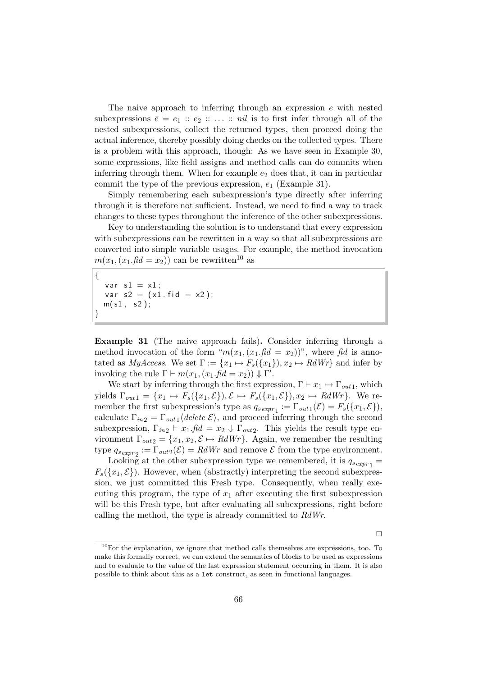The naive approach to inferring through an expression e with nested subexpressions  $\bar{e} = e_1 :: e_2 :: \ldots :: \text{nil}$  is to first infer through all of the nested subexpressions, collect the returned types, then proceed doing the actual inference, thereby possibly doing checks on the collected types. There is a problem with this approach, though: As we have seen in Example 30, some expressions, like field assigns and method calls can do commits when inferring through them. When for example  $e_2$  does that, it can in particular commit the type of the previous expression,  $e_1$  (Example 31).

Simply remembering each subexpression's type directly after inferring through it is therefore not sufficient. Instead, we need to find a way to track changes to these types throughout the inference of the other subexpressions.

Key to understanding the solution is to understand that every expression with subexpressions can be rewritten in a way so that all subexpressions are converted into simple variable usages. For example, the method invocation  $m(x_1,(x_1,\text{fd}=x_2))$  can be rewritten<sup>10</sup> as

```
{
  var s1 = x1;
  var s2 = (x1 \text{ f id } = x2);m(s1, s2);}
```
Example 31 (The naive approach fails). Consider inferring through a method invocation of the form " $m(x_1,(x_1,fid = x_2))$ ", where fid is annotated as  $MyAccess$ . We set  $\Gamma := \{x_1 \mapsto F_s(\{x_1\}), x_2 \mapsto RdWr\}$  and infer by invoking the rule  $\Gamma \vdash m(x_1, (x_1 \text{.} \text{fid} = x_2)) \Downarrow \Gamma'.$ 

We start by inferring through the first expression,  $\Gamma \vdash x_1 \mapsto \Gamma_{out1}$ , which yields  $\Gamma_{out1} = \{x_1 \mapsto F_s(\{x_1, \mathcal{E}\}), \mathcal{E} \mapsto F_s(\{x_1, \mathcal{E}\}), x_2 \mapsto RdWr\}.$  We remember the first subexpression's type as  $q_{s\,expr_1} := \Gamma_{out1}(\mathcal{E}) = F_s(\lbrace x_1, \mathcal{E} \rbrace),$ calculate  $\Gamma_{in2} = \Gamma_{out1} \langle delete \mathcal{E} \rangle$ , and proceed inferring through the second subexpression,  $\Gamma_{in2} \vdash x_1$ .  $\text{fid} = x_2 \Downarrow \Gamma_{out2}$ . This yields the result type environment  $\Gamma_{out2} = \{x_1, x_2, \mathcal{E} \mapsto RdWr\}$ . Again, we remember the resulting type  $q_{s\,expr2} := \Gamma_{out2}(\mathcal{E}) = RdWr$  and remove  $\mathcal E$  from the type environment.

Looking at the other subexpression type we remembered, it is  $q_{s\exp r_1} =$  $F_s({x_1, \mathcal{E}})$ . However, when (abstractly) interpreting the second subexpression, we just committed this Fresh type. Consequently, when really executing this program, the type of  $x_1$  after executing the first subexpression will be this Fresh type, but after evaluating all subexpressions, right before calling the method, the type is already committed to RdWr.

 $\Box$ 

 $10$ For the explanation, we ignore that method calls themselves are expressions, too. To make this formally correct, we can extend the semantics of blocks to be used as expressions and to evaluate to the value of the last expression statement occurring in them. It is also possible to think about this as a let construct, as seen in functional languages.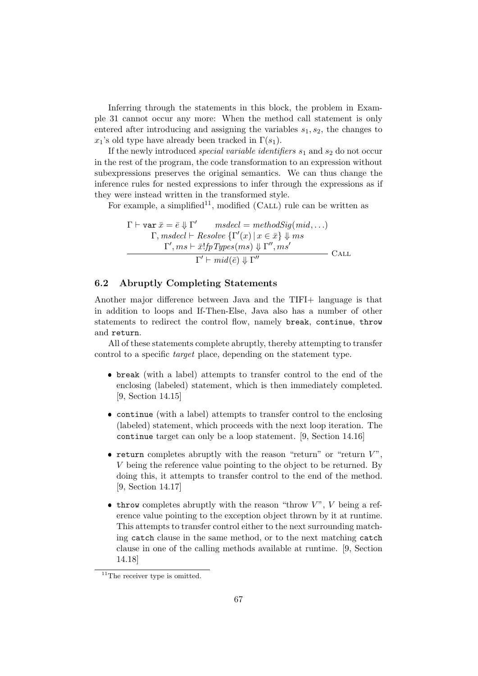Inferring through the statements in this block, the problem in Example 31 cannot occur any more: When the method call statement is only entered after introducing and assigning the variables  $s_1, s_2$ , the changes to  $x_1$ 's old type have already been tracked in  $\Gamma(s_1)$ .

If the newly introduced *special variable identifiers*  $s_1$  and  $s_2$  do not occur in the rest of the program, the code transformation to an expression without subexpressions preserves the original semantics. We can thus change the inference rules for nested expressions to infer through the expressions as if they were instead written in the transformed style.

For example, a simplified<sup>11</sup>, modified (CALL) rule can be written as

$$
\Gamma \vdash \text{var } \bar{x} = \bar{e} \Downarrow \Gamma' \qquad \text{model} = \text{methodSig}(\text{mid}, \ldots)
$$
\n
$$
\Gamma, \text{msdecl} \vdash \text{Resolve } \{\Gamma'(x) \mid x \in \bar{x}\} \Downarrow \text{ms}
$$
\n
$$
\frac{\Gamma', \text{ms} \vdash \bar{x}! \text{fpTypes}(\text{ms}) \Downarrow \Gamma'', \text{ms'}}{\Gamma' \vdash \text{mid}(\bar{e}) \Downarrow \Gamma''} \qquad \text{CALL}
$$

#### 6.2 Abruptly Completing Statements

Another major difference between Java and the TIFI+ language is that in addition to loops and If-Then-Else, Java also has a number of other statements to redirect the control flow, namely break, continue, throw and return.

All of these statements complete abruptly, thereby attempting to transfer control to a specific target place, depending on the statement type.

- break (with a label) attempts to transfer control to the end of the enclosing (labeled) statement, which is then immediately completed. [9, Section 14.15]
- continue (with a label) attempts to transfer control to the enclosing (labeled) statement, which proceeds with the next loop iteration. The continue target can only be a loop statement. [9, Section 14.16]
- return completes abruptly with the reason "return" or "return  $V$ ", V being the reference value pointing to the object to be returned. By doing this, it attempts to transfer control to the end of the method. [9, Section 14.17]
- $\bullet$  throw completes abruptly with the reason "throw  $V$ ",  $V$  being a reference value pointing to the exception object thrown by it at runtime. This attempts to transfer control either to the next surrounding matching catch clause in the same method, or to the next matching catch clause in one of the calling methods available at runtime. [9, Section 14.18]

 $\overline{^{11}$ The receiver type is omitted.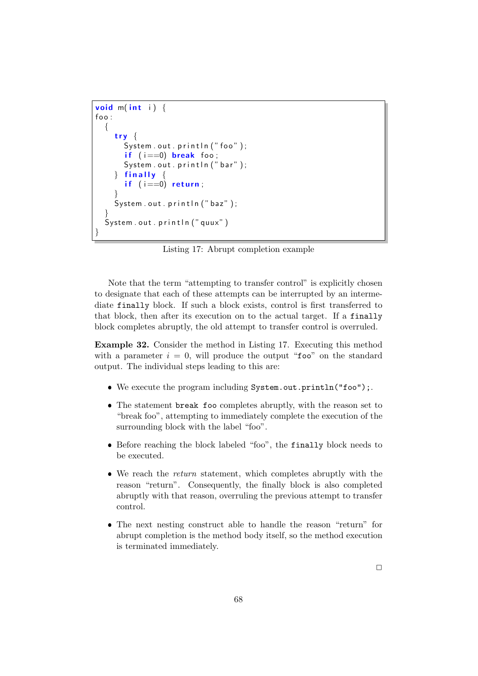```
void m(int i) {
foo:{
    try
       System . out . println ("foo");
       if (i == 0) break foo:
       System.out.println("bar");
      finally \{if (i == 0) return;
    }
    System . out . println ("baz");
  }
  System . out . println ("quux")
}
```
Listing 17: Abrupt completion example

Note that the term "attempting to transfer control" is explicitly chosen to designate that each of these attempts can be interrupted by an intermediate finally block. If such a block exists, control is first transferred to that block, then after its execution on to the actual target. If a finally block completes abruptly, the old attempt to transfer control is overruled.

Example 32. Consider the method in Listing 17. Executing this method with a parameter  $i = 0$ , will produce the output "foo" on the standard output. The individual steps leading to this are:

- We execute the program including System.out.println("foo");.
- The statement break foo completes abruptly, with the reason set to "break foo", attempting to immediately complete the execution of the surrounding block with the label "foo".
- Before reaching the block labeled "foo", the finally block needs to be executed.
- We reach the return statement, which completes abruptly with the reason "return". Consequently, the finally block is also completed abruptly with that reason, overruling the previous attempt to transfer control.
- The next nesting construct able to handle the reason "return" for abrupt completion is the method body itself, so the method execution is terminated immediately.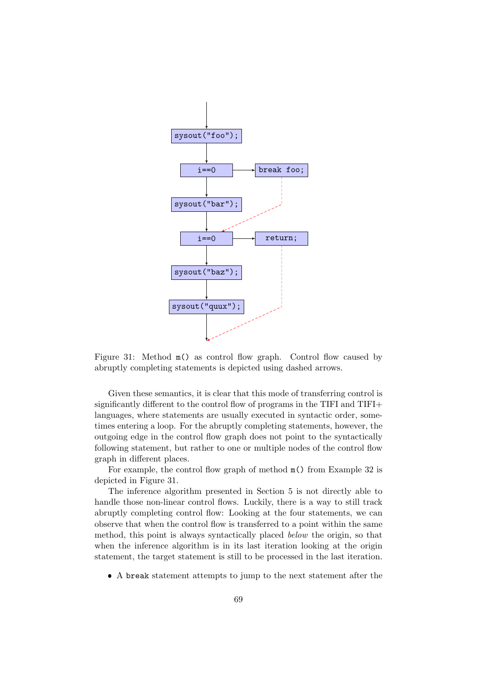

Figure 31: Method  $m()$  as control flow graph. Control flow caused by abruptly completing statements is depicted using dashed arrows.

Given these semantics, it is clear that this mode of transferring control is significantly different to the control flow of programs in the TIFI and TIFI+ languages, where statements are usually executed in syntactic order, sometimes entering a loop. For the abruptly completing statements, however, the outgoing edge in the control flow graph does not point to the syntactically following statement, but rather to one or multiple nodes of the control flow graph in different places.

For example, the control flow graph of method m() from Example 32 is depicted in Figure 31.

The inference algorithm presented in Section 5 is not directly able to handle those non-linear control flows. Luckily, there is a way to still track abruptly completing control flow: Looking at the four statements, we can observe that when the control flow is transferred to a point within the same method, this point is always syntactically placed below the origin, so that when the inference algorithm is in its last iteration looking at the origin statement, the target statement is still to be processed in the last iteration.

A break statement attempts to jump to the next statement after the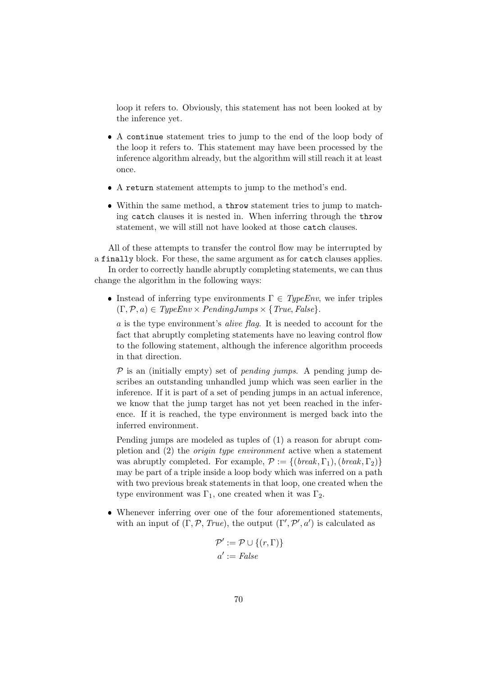loop it refers to. Obviously, this statement has not been looked at by the inference yet.

- A continue statement tries to jump to the end of the loop body of the loop it refers to. This statement may have been processed by the inference algorithm already, but the algorithm will still reach it at least once.
- A return statement attempts to jump to the method's end.
- Within the same method, a throw statement tries to jump to matching catch clauses it is nested in. When inferring through the throw statement, we will still not have looked at those catch clauses.

All of these attempts to transfer the control flow may be interrupted by a finally block. For these, the same argument as for catch clauses applies.

In order to correctly handle abruptly completing statements, we can thus change the algorithm in the following ways:

Instead of inferring type environments  $\Gamma \in TypeEnv$ , we infer triples  $(\Gamma, \mathcal{P}, a) \in TypeEnv \times PendingJumps \times \{True, False\}.$ 

a is the type environment's alive flag. It is needed to account for the fact that abruptly completing statements have no leaving control flow to the following statement, although the inference algorithm proceeds in that direction.

 $P$  is an (initially empty) set of *pending jumps*. A pending jump describes an outstanding unhandled jump which was seen earlier in the inference. If it is part of a set of pending jumps in an actual inference, we know that the jump target has not yet been reached in the inference. If it is reached, the type environment is merged back into the inferred environment.

Pending jumps are modeled as tuples of (1) a reason for abrupt completion and (2) the origin type environment active when a statement was abruptly completed. For example,  $\mathcal{P} := \{ (break, \Gamma_1), (break, \Gamma_2) \}$ may be part of a triple inside a loop body which was inferred on a path with two previous break statements in that loop, one created when the type environment was  $\Gamma_1$ , one created when it was  $\Gamma_2$ .

 Whenever inferring over one of the four aforementioned statements, with an input of  $(\Gamma, \mathcal{P}, \text{True})$ , the output  $(\Gamma', \mathcal{P}', a')$  is calculated as

$$
\mathcal{P}' := \mathcal{P} \cup \{(r, \Gamma)\}
$$

$$
a' := False
$$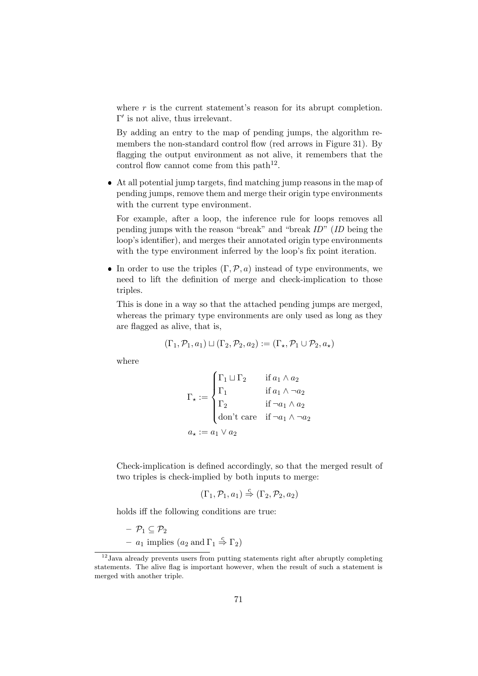where  $r$  is the current statement's reason for its abrupt completion.  $\Gamma'$  is not alive, thus irrelevant.

By adding an entry to the map of pending jumps, the algorithm remembers the non-standard control flow (red arrows in Figure 31). By flagging the output environment as not alive, it remembers that the control flow cannot come from this path<sup>12</sup>.

 At all potential jump targets, find matching jump reasons in the map of pending jumps, remove them and merge their origin type environments with the current type environment.

For example, after a loop, the inference rule for loops removes all pending jumps with the reason "break" and "break ID" (ID being the loop's identifier), and merges their annotated origin type environments with the type environment inferred by the loop's fix point iteration.

In order to use the triples  $(\Gamma, \mathcal{P}, a)$  instead of type environments, we need to lift the definition of merge and check-implication to those triples.

This is done in a way so that the attached pending jumps are merged, whereas the primary type environments are only used as long as they are flagged as alive, that is,

$$
(\Gamma_1, \mathcal{P}_1, a_1) \sqcup (\Gamma_2, \mathcal{P}_2, a_2) := (\Gamma_\star, \mathcal{P}_1 \cup \mathcal{P}_2, a_\star)
$$

where

$$
\Gamma_{\star} := \begin{cases}\n\Gamma_1 \sqcup \Gamma_2 & \text{if } a_1 \wedge a_2 \\
\Gamma_1 & \text{if } a_1 \wedge \neg a_2 \\
\Gamma_2 & \text{if } \neg a_1 \wedge a_2 \\
\text{don't care} & \text{if } \neg a_1 \wedge \neg a_2 \\
a_{\star} := a_1 \vee a_2\n\end{cases}
$$

Check-implication is defined accordingly, so that the merged result of two triples is check-implied by both inputs to merge:

$$
(\Gamma_1, \mathcal{P}_1, a_1) \stackrel{c}{\Rightarrow} (\Gamma_2, \mathcal{P}_2, a_2)
$$

holds iff the following conditions are true:

 $-\mathcal{P}_1 \subset \mathcal{P}_2$ –  $a_1$  implies  $(a_2 \text{ and } \Gamma_1 \stackrel{c}{\Rightarrow} \Gamma_2)$ 

 $12$ Java already prevents users from putting statements right after abruptly completing statements. The alive flag is important however, when the result of such a statement is merged with another triple.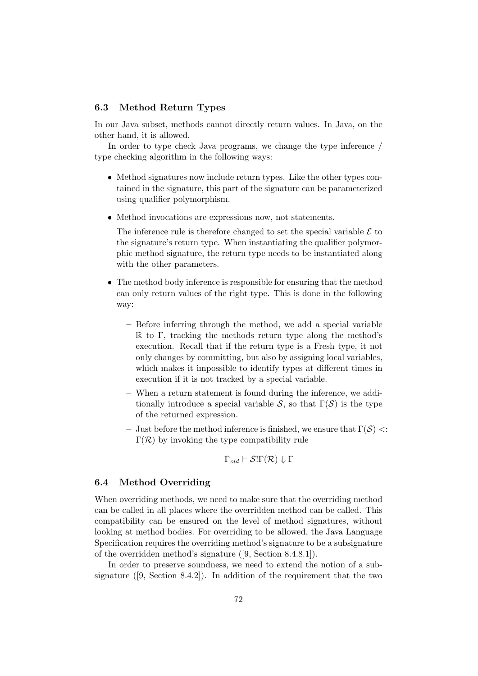#### 6.3 Method Return Types

In our Java subset, methods cannot directly return values. In Java, on the other hand, it is allowed.

In order to type check Java programs, we change the type inference / type checking algorithm in the following ways:

- Method signatures now include return types. Like the other types contained in the signature, this part of the signature can be parameterized using qualifier polymorphism.
- Method invocations are expressions now, not statements.

The inference rule is therefore changed to set the special variable  $\mathcal E$  to the signature's return type. When instantiating the qualifier polymorphic method signature, the return type needs to be instantiated along with the other parameters.

- The method body inference is responsible for ensuring that the method can only return values of the right type. This is done in the following way:
	- Before inferring through the method, we add a special variable R to Γ, tracking the methods return type along the method's execution. Recall that if the return type is a Fresh type, it not only changes by committing, but also by assigning local variables, which makes it impossible to identify types at different times in execution if it is not tracked by a special variable.
	- When a return statement is found during the inference, we additionally introduce a special variable S, so that  $\Gamma(S)$  is the type of the returned expression.
	- Just before the method inference is finished, we ensure that  $\Gamma(S) \leq$ :  $\Gamma(\mathcal{R})$  by invoking the type compatibility rule

$$
\Gamma_{\text{old}} \vdash \mathcal{S}!\Gamma(\mathcal{R}) \Downarrow \Gamma
$$

#### 6.4 Method Overriding

When overriding methods, we need to make sure that the overriding method can be called in all places where the overridden method can be called. This compatibility can be ensured on the level of method signatures, without looking at method bodies. For overriding to be allowed, the Java Language Specification requires the overriding method's signature to be a subsignature of the overridden method's signature ([9, Section 8.4.8.1]).

In order to preserve soundness, we need to extend the notion of a subsignature ([9, Section 8.4.2]). In addition of the requirement that the two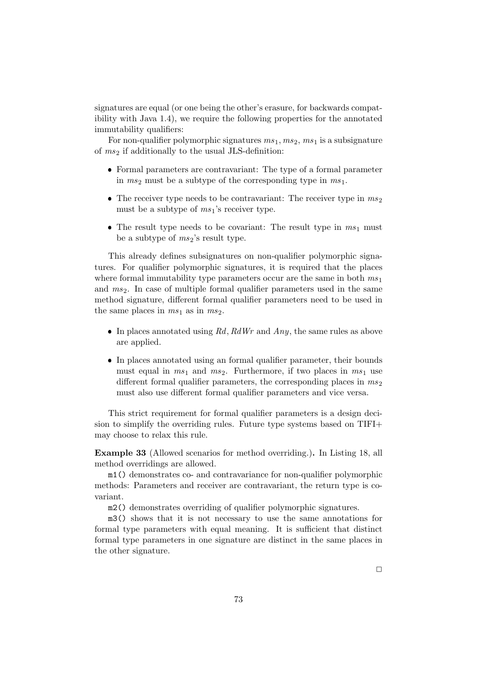signatures are equal (or one being the other's erasure, for backwards compatibility with Java 1.4), we require the following properties for the annotated immutability qualifiers:

For non-qualifier polymorphic signatures  $ms_1, ms_2, ms_1$  is a subsignature of  $ms_2$  if additionally to the usual JLS-definition:

- Formal parameters are contravariant: The type of a formal parameter in  $ms_2$  must be a subtype of the corresponding type in  $ms_1$ .
- The receiver type needs to be contravariant: The receiver type in  $ms_2$ must be a subtype of  $ms<sub>1</sub>$ 's receiver type.
- The result type needs to be covariant: The result type in  $ms_1$  must be a subtype of  $ms_2$ 's result type.

This already defines subsignatures on non-qualifier polymorphic signatures. For qualifier polymorphic signatures, it is required that the places where formal immutability type parameters occur are the same in both  $ms<sub>1</sub>$ and  $ms<sub>2</sub>$ . In case of multiple formal qualifier parameters used in the same method signature, different formal qualifier parameters need to be used in the same places in  $ms_1$  as in  $ms_2$ .

- In places annotated using Rd, RdWr and Any, the same rules as above are applied.
- In places annotated using an formal qualifier parameter, their bounds must equal in  $ms_1$  and  $ms_2$ . Furthermore, if two places in  $ms_1$  use different formal qualifier parameters, the corresponding places in  $ms_2$ must also use different formal qualifier parameters and vice versa.

This strict requirement for formal qualifier parameters is a design decision to simplify the overriding rules. Future type systems based on TIFI+ may choose to relax this rule.

Example 33 (Allowed scenarios for method overriding.). In Listing 18, all method overridings are allowed.

m1() demonstrates co- and contravariance for non-qualifier polymorphic methods: Parameters and receiver are contravariant, the return type is covariant.

m2() demonstrates overriding of qualifier polymorphic signatures.

m3() shows that it is not necessary to use the same annotations for formal type parameters with equal meaning. It is sufficient that distinct formal type parameters in one signature are distinct in the same places in the other signature.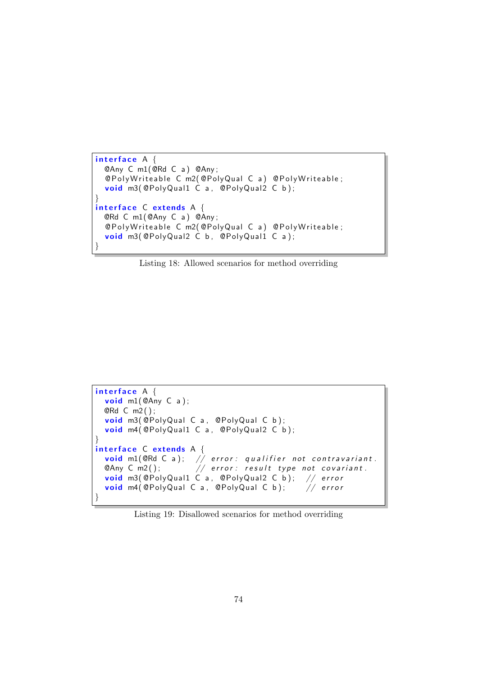```
interface A \{@Any C m1(@Rd C a ) @Any ;
  @PolyWriteable C m2(@PolyQual C a) @PolyWriteable;
  void m3(@PolyQual1 C a, @PolyQual2 C b);
}
interface C extends A {
 @Rd C m1(@Any C a ) @Any ;
  @PolyWriteable C m2(@PolyQual C a) @PolyWriteable;
  void m3( @PolyQual2 C b, @PolyQual1 C a);
}
```
Listing 18: Allowed scenarios for method overriding

```
interface A \{void m1(@Any C a);
  @Rd C m2 ( ) ;
  void m3(@PolyQual C a, @PolyQual C b);
  void m4( @PolyQual1 C a, @PolyQual2 C b);
}
interface C extends A \{<mark>void</mark> m1(@Rd C a); // error: qualifier not contravariant.
  \mathsf{QAny}\, \mathsf{C}\, \mathsf{m2}() ; \qquad\qquad//\, error : result type not covariant.
  <mark>void</mark> m3(@PolyQual1 C a, @PolyQual2 C b); // error
  void m4( @PolyQual C a, @PolyQual C b); // error
}
```
Listing 19: Disallowed scenarios for method overriding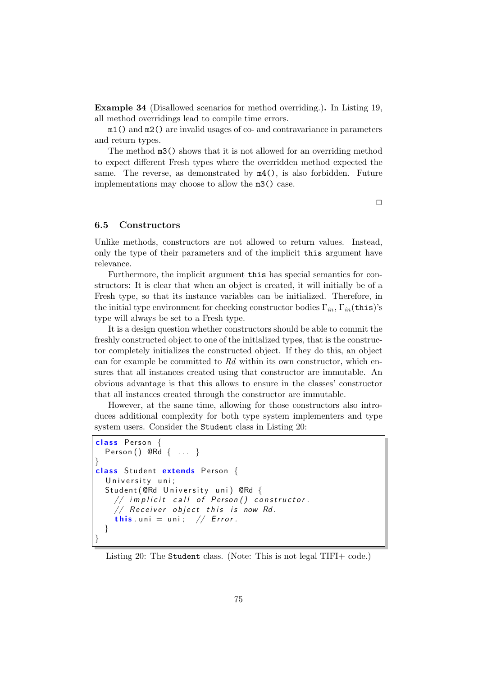Example 34 (Disallowed scenarios for method overriding.). In Listing 19, all method overridings lead to compile time errors.

m1() and m2() are invalid usages of co- and contravariance in parameters and return types.

The method m3() shows that it is not allowed for an overriding method to expect different Fresh types where the overridden method expected the same. The reverse, as demonstrated by m4(), is also forbidden. Future implementations may choose to allow the m3() case.

 $\Box$ 

#### 6.5 Constructors

Unlike methods, constructors are not allowed to return values. Instead, only the type of their parameters and of the implicit this argument have relevance.

Furthermore, the implicit argument this has special semantics for constructors: It is clear that when an object is created, it will initially be of a Fresh type, so that its instance variables can be initialized. Therefore, in the initial type environment for checking constructor bodies  $\Gamma_{in}$ ,  $\Gamma_{in}$  (this)'s type will always be set to a Fresh type.

It is a design question whether constructors should be able to commit the freshly constructed object to one of the initialized types, that is the constructor completely initializes the constructed object. If they do this, an object can for example be committed to Rd within its own constructor, which ensures that all instances created using that constructor are immutable. An obvious advantage is that this allows to ensure in the classes' constructor that all instances created through the constructor are immutable.

However, at the same time, allowing for those constructors also introduces additional complexity for both type system implementers and type system users. Consider the Student class in Listing 20:

```
class Person {
  Person() QRd { ... }}
class Student extends Person {
  University uni;
  Student (@Rd University uni) @Rd {
    // implicit call of Person() constructor.
    // Receiver object this is now Rd.
    this uni = uni; // Error.
  }
}
```
#### Listing 20: The Student class. (Note: This is not legal TIFI+ code.)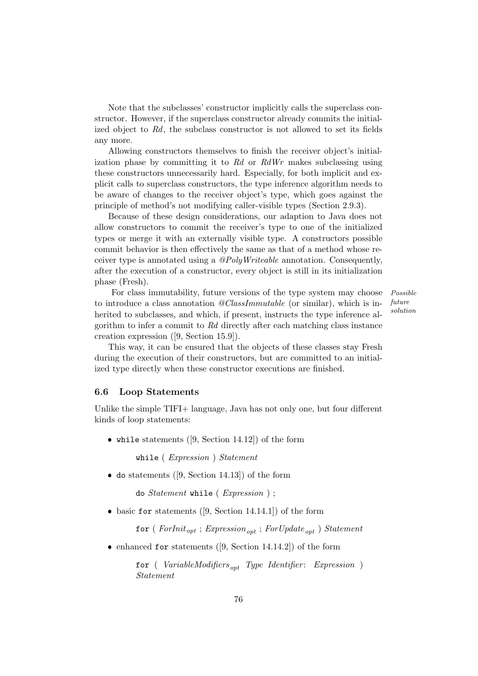Note that the subclasses' constructor implicitly calls the superclass constructor. However, if the superclass constructor already commits the initialized object to Rd, the subclass constructor is not allowed to set its fields any more.

Allowing constructors themselves to finish the receiver object's initialization phase by committing it to  $Rd$  or  $RdWr$  makes subclassing using these constructors unnecessarily hard. Especially, for both implicit and explicit calls to superclass constructors, the type inference algorithm needs to be aware of changes to the receiver object's type, which goes against the principle of method's not modifying caller-visible types (Section 2.9.3).

Because of these design considerations, our adaption to Java does not allow constructors to commit the receiver's type to one of the initialized types or merge it with an externally visible type. A constructors possible commit behavior is then effectively the same as that of a method whose receiver type is annotated using a @PolyWriteable annotation. Consequently, after the execution of a constructor, every object is still in its initialization phase (Fresh).

For class immutability, future versions of the type system may choose *Possible* to introduce a class annotation  $@ClassImmutable$  (or similar), which is inherited to subclasses, and which, if present, instructs the type inference algorithm to infer a commit to Rd directly after each matching class instance creation expression ([9, Section 15.9]).

future solution

This way, it can be ensured that the objects of these classes stay Fresh during the execution of their constructors, but are committed to an initialized type directly when these constructor executions are finished.

#### 6.6 Loop Statements

Unlike the simple TIFI+ language, Java has not only one, but four different kinds of loop statements:

 $\bullet$  while statements ([9, Section 14.12]) of the form

while ( Expression ) Statement

do statements ([9, Section 14.13]) of the form

```
do Statement while ( Expression ) ;
```
basic for statements ([9, Section 14.14.1]) of the form

for ( $ForInit_{opt}$ ; Expression<sub>ont</sub>; ForUpdate<sub>ont</sub>) Statement

enhanced for statements ([9, Section 14.14.2]) of the form

for ( VariableModifiers<sub>opt</sub> Type Identifier: Expression ) Statement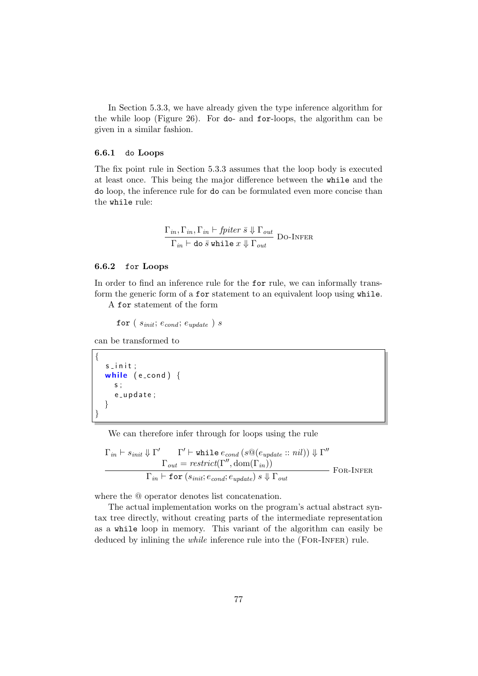In Section 5.3.3, we have already given the type inference algorithm for the while loop (Figure 26). For do- and for-loops, the algorithm can be given in a similar fashion.

#### 6.6.1 do Loops

The fix point rule in Section 5.3.3 assumes that the loop body is executed at least once. This being the major difference between the while and the do loop, the inference rule for do can be formulated even more concise than the while rule:

$$
\frac{\Gamma_{in}, \Gamma_{in}, \Gamma_{in} \vdash fpiter \bar{s} \Downarrow \Gamma_{out}}{\Gamma_{in} \vdash \text{do } \bar{s} \text{ while } x \Downarrow \Gamma_{out}} \text{Do-Infer}
$$

#### 6.6.2 for Loops

In order to find an inference rule for the for rule, we can informally transform the generic form of a for statement to an equivalent loop using while.

A for statement of the form

for ( $s_{init}$ ;  $e_{cond}$ ;  $e_{update}$ ) s

can be transformed to

```
{
   s in it :
   while (e_{\text{-cond}}) {
     s ;
      e_update;
   }
}
```
We can therefore infer through for loops using the rule

$$
\Gamma_{in} \vdash s_{init} \Downarrow \Gamma' \qquad \Gamma' \vdash \text{while } e_{cond} (s@(e_{update}:: nil)) \Downarrow \Gamma''
$$

$$
\Gamma_{out} = restrict(\Gamma'', dom(\Gamma_{in}))
$$

$$
\Gamma_{in} \vdash \text{for } (s_{init}; e_{cond}; e_{update}) s \Downarrow \Gamma_{out}
$$
FOR-INFER

where the @ operator denotes list concatenation.

The actual implementation works on the program's actual abstract syntax tree directly, without creating parts of the intermediate representation as a while loop in memory. This variant of the algorithm can easily be deduced by inlining the *while* inference rule into the (FOR-INFER) rule.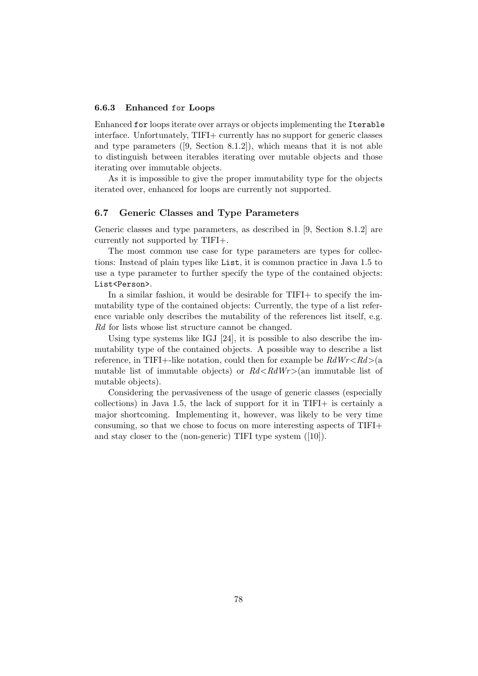#### 6.6.3 Enhanced for Loops

Enhanced for loops iterate over arrays or objects implementing the Iterable interface. Unfortunately, TIFI+ currently has no support for generic classes and type parameters ([9, Section 8.1.2]), which means that it is not able to distinguish between iterables iterating over mutable objects and those iterating over immutable objects.

As it is impossible to give the proper immutability type for the objects iterated over, enhanced for loops are currently not supported.

#### 6.7 Generic Classes and Type Parameters

Generic classes and type parameters, as described in [9, Section 8.1.2] are currently not supported by TIFI+.

The most common use case for type parameters are types for collections: Instead of plain types like List, it is common practice in Java 1.5 to use a type parameter to further specify the type of the contained objects: List<Person>.

In a similar fashion, it would be desirable for TIFI+ to specify the immutability type of the contained objects: Currently, the type of a list reference variable only describes the mutability of the references list itself, e.g. Rd for lists whose list structure cannot be changed.

Using type systems like IGJ [24], it is possible to also describe the immutability type of the contained objects. A possible way to describe a list reference, in TIFI+-like notation, could then for example be  $RdWr < Rd > (a$ mutable list of immutable objects) or  $Rd < RdWr > (an \text{ immutable}$  list of mutable objects).

Considering the pervasiveness of the usage of generic classes (especially collections) in Java 1.5, the lack of support for it in TIFI+ is certainly a major shortcoming. Implementing it, however, was likely to be very time consuming, so that we chose to focus on more interesting aspects of TIFI+ and stay closer to the (non-generic) TIFI type system ([10]).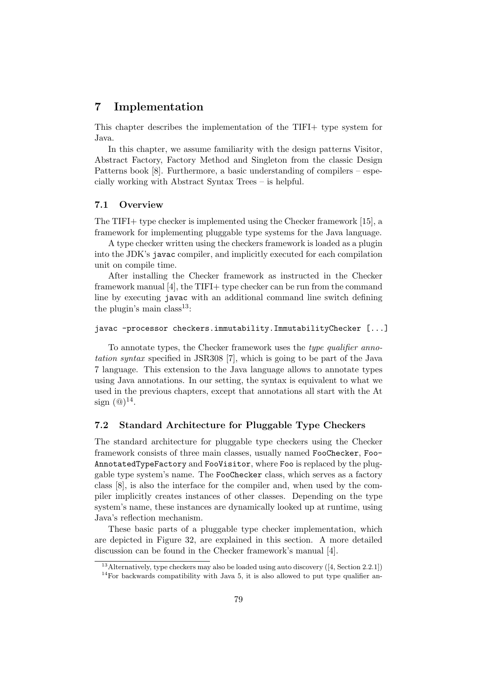## 7 Implementation

This chapter describes the implementation of the TIFI+ type system for Java.

In this chapter, we assume familiarity with the design patterns Visitor, Abstract Factory, Factory Method and Singleton from the classic Design Patterns book [8]. Furthermore, a basic understanding of compilers – especially working with Abstract Syntax Trees – is helpful.

#### 7.1 Overview

The TIFI+ type checker is implemented using the Checker framework [15], a framework for implementing pluggable type systems for the Java language.

A type checker written using the checkers framework is loaded as a plugin into the JDK's javac compiler, and implicitly executed for each compilation unit on compile time.

After installing the Checker framework as instructed in the Checker framework manual [4], the TIFI+ type checker can be run from the command line by executing javac with an additional command line switch defining the plugin's main class<sup>13</sup>:

#### javac -processor checkers.immutability.ImmutabilityChecker [...]

To annotate types, the Checker framework uses the type qualifier annotation syntax specified in JSR308 [7], which is going to be part of the Java 7 language. This extension to the Java language allows to annotate types using Java annotations. In our setting, the syntax is equivalent to what we used in the previous chapters, except that annotations all start with the At sign  $(\textcircled{a})^{14}$ .

#### 7.2 Standard Architecture for Pluggable Type Checkers

The standard architecture for pluggable type checkers using the Checker framework consists of three main classes, usually named FooChecker, Foo-AnnotatedTypeFactory and FooVisitor, where Foo is replaced by the pluggable type system's name. The FooChecker class, which serves as a factory class [8], is also the interface for the compiler and, when used by the compiler implicitly creates instances of other classes. Depending on the type system's name, these instances are dynamically looked up at runtime, using Java's reflection mechanism.

These basic parts of a pluggable type checker implementation, which are depicted in Figure 32, are explained in this section. A more detailed discussion can be found in the Checker framework's manual [4].

<sup>&</sup>lt;sup>13</sup> Alternatively, type checkers may also be loaded using auto discovery ([4, Section 2.2.1])

 $14$ For backwards compatibility with Java 5, it is also allowed to put type qualifier an-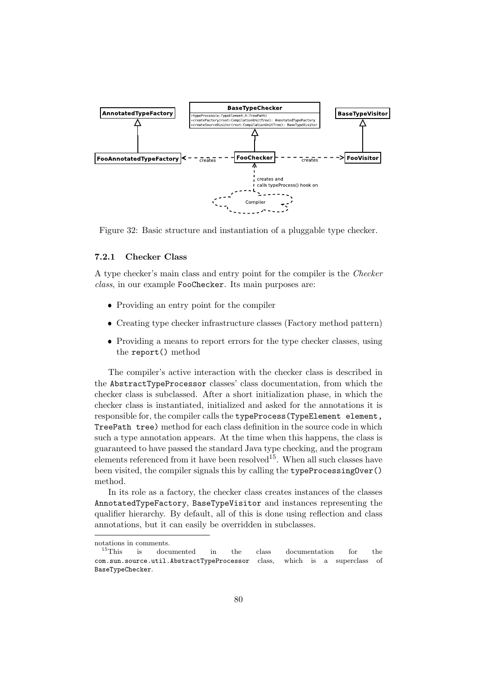

Figure 32: Basic structure and instantiation of a pluggable type checker.

#### 7.2.1 Checker Class

A type checker's main class and entry point for the compiler is the Checker class, in our example FooChecker. Its main purposes are:

- Providing an entry point for the compiler
- Creating type checker infrastructure classes (Factory method pattern)
- Providing a means to report errors for the type checker classes, using the report() method

The compiler's active interaction with the checker class is described in the AbstractTypeProcessor classes' class documentation, from which the checker class is subclassed. After a short initialization phase, in which the checker class is instantiated, initialized and asked for the annotations it is responsible for, the compiler calls the typeProcess(TypeElement element, TreePath tree) method for each class definition in the source code in which such a type annotation appears. At the time when this happens, the class is guaranteed to have passed the standard Java type checking, and the program elements referenced from it have been resolved<sup>15</sup>. When all such classes have been visited, the compiler signals this by calling the typeProcessingOver() method.

In its role as a factory, the checker class creates instances of the classes AnnotatedTypeFactory, BaseTypeVisitor and instances representing the qualifier hierarchy. By default, all of this is done using reflection and class annotations, but it can easily be overridden in subclasses.

notations in comments.

<sup>&</sup>lt;sup>15</sup>This is documented in the class documentation for the com.sun.source.util.AbstractTypeProcessor class, which is a superclass of BaseTypeChecker.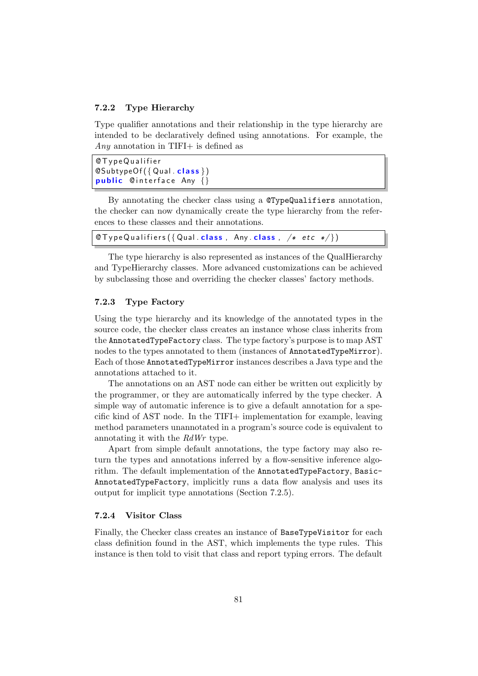#### 7.2.2 Type Hierarchy

Type qualifier annotations and their relationship in the type hierarchy are intended to be declaratively defined using annotations. For example, the Any annotation in TIFI $+$  is defined as

```
@ T y p e Q u a l i f i e r
\mathsf{QSubtypeOf}(\{ Qual . class \})public Cinterface Any \{\}
```
By annotating the checker class using a @TypeQualifiers annotation, the checker can now dynamically create the type hierarchy from the references to these classes and their annotations.

```
\mathcal{C} Type Qualifiers ({ Qual . class, Any . class, /* etc */ })
```
The type hierarchy is also represented as instances of the QualHierarchy and TypeHierarchy classes. More advanced customizations can be achieved by subclassing those and overriding the checker classes' factory methods.

#### 7.2.3 Type Factory

Using the type hierarchy and its knowledge of the annotated types in the source code, the checker class creates an instance whose class inherits from the AnnotatedTypeFactory class. The type factory's purpose is to map AST nodes to the types annotated to them (instances of AnnotatedTypeMirror). Each of those AnnotatedTypeMirror instances describes a Java type and the annotations attached to it.

The annotations on an AST node can either be written out explicitly by the programmer, or they are automatically inferred by the type checker. A simple way of automatic inference is to give a default annotation for a specific kind of AST node. In the TIFI+ implementation for example, leaving method parameters unannotated in a program's source code is equivalent to annotating it with the RdWr type.

Apart from simple default annotations, the type factory may also return the types and annotations inferred by a flow-sensitive inference algorithm. The default implementation of the AnnotatedTypeFactory, Basic-AnnotatedTypeFactory, implicitly runs a data flow analysis and uses its output for implicit type annotations (Section 7.2.5).

#### 7.2.4 Visitor Class

Finally, the Checker class creates an instance of BaseTypeVisitor for each class definition found in the AST, which implements the type rules. This instance is then told to visit that class and report typing errors. The default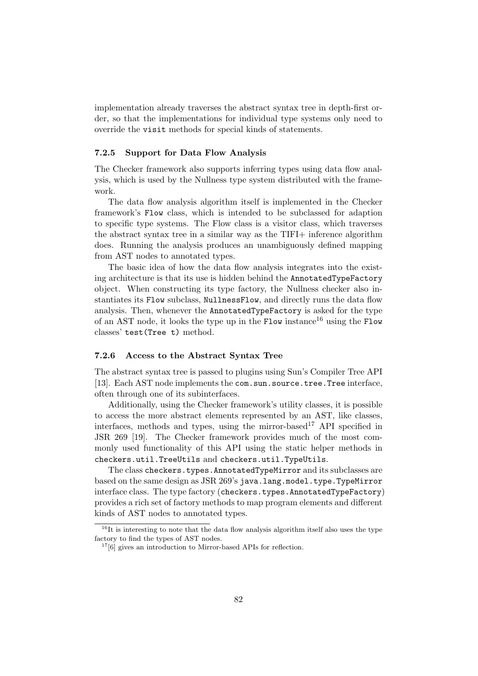implementation already traverses the abstract syntax tree in depth-first order, so that the implementations for individual type systems only need to override the visit methods for special kinds of statements.

#### 7.2.5 Support for Data Flow Analysis

The Checker framework also supports inferring types using data flow analysis, which is used by the Nullness type system distributed with the framework.

The data flow analysis algorithm itself is implemented in the Checker framework's Flow class, which is intended to be subclassed for adaption to specific type systems. The Flow class is a visitor class, which traverses the abstract syntax tree in a similar way as the TIFI+ inference algorithm does. Running the analysis produces an unambiguously defined mapping from AST nodes to annotated types.

The basic idea of how the data flow analysis integrates into the existing architecture is that its use is hidden behind the AnnotatedTypeFactory object. When constructing its type factory, the Nullness checker also instantiates its Flow subclass, NullnessFlow, and directly runs the data flow analysis. Then, whenever the AnnotatedTypeFactory is asked for the type of an AST node, it looks the type up in the Flow instance<sup>16</sup> using the Flow classes' test(Tree t) method.

#### 7.2.6 Access to the Abstract Syntax Tree

The abstract syntax tree is passed to plugins using Sun's Compiler Tree API [13]. Each AST node implements the com.sun.source.tree.Tree interface, often through one of its subinterfaces.

Additionally, using the Checker framework's utility classes, it is possible to access the more abstract elements represented by an AST, like classes, interfaces, methods and types, using the mirror-based  $17$  API specified in JSR 269 [19]. The Checker framework provides much of the most commonly used functionality of this API using the static helper methods in checkers.util.TreeUtils and checkers.util.TypeUtils.

The class checkers.types.AnnotatedTypeMirror and its subclasses are based on the same design as JSR 269's java.lang.model.type.TypeMirror interface class. The type factory (checkers.types.AnnotatedTypeFactory) provides a rich set of factory methods to map program elements and different kinds of AST nodes to annotated types.

<sup>&</sup>lt;sup>16</sup>It is interesting to note that the data flow analysis algorithm itself also uses the type factory to find the types of AST nodes.

 $17[6]$  gives an introduction to Mirror-based APIs for reflection.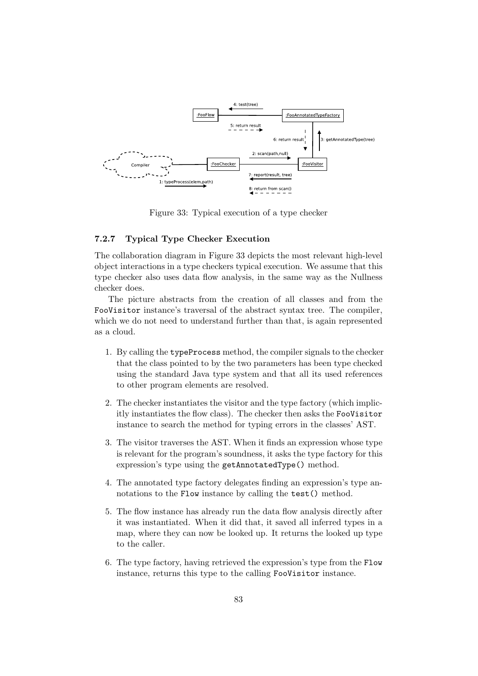

Figure 33: Typical execution of a type checker

#### 7.2.7 Typical Type Checker Execution

The collaboration diagram in Figure 33 depicts the most relevant high-level object interactions in a type checkers typical execution. We assume that this type checker also uses data flow analysis, in the same way as the Nullness checker does.

The picture abstracts from the creation of all classes and from the FooVisitor instance's traversal of the abstract syntax tree. The compiler, which we do not need to understand further than that, is again represented as a cloud.

- 1. By calling the typeProcess method, the compiler signals to the checker that the class pointed to by the two parameters has been type checked using the standard Java type system and that all its used references to other program elements are resolved.
- 2. The checker instantiates the visitor and the type factory (which implicitly instantiates the flow class). The checker then asks the FooVisitor instance to search the method for typing errors in the classes' AST.
- 3. The visitor traverses the AST. When it finds an expression whose type is relevant for the program's soundness, it asks the type factory for this expression's type using the getAnnotatedType() method.
- 4. The annotated type factory delegates finding an expression's type annotations to the Flow instance by calling the test() method.
- 5. The flow instance has already run the data flow analysis directly after it was instantiated. When it did that, it saved all inferred types in a map, where they can now be looked up. It returns the looked up type to the caller.
- 6. The type factory, having retrieved the expression's type from the Flow instance, returns this type to the calling FooVisitor instance.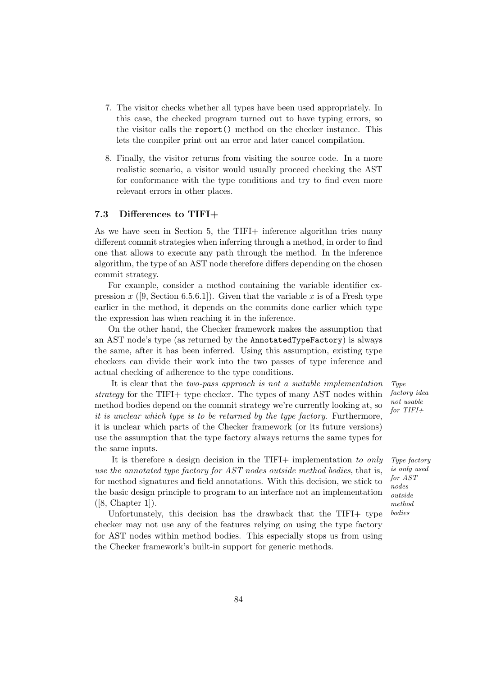- 7. The visitor checks whether all types have been used appropriately. In this case, the checked program turned out to have typing errors, so the visitor calls the report() method on the checker instance. This lets the compiler print out an error and later cancel compilation.
- 8. Finally, the visitor returns from visiting the source code. In a more realistic scenario, a visitor would usually proceed checking the AST for conformance with the type conditions and try to find even more relevant errors in other places.

#### 7.3 Differences to TIFI+

As we have seen in Section 5, the TIFI+ inference algorithm tries many different commit strategies when inferring through a method, in order to find one that allows to execute any path through the method. In the inference algorithm, the type of an AST node therefore differs depending on the chosen commit strategy.

For example, consider a method containing the variable identifier expression x ([9, Section 6.5.6.1]). Given that the variable x is of a Fresh type earlier in the method, it depends on the commits done earlier which type the expression has when reaching it in the inference.

On the other hand, the Checker framework makes the assumption that an AST node's type (as returned by the AnnotatedTypeFactory) is always the same, after it has been inferred. Using this assumption, existing type checkers can divide their work into the two passes of type inference and actual checking of adherence to the type conditions.

It is clear that the two-pass approach is not a suitable implementation Type strategy for the TIFI+ type checker. The types of many AST nodes within method bodies depend on the commit strategy we're currently looking at, so it is unclear which type is to be returned by the type factory. Furthermore, it is unclear which parts of the Checker framework (or its future versions) use the assumption that the type factory always returns the same types for the same inputs.

It is therefore a design decision in the TIFI+ implementation to only Type factory use the annotated type factory for  $AST$  nodes outside method bodies, that is, for method signatures and field annotations. With this decision, we stick to the basic design principle to program to an interface not an implementation  $([8, Chapter 1]).$ 

Unfortunately, this decision has the drawback that the TIFI+ type checker may not use any of the features relying on using the type factory for AST nodes within method bodies. This especially stops us from using the Checker framework's built-in support for generic methods.

factory idea not usable for TIFI+

is only used for AST nodes outside method bodies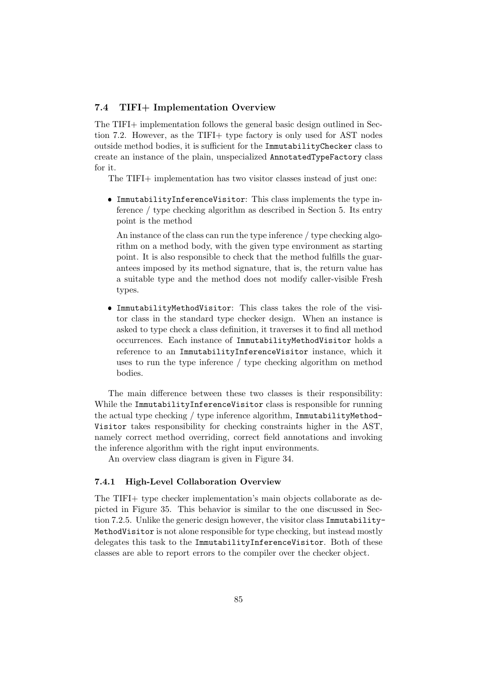#### 7.4 TIFI+ Implementation Overview

The TIFI+ implementation follows the general basic design outlined in Section 7.2. However, as the TIFI+ type factory is only used for AST nodes outside method bodies, it is sufficient for the ImmutabilityChecker class to create an instance of the plain, unspecialized AnnotatedTypeFactory class for it.

The TIFI+ implementation has two visitor classes instead of just one:

 ImmutabilityInferenceVisitor: This class implements the type inference / type checking algorithm as described in Section 5. Its entry point is the method

An instance of the class can run the type inference / type checking algorithm on a method body, with the given type environment as starting point. It is also responsible to check that the method fulfills the guarantees imposed by its method signature, that is, the return value has a suitable type and the method does not modify caller-visible Fresh types.

 ImmutabilityMethodVisitor: This class takes the role of the visitor class in the standard type checker design. When an instance is asked to type check a class definition, it traverses it to find all method occurrences. Each instance of ImmutabilityMethodVisitor holds a reference to an ImmutabilityInferenceVisitor instance, which it uses to run the type inference / type checking algorithm on method bodies.

The main difference between these two classes is their responsibility: While the ImmutabilityInferenceVisitor class is responsible for running the actual type checking / type inference algorithm, ImmutabilityMethod-Visitor takes responsibility for checking constraints higher in the AST, namely correct method overriding, correct field annotations and invoking the inference algorithm with the right input environments.

An overview class diagram is given in Figure 34.

#### 7.4.1 High-Level Collaboration Overview

The TIFI+ type checker implementation's main objects collaborate as depicted in Figure 35. This behavior is similar to the one discussed in Section 7.2.5. Unlike the generic design however, the visitor class Immutability-MethodVisitor is not alone responsible for type checking, but instead mostly delegates this task to the ImmutabilityInferenceVisitor. Both of these classes are able to report errors to the compiler over the checker object.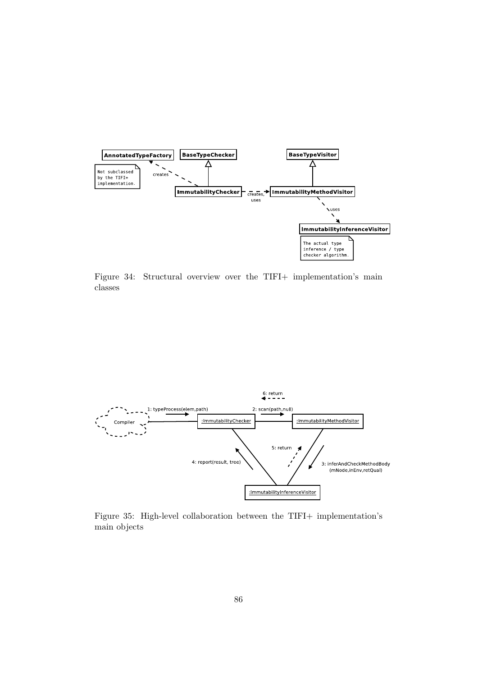

Figure 34: Structural overview over the TIFI+ implementation's main classes



Figure 35: High-level collaboration between the TIFI+ implementation's main objects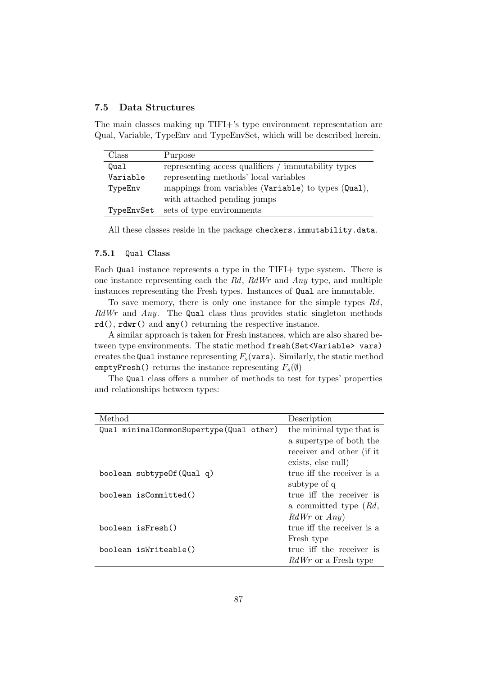#### 7.5 Data Structures

The main classes making up TIFI+'s type environment representation are Qual, Variable, TypeEnv and TypeEnvSet, which will be described herein.

| Class      | Purpose                                             |
|------------|-----------------------------------------------------|
| Qual       | representing access qualifiers / immutability types |
| Variable   | representing methods' local variables               |
| TypeEnv    | mappings from variables (Variable) to types (Qual), |
|            | with attached pending jumps                         |
| TypeEnvSet | sets of type environments                           |

All these classes reside in the package checkers.immutability.data.

#### 7.5.1 Qual Class

Each Qual instance represents a type in the TIFI+ type system. There is one instance representing each the  $Rd$ ,  $RdWr$  and  $Any$  type, and multiple instances representing the Fresh types. Instances of Qual are immutable.

To save memory, there is only one instance for the simple types Rd,  $RdWr$  and  $Any$ . The Qual class thus provides static singleton methods rd(), rdwr() and any() returning the respective instance.

A similar approach is taken for Fresh instances, which are also shared between type environments. The static method fresh(Set<Variable> vars) creates the Qual instance representing  $F_s$ (vars). Similarly, the static method emptyFresh() returns the instance representing  $F_s(\emptyset)$ 

The Qual class offers a number of methods to test for types' properties and relationships between types:

| Method                                  | Description                 |
|-----------------------------------------|-----------------------------|
| Qual minimalCommonSupertype(Qual other) | the minimal type that is    |
|                                         | a supertype of both the     |
|                                         | receiver and other (if it   |
|                                         | exists, else null)          |
| boolean subtypeOf (Qual q)              | true iff the receiver is a  |
|                                         | subtype of q                |
| boolean isCommitted()                   | true iff the receiver is    |
|                                         | a committed type $(Rd,$     |
|                                         | $RdWr$ or $Any$             |
| boolean isFresh()                       | true iff the receiver is a  |
|                                         | Fresh type                  |
| boolean isWriteable()                   | true iff the receiver is    |
|                                         | <i>RdWr</i> or a Fresh type |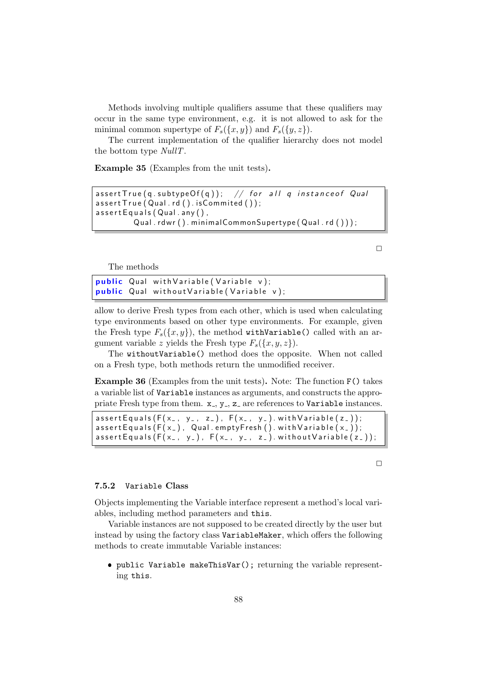Methods involving multiple qualifiers assume that these qualifiers may occur in the same type environment, e.g. it is not allowed to ask for the minimal common supertype of  $F_s({x, y})$  and  $F_s({y, z})$ .

The current implementation of the qualifier hierarchy does not model the bottom type NullT.

Example 35 (Examples from the unit tests).

```
assert True(q.subtypeOf(q)); // for all q instance of QualassertTrue (Qual.rd().isCommited());
assertEquals(Qual.\ any),
        Qual. rdwr(). minimalCommonSupertype(Qual. rd());
```
 $\Box$ 

The methods

```
public Qual with Variable (Variable v);
public Qual without Variable (Variable v);
```
allow to derive Fresh types from each other, which is used when calculating type environments based on other type environments. For example, given the Fresh type  $F_s({x,y})$ , the method withVariable() called with an argument variable z yields the Fresh type  $F_s({x,y,z})$ .

The withoutVariable() method does the opposite. When not called on a Fresh type, both methods return the unmodified receiver.

Example 36 (Examples from the unit tests). Note: The function F() takes a variable list of Variable instances as arguments, and constructs the appropriate Fresh type from them.  $x_-, y_-, z_$  are references to Variable instances.

```
assert Equals (F(x_-, y_-, z_-), F(x_-, y_-). with Variable (z_-));
assert Equals (F(x_+), G(x_+), Qual. empty Fresh (). with Variable (x_+),assert Equals (F(x_-, y_-), F(x_-, y_-, z_-). without Variable (z_-));
```
 $\Box$ 

#### 7.5.2 Variable Class

Objects implementing the Variable interface represent a method's local variables, including method parameters and this.

Variable instances are not supposed to be created directly by the user but instead by using the factory class VariableMaker, which offers the following methods to create immutable Variable instances:

 public Variable makeThisVar(); returning the variable representing this.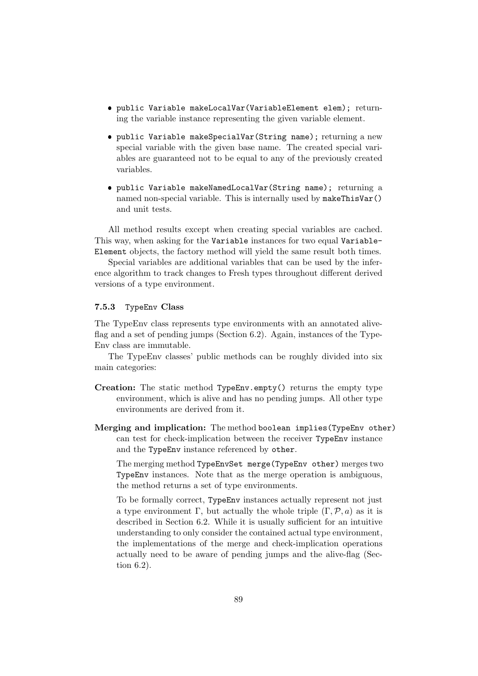- public Variable makeLocalVar(VariableElement elem); returning the variable instance representing the given variable element.
- public Variable makeSpecialVar(String name); returning a new special variable with the given base name. The created special variables are guaranteed not to be equal to any of the previously created variables.
- public Variable makeNamedLocalVar(String name); returning a named non-special variable. This is internally used by makeThisVar() and unit tests.

All method results except when creating special variables are cached. This way, when asking for the Variable instances for two equal Variable-Element objects, the factory method will yield the same result both times.

Special variables are additional variables that can be used by the inference algorithm to track changes to Fresh types throughout different derived versions of a type environment.

#### 7.5.3 TypeEnv Class

The TypeEnv class represents type environments with an annotated aliveflag and a set of pending jumps (Section 6.2). Again, instances of the Type-Env class are immutable.

The TypeEnv classes' public methods can be roughly divided into six main categories:

- Creation: The static method TypeEnv.empty() returns the empty type environment, which is alive and has no pending jumps. All other type environments are derived from it.
- Merging and implication: The method boolean implies(TypeEnv other) can test for check-implication between the receiver TypeEnv instance and the TypeEnv instance referenced by other.

The merging method TypeEnvSet merge(TypeEnv other) merges two TypeEnv instances. Note that as the merge operation is ambiguous, the method returns a set of type environments.

To be formally correct, TypeEnv instances actually represent not just a type environment Γ, but actually the whole triple  $(\Gamma, \mathcal{P}, a)$  as it is described in Section 6.2. While it is usually sufficient for an intuitive understanding to only consider the contained actual type environment, the implementations of the merge and check-implication operations actually need to be aware of pending jumps and the alive-flag (Section 6.2).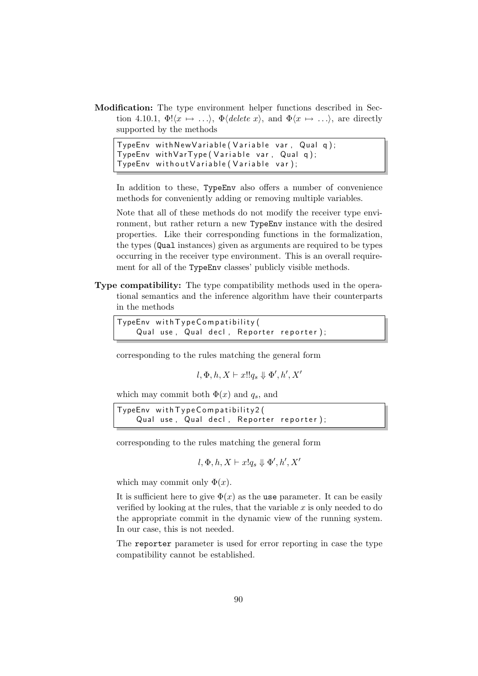Modification: The type environment helper functions described in Section 4.10.1,  $\Phi(x \mapsto \ldots)$ ,  $\Phi(\text{delete } x)$ , and  $\Phi(x \mapsto \ldots)$ , are directly supported by the methods

```
TypeEnv with New Variable (Variable var, Qual q);
TypeEnv withVarType (Variable var, Qual q);
TypeEnv without Variable (Variable var);
```
In addition to these, TypeEnv also offers a number of convenience methods for conveniently adding or removing multiple variables.

Note that all of these methods do not modify the receiver type environment, but rather return a new TypeEnv instance with the desired properties. Like their corresponding functions in the formalization, the types (Qual instances) given as arguments are required to be types occurring in the receiver type environment. This is an overall requirement for all of the TypeEnv classes' publicly visible methods.

Type compatibility: The type compatibility methods used in the operational semantics and the inference algorithm have their counterparts in the methods

```
TypeEnv with Type Compatibility (
    Qual use, Qual decl, Reporter reporter);
```
corresponding to the rules matching the general form

 $l, \Phi, h, X \vdash x!!q_s \Downarrow \Phi', h', X'$ 

which may commit both  $\Phi(x)$  and  $q_s$ , and

 $TypeEnv$  with  $Type Compatibility2$  ( Qual use, Qual decl, Reporter reporter);

corresponding to the rules matching the general form

 $l, \Phi, h, X \vdash x!q_s \Downarrow \Phi', h', X'$ 

which may commit only  $\Phi(x)$ .

It is sufficient here to give  $\Phi(x)$  as the use parameter. It can be easily verified by looking at the rules, that the variable  $x$  is only needed to do the appropriate commit in the dynamic view of the running system. In our case, this is not needed.

The reporter parameter is used for error reporting in case the type compatibility cannot be established.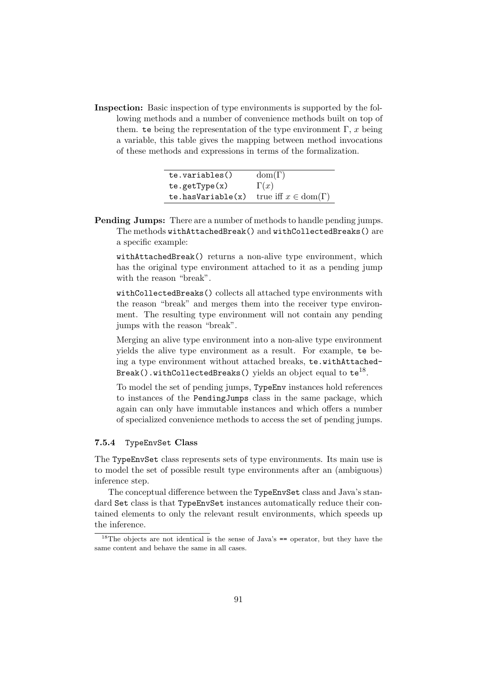Inspection: Basic inspection of type environments is supported by the following methods and a number of convenience methods built on top of them. te being the representation of the type environment  $\Gamma$ , x being a variable, this table gives the mapping between method invocations of these methods and expressions in terms of the formalization.

| te.variables()      | $dom(\Gamma)$                       |
|---------------------|-------------------------------------|
| te.getType(x)       | $\Gamma(x)$                         |
| te. has Variable(x) | true iff $x \in \text{dom}(\Gamma)$ |

Pending Jumps: There are a number of methods to handle pending jumps. The methods withAttachedBreak() and withCollectedBreaks() are a specific example:

withAttachedBreak() returns a non-alive type environment, which has the original type environment attached to it as a pending jump with the reason "break".

withCollectedBreaks() collects all attached type environments with the reason "break" and merges them into the receiver type environment. The resulting type environment will not contain any pending jumps with the reason "break".

Merging an alive type environment into a non-alive type environment yields the alive type environment as a result. For example, te being a type environment without attached breaks, te.withAttached-Break().withCollectedBreaks() yields an object equal to  ${\tt te}^{18}.$ 

To model the set of pending jumps, TypeEnv instances hold references to instances of the PendingJumps class in the same package, which again can only have immutable instances and which offers a number of specialized convenience methods to access the set of pending jumps.

#### 7.5.4 TypeEnvSet Class

The TypeEnvSet class represents sets of type environments. Its main use is to model the set of possible result type environments after an (ambiguous) inference step.

The conceptual difference between the TypeEnvSet class and Java's standard Set class is that TypeEnvSet instances automatically reduce their contained elements to only the relevant result environments, which speeds up the inference.

 $18$ The objects are not identical is the sense of Java's  $==$  operator, but they have the same content and behave the same in all cases.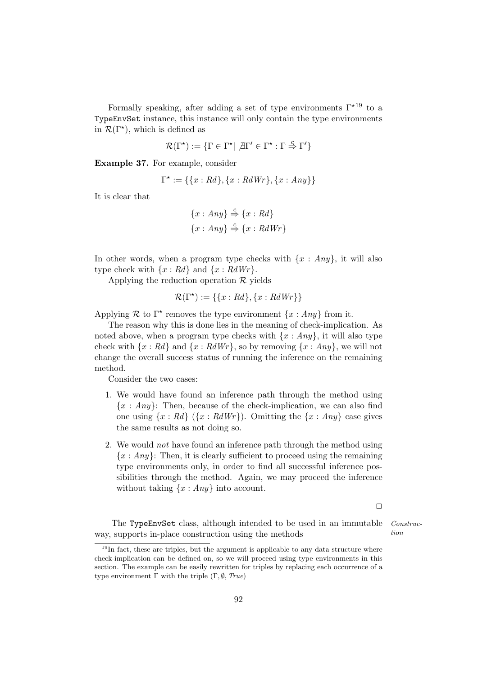Formally speaking, after adding a set of type environments  $\Gamma^{\star 19}$  to a TypeEnvSet instance, this instance will only contain the type environments in  $\mathcal{R}(\Gamma^*)$ , which is defined as

$$
\mathcal{R}(\Gamma^\star) := \{ \Gamma \in \Gamma^\star | \ \nexists \Gamma' \in \Gamma^\star : \Gamma \stackrel{c}{\Rightarrow} \Gamma' \}
$$

Example 37. For example, consider

$$
\Gamma^* := \{ \{x : Rd\}, \{x : RdWr\}, \{x : Any\} \}
$$

It is clear that

$$
\{x : Any\} \stackrel{c}{\Rightarrow} \{x : Rd\}
$$

$$
\{x : Any\} \stackrel{c}{\Rightarrow} \{x : RdWr\}
$$

In other words, when a program type checks with  $\{x : Any\}$ , it will also type check with  $\{x : Rd\}$  and  $\{x : RdWr\}$ .

Applying the reduction operation  $\mathcal R$  yields

$$
\mathcal{R}(\Gamma^*) := \{\{x : Rd\}, \{x : RdWr\}\}
$$

Applying  $\mathcal R$  to  $\Gamma^*$  removes the type environment  $\{x : Any\}$  from it.

The reason why this is done lies in the meaning of check-implication. As noted above, when a program type checks with  $\{x : Any\}$ , it will also type check with  $\{x : Rd\}$  and  $\{x : RdWr\}$ , so by removing  $\{x : Any\}$ , we will not change the overall success status of running the inference on the remaining method.

Consider the two cases:

- 1. We would have found an inference path through the method using  ${x : Any}$ : Then, because of the check-implication, we can also find one using  $\{x : Rd\}$   $(\{x : RdWr\})$ . Omitting the  $\{x : Any\}$  case gives the same results as not doing so.
- 2. We would not have found an inference path through the method using  ${x : Any}$ : Then, it is clearly sufficient to proceed using the remaining type environments only, in order to find all successful inference possibilities through the method. Again, we may proceed the inference without taking  $\{x : Any\}$  into account.

The TypeEnvSet class, although intended to be used in an immutable Construcway, supports in-place construction using the methods  $\omega$  tion

92

 $\Box$ 

 $19$ In fact, these are triples, but the argument is applicable to any data structure where check-implication can be defined on, so we will proceed using type environments in this section. The example can be easily rewritten for triples by replacing each occurrence of a type environment Γ with the triple  $(Γ, ∅, True)$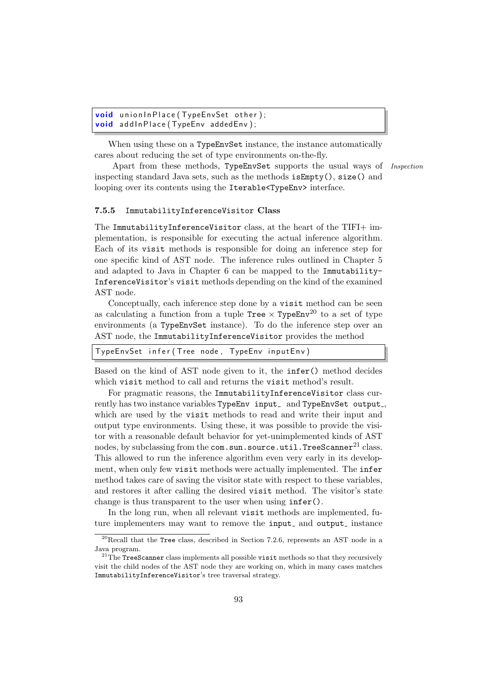```
void union In Place (Type EnvSet other);
void addInPlace (TypeEnv addedEnv);
```
When using these on a TypeEnvSet instance, the instance automatically cares about reducing the set of type environments on-the-fly.

Apart from these methods, TypeEnvSet supports the usual ways of *Inspection* inspecting standard Java sets, such as the methods isEmpty(), size() and looping over its contents using the Iterable<TypeEnv> interface.

#### 7.5.5 ImmutabilityInferenceVisitor Class

The ImmutabilityInferenceVisitor class, at the heart of the TIFI+ implementation, is responsible for executing the actual inference algorithm. Each of its visit methods is responsible for doing an inference step for one specific kind of AST node. The inference rules outlined in Chapter 5 and adapted to Java in Chapter 6 can be mapped to the Immutability-InferenceVisitor's visit methods depending on the kind of the examined AST node.

Conceptually, each inference step done by a visit method can be seen as calculating a function from a tuple  $Tree \times TypeEnv^{20}$  to a set of type environments (a TypeEnvSet instance). To do the inference step over an AST node, the ImmutabilityInferenceVisitor provides the method

|--|

Based on the kind of AST node given to it, the infer() method decides which visit method to call and returns the visit method's result.

For pragmatic reasons, the ImmutabilityInferenceVisitor class currently has two instance variables TypeEnv input\_ and TypeEnvSet output., which are used by the visit methods to read and write their input and output type environments. Using these, it was possible to provide the visitor with a reasonable default behavior for yet-unimplemented kinds of AST nodes, by subclassing from the  $com.sum.source.util.TreeScanner<sup>21</sup> class.$ This allowed to run the inference algorithm even very early in its development, when only few visit methods were actually implemented. The infer method takes care of saving the visitor state with respect to these variables, and restores it after calling the desired visit method. The visitor's state change is thus transparent to the user when using infer().

In the long run, when all relevant visit methods are implemented, future implementers may want to remove the input<sub>-</sub> and output<sub>-</sub> instance

<sup>20</sup>Recall that the Tree class, described in Section 7.2.6, represents an AST node in a Java program.

 $21$ <sup>21</sup>The TreeScanner class implements all possible visit methods so that they recursively visit the child nodes of the AST node they are working on, which in many cases matches ImmutabilityInferenceVisitor's tree traversal strategy.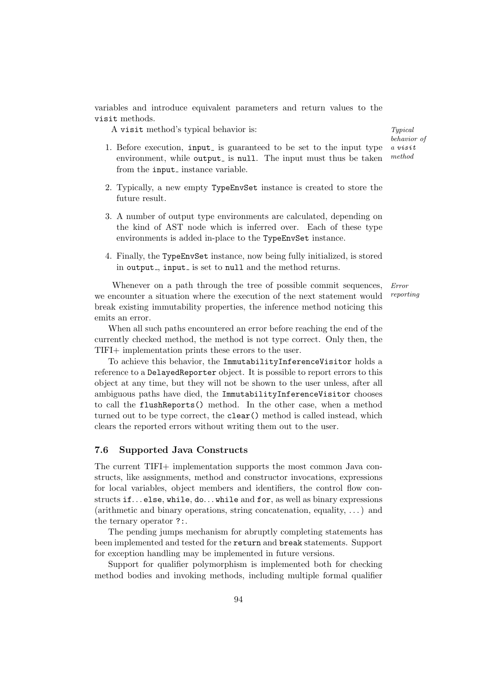variables and introduce equivalent parameters and return values to the visit methods.

A visit method's typical behavior is: Typical  $Typical$ 

behavior of a visit method

- 1. Before execution, input is guaranteed to be set to the input type environment, while output is null. The input must thus be taken from the input<sub>-</sub> instance variable.
- 2. Typically, a new empty TypeEnvSet instance is created to store the future result.
- 3. A number of output type environments are calculated, depending on the kind of AST node which is inferred over. Each of these type environments is added in-place to the TypeEnvSet instance.
- 4. Finally, the TypeEnvSet instance, now being fully initialized, is stored in output, input is set to null and the method returns.

Whenever on a path through the tree of possible commit sequences, *Error* we encounter a situation where the execution of the next statement would reporting break existing immutability properties, the inference method noticing this emits an error.

When all such paths encountered an error before reaching the end of the currently checked method, the method is not type correct. Only then, the TIFI+ implementation prints these errors to the user.

To achieve this behavior, the ImmutabilityInferenceVisitor holds a reference to a DelayedReporter object. It is possible to report errors to this object at any time, but they will not be shown to the user unless, after all ambiguous paths have died, the ImmutabilityInferenceVisitor chooses to call the flushReports() method. In the other case, when a method turned out to be type correct, the clear() method is called instead, which clears the reported errors without writing them out to the user.

#### 7.6 Supported Java Constructs

The current TIFI+ implementation supports the most common Java constructs, like assignments, method and constructor invocations, expressions for local variables, object members and identifiers, the control flow constructs if...else, while, do...while and for, as well as binary expressions (arithmetic and binary operations, string concatenation, equality, . . . ) and the ternary operator ?:.

The pending jumps mechanism for abruptly completing statements has been implemented and tested for the return and break statements. Support for exception handling may be implemented in future versions.

Support for qualifier polymorphism is implemented both for checking method bodies and invoking methods, including multiple formal qualifier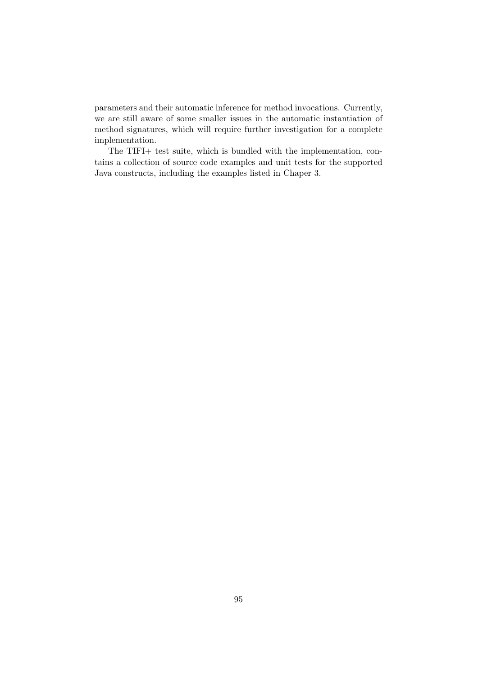parameters and their automatic inference for method invocations. Currently, we are still aware of some smaller issues in the automatic instantiation of method signatures, which will require further investigation for a complete implementation.

The TIFI+ test suite, which is bundled with the implementation, contains a collection of source code examples and unit tests for the supported Java constructs, including the examples listed in Chaper 3.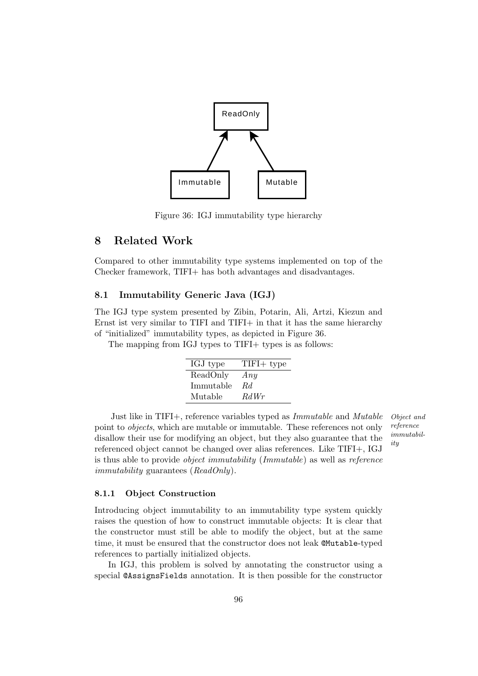

Figure 36: IGJ immutability type hierarchy

## 8 Related Work

Compared to other immutability type systems implemented on top of the Checker framework, TIFI+ has both advantages and disadvantages.

### 8.1 Immutability Generic Java (IGJ)

The IGJ type system presented by Zibin, Potarin, Ali, Artzi, Kiezun and Ernst ist very similar to TIFI and TIFI+ in that it has the same hierarchy of "initialized" immutability types, as depicted in Figure 36.

The mapping from IGJ types to TIFI+ types is as follows:

| IGJ type  | $TIFI+ type$ |
|-----------|--------------|
| ReadOnly  | Any          |
| Immutable | Rd.          |
| Mutable   | RdWr         |

Just like in TIFI+, reference variables typed as Immutable and Mutable Object and point to objects, which are mutable or immutable. These references not only disallow their use for modifying an object, but they also guarantee that the referenced object cannot be changed over alias references. Like TIFI+, IGJ is thus able to provide object immutability (Immutable) as well as reference immutability guarantees (ReadOnly).

reference immutability

#### 8.1.1 Object Construction

Introducing object immutability to an immutability type system quickly raises the question of how to construct immutable objects: It is clear that the constructor must still be able to modify the object, but at the same time, it must be ensured that the constructor does not leak @Mutable-typed references to partially initialized objects.

In IGJ, this problem is solved by annotating the constructor using a special @AssignsFields annotation. It is then possible for the constructor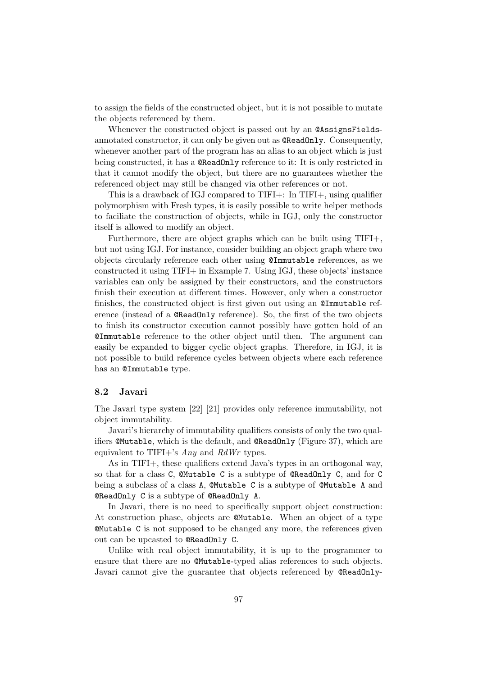to assign the fields of the constructed object, but it is not possible to mutate the objects referenced by them.

Whenever the constructed object is passed out by an @AssignsFieldsannotated constructor, it can only be given out as @ReadOnly. Consequently, whenever another part of the program has an alias to an object which is just being constructed, it has a @ReadOnly reference to it: It is only restricted in that it cannot modify the object, but there are no guarantees whether the referenced object may still be changed via other references or not.

This is a drawback of IGJ compared to TIFI+: In TIFI+, using qualifier polymorphism with Fresh types, it is easily possible to write helper methods to faciliate the construction of objects, while in IGJ, only the constructor itself is allowed to modify an object.

Furthermore, there are object graphs which can be built using TIFI+, but not using IGJ. For instance, consider building an object graph where two objects circularly reference each other using @Immutable references, as we constructed it using TIFI+ in Example 7. Using IGJ, these objects' instance variables can only be assigned by their constructors, and the constructors finish their execution at different times. However, only when a constructor finishes, the constructed object is first given out using an @Immutable reference (instead of a @ReadOnly reference). So, the first of the two objects to finish its constructor execution cannot possibly have gotten hold of an @Immutable reference to the other object until then. The argument can easily be expanded to bigger cyclic object graphs. Therefore, in IGJ, it is not possible to build reference cycles between objects where each reference has an @Immutable type.

#### 8.2 Javari

The Javari type system [22] [21] provides only reference immutability, not object immutability.

Javari's hierarchy of immutability qualifiers consists of only the two qualifiers @Mutable, which is the default, and @ReadOnly (Figure 37), which are equivalent to TIFI+'s  $Any$  and  $RdWr$  types.

As in TIFI+, these qualifiers extend Java's types in an orthogonal way, so that for a class C, @Mutable C is a subtype of @ReadOnly C, and for C being a subclass of a class A, @Mutable C is a subtype of @Mutable A and @ReadOnly C is a subtype of @ReadOnly A.

In Javari, there is no need to specifically support object construction: At construction phase, objects are @Mutable. When an object of a type @Mutable C is not supposed to be changed any more, the references given out can be upcasted to @ReadOnly C.

Unlike with real object immutability, it is up to the programmer to ensure that there are no @Mutable-typed alias references to such objects. Javari cannot give the guarantee that objects referenced by **@ReadOnly-**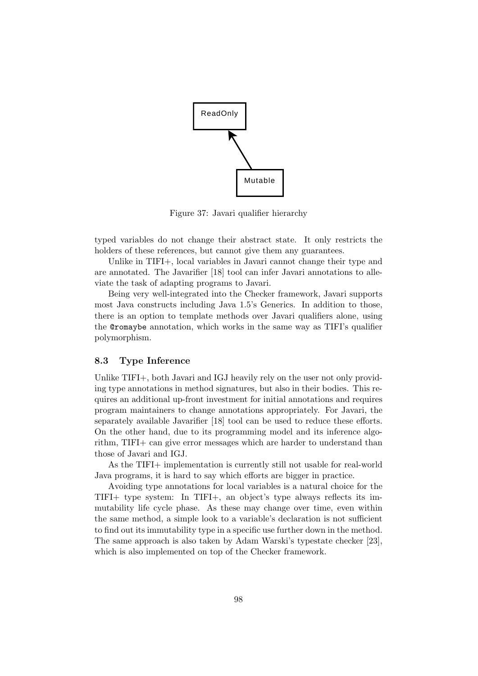

Figure 37: Javari qualifier hierarchy

typed variables do not change their abstract state. It only restricts the holders of these references, but cannot give them any guarantees.

Unlike in TIFI+, local variables in Javari cannot change their type and are annotated. The Javarifier [18] tool can infer Javari annotations to alleviate the task of adapting programs to Javari.

Being very well-integrated into the Checker framework, Javari supports most Java constructs including Java 1.5's Generics. In addition to those, there is an option to template methods over Javari qualifiers alone, using the @romaybe annotation, which works in the same way as TIFI's qualifier polymorphism.

#### 8.3 Type Inference

Unlike TIFI+, both Javari and IGJ heavily rely on the user not only providing type annotations in method signatures, but also in their bodies. This requires an additional up-front investment for initial annotations and requires program maintainers to change annotations appropriately. For Javari, the separately available Javarifier [18] tool can be used to reduce these efforts. On the other hand, due to its programming model and its inference algorithm, TIFI+ can give error messages which are harder to understand than those of Javari and IGJ.

As the TIFI+ implementation is currently still not usable for real-world Java programs, it is hard to say which efforts are bigger in practice.

Avoiding type annotations for local variables is a natural choice for the TIFI+ type system: In TIFI+, an object's type always reflects its immutability life cycle phase. As these may change over time, even within the same method, a simple look to a variable's declaration is not sufficient to find out its immutability type in a specific use further down in the method. The same approach is also taken by Adam Warski's typestate checker [23], which is also implemented on top of the Checker framework.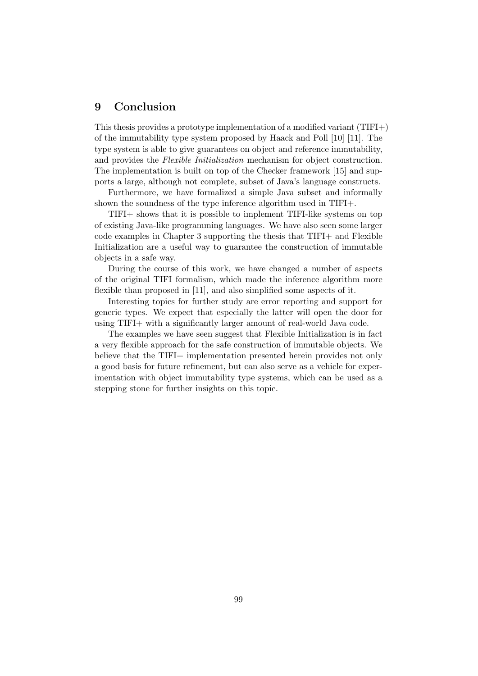## 9 Conclusion

This thesis provides a prototype implementation of a modified variant (TIFI+) of the immutability type system proposed by Haack and Poll [10] [11]. The type system is able to give guarantees on object and reference immutability, and provides the Flexible Initialization mechanism for object construction. The implementation is built on top of the Checker framework [15] and supports a large, although not complete, subset of Java's language constructs.

Furthermore, we have formalized a simple Java subset and informally shown the soundness of the type inference algorithm used in TIFI+.

TIFI+ shows that it is possible to implement TIFI-like systems on top of existing Java-like programming languages. We have also seen some larger code examples in Chapter 3 supporting the thesis that TIFI+ and Flexible Initialization are a useful way to guarantee the construction of immutable objects in a safe way.

During the course of this work, we have changed a number of aspects of the original TIFI formalism, which made the inference algorithm more flexible than proposed in [11], and also simplified some aspects of it.

Interesting topics for further study are error reporting and support for generic types. We expect that especially the latter will open the door for using TIFI+ with a significantly larger amount of real-world Java code.

The examples we have seen suggest that Flexible Initialization is in fact a very flexible approach for the safe construction of immutable objects. We believe that the TIFI+ implementation presented herein provides not only a good basis for future refinement, but can also serve as a vehicle for experimentation with object immutability type systems, which can be used as a stepping stone for further insights on this topic.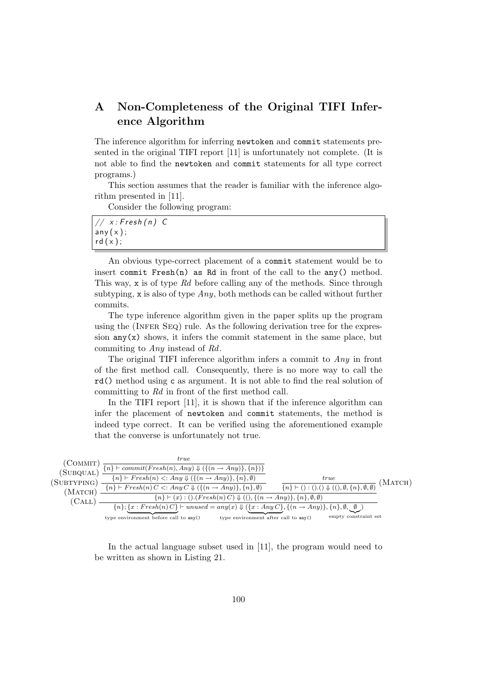## A Non-Completeness of the Original TIFI Inference Algorithm

The inference algorithm for inferring newtoken and commit statements presented in the original TIFI report [11] is unfortunately not complete. (It is not able to find the newtoken and commit statements for all type correct programs.)

This section assumes that the reader is familiar with the inference algorithm presented in [11].

Consider the following program:

| // $x$ : Fresh(n) C |  |
|---------------------|--|
| any(x);             |  |
| rd(x);              |  |

An obvious type-correct placement of a commit statement would be to insert commit  $Fresh(n)$  as Rd in front of the call to the any() method. This way, x is of type Rd before calling any of the methods. Since through subtyping, x is also of type  $Any$ , both methods can be called without further commits.

The type inference algorithm given in the paper splits up the program using the (INFER  $SEQ$ ) rule. As the following derivation tree for the expression  $\text{any}(x)$  shows, it infers the commit statement in the same place, but commiting to Any instead of Rd.

The original TIFI inference algorithm infers a commit to Any in front of the first method call. Consequently, there is no more way to call the rd() method using c as argument. It is not able to find the real solution of committing to Rd in front of the first method call.

In the TIFI report [11], it is shown that if the inference algorithm can infer the placement of newtoken and commit statements, the method is indeed type correct. It can be verified using the aforementioned example that the converse is unfortunately not true.



In the actual language subset used in [11], the program would need to be written as shown in Listing 21.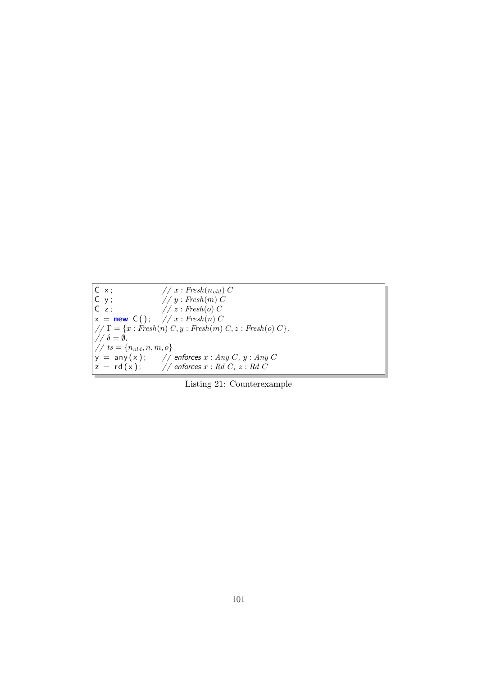```
C \times; // x : Fresh(n_{old}) CC y; // y : Fresh(m) C
C \; z; // z : Fresh(o) C
 x = new C(); // x : Fresh(n) C
// \Gamma = \{x : \overrightarrow{Fresh(n)} C, y : \overrightarrow{Fresh(m)} C, z : \overrightarrow{Fresh(o)} C\},\// \delta = \emptyset,\begin{aligned} \sqrt{7}t & = \{n_{old}, n, m, o\} \\ y & = \text{any}(x); \\ z & = \text{rd}(x); \end{aligned}\mathcal{N}/\mathcal{N} enforces x : Any\ C, \ y : Any\ C\frac{1}{2} enforces x : Rd \ C, z : Rd \ C
```
Listing 21: Counterexample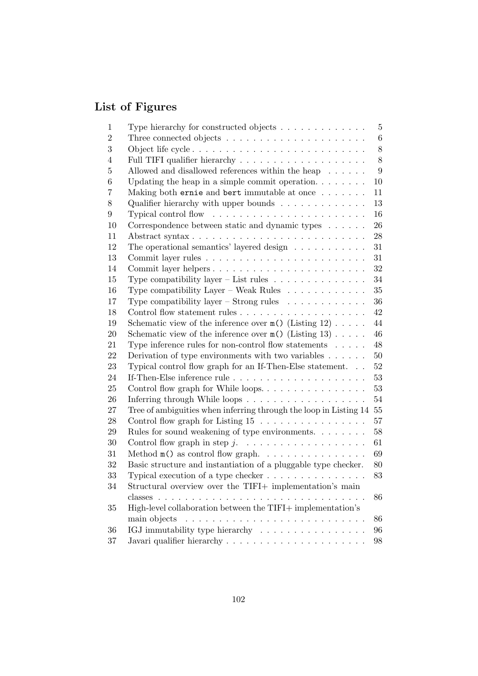# List of Figures

| 1              | Type hierarchy for constructed objects                                   | 5      |
|----------------|--------------------------------------------------------------------------|--------|
| $\overline{2}$ | Three connected objects $\dots \dots \dots \dots \dots \dots \dots$      | 6      |
| 3              |                                                                          | 8      |
| 4              |                                                                          | 8      |
| $\overline{5}$ | Allowed and disallowed references within the heap $\dots \dots$          | 9      |
| 6              | Updating the heap in a simple commit operation. $\ldots$                 | 10     |
| 7              | Making both ernie and bert immutable at once                             | 11     |
| 8              | Qualifier hierarchy with upper bounds $\ldots \ldots \ldots \ldots$      | 13     |
| 9              |                                                                          | 16     |
| 10             | Correspondence between static and dynamic types                          | 26     |
| 11             |                                                                          | 28     |
| 12             | The operational semantics' layered design $\ldots \ldots \ldots$         | 31     |
| 13             |                                                                          | 31     |
| 14             | Commit layer helpers                                                     | 32     |
| 15             | Type compatibility layer – List rules $\dots \dots \dots \dots$          | 34     |
| 16             | Type compatibility Layer – Weak Rules $\dots \dots \dots \dots$          | 35     |
| 17             | Type compatibility layer – Strong rules $\ldots \ldots \ldots$           | 36     |
| 18             |                                                                          | 42     |
| 19             | Schematic view of the inference over $m()$ (Listing 12)                  | 44     |
| 20             | Schematic view of the inference over $m()$ (Listing 13)                  | $46\,$ |
| 21             | Type inference rules for non-control flow statements $\ldots$ .          | 48     |
| 22             | Derivation of type environments with two variables $\dots \dots$         | 50     |
| 23             | Typical control flow graph for an If-Then-Else statement                 | 52     |
| 24             |                                                                          | 53     |
| 25             | Control flow graph for While loops.                                      | 53     |
| 26             | Inferring through While loops                                            | 54     |
| 27             | Tree of ambiguities when inferring through the loop in Listing 14 55     |        |
| 28             | Control flow graph for Listing 15                                        | 57     |
| 29             | Rules for sound weakening of type environments. $\dots \dots$            | 58     |
| 30             |                                                                          | 61     |
| 31             | Method $m()$ as control flow graph. $\ldots \ldots \ldots \ldots \ldots$ | 69     |
| 32             | Basic structure and instantiation of a pluggable type checker.           | 80     |
| 33             | Typical execution of a type checker $\dots \dots \dots \dots \dots$      | 83     |
| 34             | Structural overview over the TIFI+ implementation's main                 |        |
|                | classes<br>$\cdot$ $\cdot$ $\cdot$ $\cdot$                               | 86     |
| 35             | High-level collaboration between the TIFI+ implementation's              |        |
|                | main objects<br>$\mathbf{r}$                                             | 86     |
| 36             | IGJ immutability type hierarchy                                          | 96     |
| 37             |                                                                          | 98     |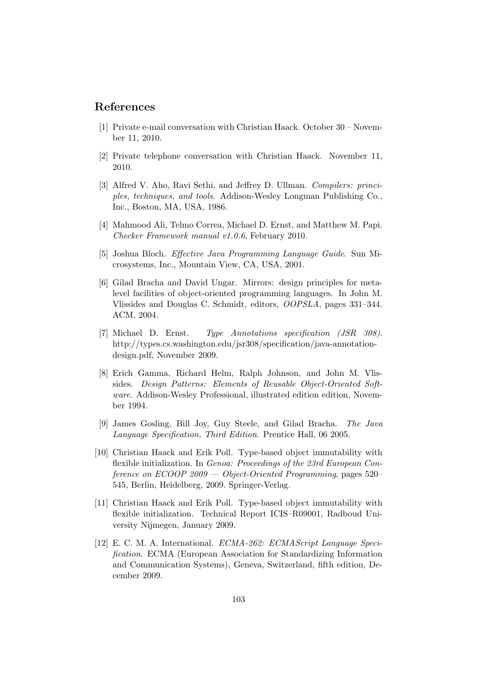## References

- [1] Private e-mail conversation with Christian Haack. October 30 November 11, 2010.
- [2] Private telephone conversation with Christian Haack. November 11, 2010.
- [3] Alfred V. Aho, Ravi Sethi, and Jeffrey D. Ullman. Compilers: principles, techniques, and tools. Addison-Wesley Longman Publishing Co., Inc., Boston, MA, USA, 1986.
- [4] Mahmood Ali, Telmo Correa, Michael D. Ernst, and Matthew M. Papi. Checker Framework manual v1.0.6, February 2010.
- [5] Joshua Bloch. Effective Java Programming Language Guide. Sun Microsystems, Inc., Mountain View, CA, USA, 2001.
- [6] Gilad Bracha and David Ungar. Mirrors: design principles for metalevel facilities of object-oriented programming languages. In John M. Vlissides and Douglas C. Schmidt, editors, OOPSLA, pages 331–344. ACM, 2004.
- [7] Michael D. Ernst. Type Annotations specification (JSR 308). http://types.cs.washington.edu/jsr308/specification/java-annotationdesign.pdf, November 2009.
- [8] Erich Gamma, Richard Helm, Ralph Johnson, and John M. Vlissides. Design Patterns: Elements of Reusable Object-Oriented Software. Addison-Wesley Professional, illustrated edition edition, November 1994.
- [9] James Gosling, Bill Joy, Guy Steele, and Gilad Bracha. The Java Language Specification, Third Edition. Prentice Hall, 06 2005.
- [10] Christian Haack and Erik Poll. Type-based object immutability with flexible initialization. In Genoa: Proceedings of the 23rd European Conference on ECOOP 2009 — Object-Oriented Programming, pages 520– 545, Berlin, Heidelberg, 2009. Springer-Verlag.
- [11] Christian Haack and Erik Poll. Type-based object immutability with flexible initialization. Technical Report ICIS–R09001, Radboud University Nijmegen, January 2009.
- [12] E. C. M. A. International. ECMA-262: ECMAScript Language Specification. ECMA (European Association for Standardizing Information and Communication Systems), Geneva, Switzerland, fifth edition, December 2009.